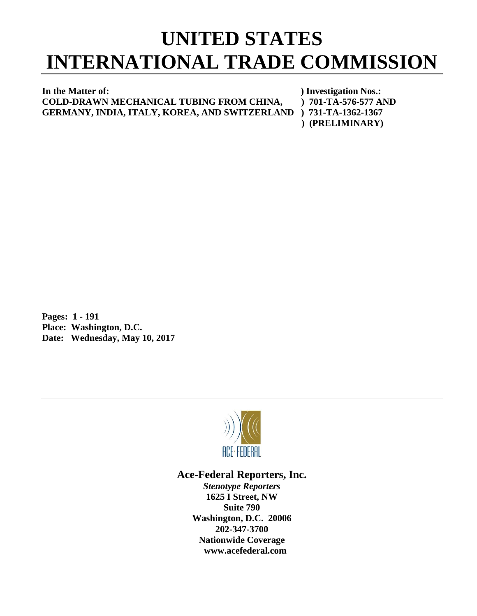## **UNITED STATES INTERNATIONAL TRADE COMMISSION**

**In the Matter of:** ) Investigation Nos.: **COLD-DRAWN MECHANICAL TUBING FROM CHINA, ) 701-TA-576-577 AND GERMANY, INDIA, ITALY, KOREA, AND SWITZERLAND ) 731-TA-1362-1367** 

 **) (PRELIMINARY)**

**Pages: 1 - 191 Place: Washington, D.C. Date: Wednesday, May 10, 2017**



**Ace-Federal Reporters, Inc.**

*Stenotype Reporters* **1625 I Street, NW Suite 790 Washington, D.C. 20006 202-347-3700 Nationwide Coverage www.acefederal.com**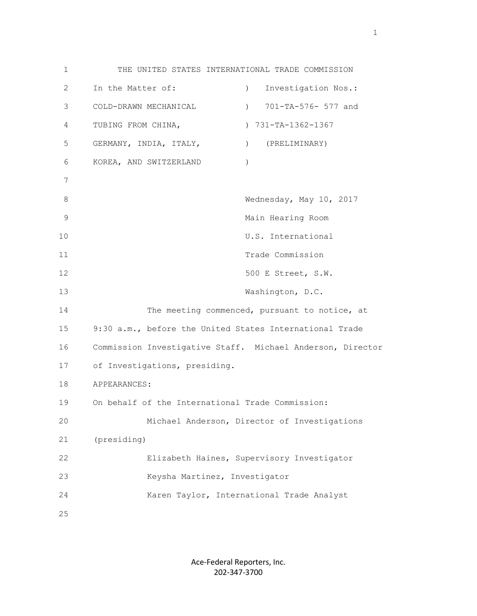1 THE UNITED STATES INTERNATIONAL TRADE COMMISSION 2 In the Matter of: ) Investigation Nos.: 3 COLD-DRAWN MECHANICAL ) 701-TA-576- 577 and 4 TUBING FROM CHINA,  $731-TA-1362-1367$  5 GERMANY, INDIA, ITALY, ) (PRELIMINARY) 6 KOREA, AND SWITZERLAND ) 7 8 Wednesday, May 10, 2017 9 Main Hearing Room 10 U.S. International 11 Trade Commission 12 500 E Street, S.W. 13 Washington, D.C. 14 The meeting commenced, pursuant to notice, at 15 9:30 a.m., before the United States International Trade 16 Commission Investigative Staff. Michael Anderson, Director 17 of Investigations, presiding. 18 APPEARANCES: 19 On behalf of the International Trade Commission: 20 Michael Anderson, Director of Investigations 21 (presiding) 22 Elizabeth Haines, Supervisory Investigator 23 Keysha Martinez, Investigator 24 Karen Taylor, International Trade Analyst 25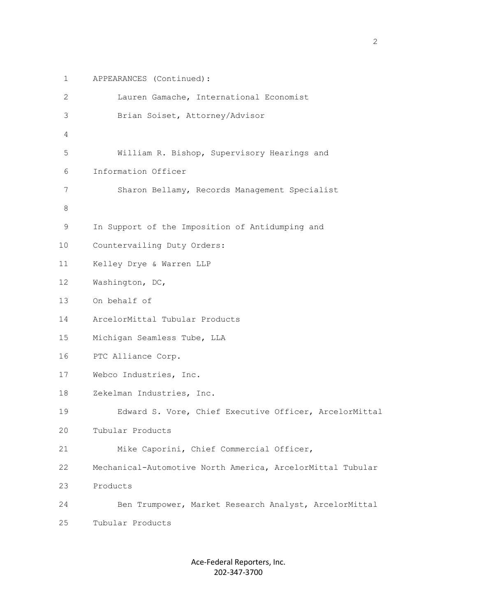```
 1 APPEARANCES (Continued):
          2 Lauren Gamache, International Economist
          3 Brian Soiset, Attorney/Advisor
 4
          5 William R. Bishop, Supervisory Hearings and
          6 Information Officer
          7 Sharon Bellamy, Records Management Specialist
 8
          9 In Support of the Imposition of Antidumping and
         10 Countervailing Duty Orders:
         11 Kelley Drye & Warren LLP 
         12 Washington, DC, 
         13 On behalf of
         14 ArcelorMittal Tubular Products
         15 Michigan Seamless Tube, LLA
         16 PTC Alliance Corp.
         17 Webco Industries, Inc.
         18 Zekelman Industries, Inc.
         19 Edward S. Vore, Chief Executive Officer, ArcelorMittal
         20 Tubular Products
         21 Mike Caporini, Chief Commercial Officer,
         22 Mechanical-Automotive North America, ArcelorMittal Tubular
         23 Products
         24 Ben Trumpower, Market Research Analyst, ArcelorMittal
         25 Tubular Products
```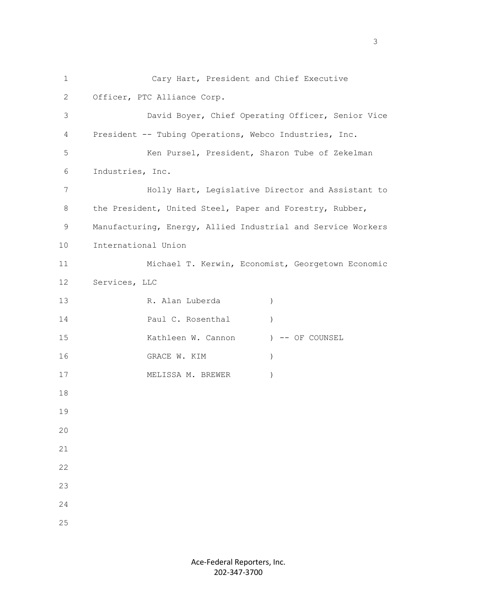1 Cary Hart, President and Chief Executive 2 Officer, PTC Alliance Corp. 3 David Boyer, Chief Operating Officer, Senior Vice 4 President -- Tubing Operations, Webco Industries, Inc. 5 Ken Pursel, President, Sharon Tube of Zekelman 6 Industries, Inc. 7 Holly Hart, Legislative Director and Assistant to 8 the President, United Steel, Paper and Forestry, Rubber, 9 Manufacturing, Energy, Allied Industrial and Service Workers 10 International Union 11 Michael T. Kerwin, Economist, Georgetown Economic 12 Services, LLC 13 R. Alan Luberda ) 14 **Paul C. Rosenthal** (1) 15 Kathleen W. Cannon (1988) -- OF COUNSEL 16 GRACE W. KIM (1992) 17 MELISSA M. BREWER ) 18 19 20 21 22 23 24 25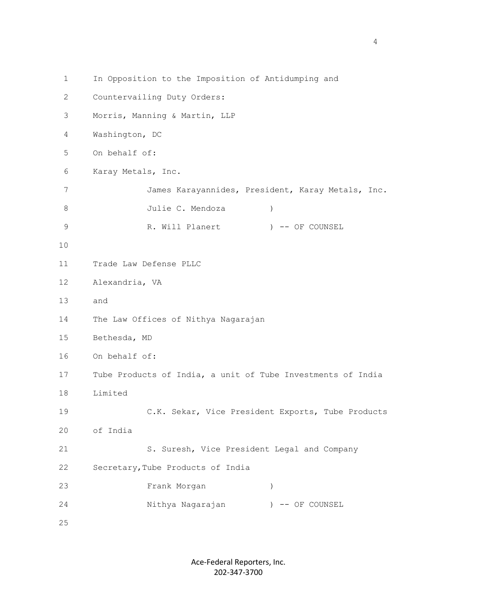1 In Opposition to the Imposition of Antidumping and 2 Countervailing Duty Orders: 3 Morris, Manning & Martin, LLP 4 Washington, DC 5 On behalf of: 6 Karay Metals, Inc. 7 James Karayannides, President, Karay Metals, Inc. 8 Julie C. Mendoza 9 R. Will Planert (1988) -- OF COUNSEL 10 11 Trade Law Defense PLLC 12 Alexandria, VA 13 and 14 The Law Offices of Nithya Nagarajan 15 Bethesda, MD 16 On behalf of: 17 Tube Products of India, a unit of Tube Investments of India 18 Limited 19 C.K. Sekar, Vice President Exports, Tube Products 20 of India 21 S. Suresh, Vice President Legal and Company 22 Secretary,Tube Products of India 23 Frank Morgan ) 24 Nithya Nagarajan ) -- OF COUNSEL 25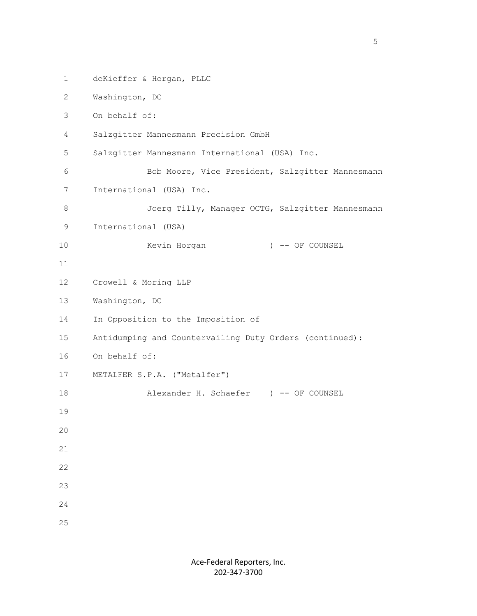```
 1 deKieffer & Horgan, PLLC
 2 Washington, DC
 3 On behalf of:
  4 Salzgitter Mannesmann Precision GmbH
 5 Salzgitter Mannesmann International (USA) Inc. 
 6 Bob Moore, Vice President, Salzgitter Mannesmann
 7 International (USA) Inc. 
8 Joerg Tilly, Manager OCTG, Salzgitter Mannesmann
 9 International (USA) 
10 Kevin Horgan (100) -- OF COUNSEL
 11
 12 Crowell & Moring LLP
 13 Washington, DC
 14 In Opposition to the Imposition of 
 15 Antidumping and Countervailing Duty Orders (continued):
 16 On behalf of:
 17 METALFER S.P.A. ("Metalfer")
18 Alexander H. Schaefer ) -- OF COUNSEL
 19
 20
 21
 22
 23
 24
 25
```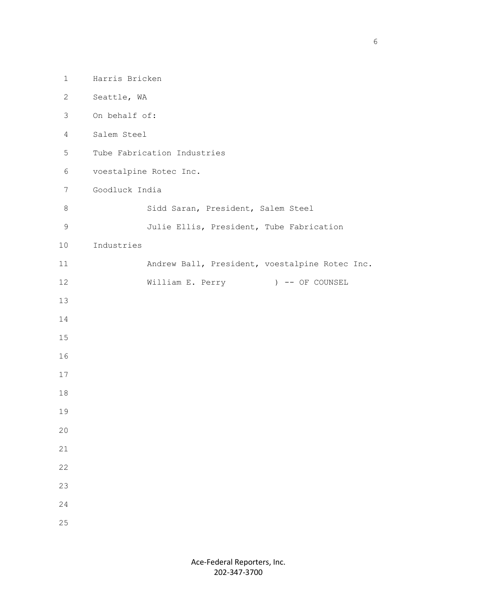| $\mathbf 1$     | Harris Bricken                                 |
|-----------------|------------------------------------------------|
| $\mathbf{2}$    | Seattle, WA                                    |
| 3               | On behalf of:                                  |
| $\overline{4}$  | Salem Steel                                    |
| 5               | Tube Fabrication Industries                    |
| 6               | voestalpine Rotec Inc.                         |
| $7\phantom{.0}$ | Goodluck India                                 |
| $\,8\,$         | Sidd Saran, President, Salem Steel             |
| $\mathsf 9$     | Julie Ellis, President, Tube Fabrication       |
| 10              | Industries                                     |
| 11              | Andrew Ball, President, voestalpine Rotec Inc. |
| 12              | William E. Perry<br>) -- OF COUNSEL            |
| 13              |                                                |
| 14              |                                                |
| 15              |                                                |
| 16              |                                                |
| 17              |                                                |
| 18              |                                                |
| 19              |                                                |
| 20              |                                                |
| 21              |                                                |
| 22              |                                                |
| 23              |                                                |
| 24              |                                                |
| 25              |                                                |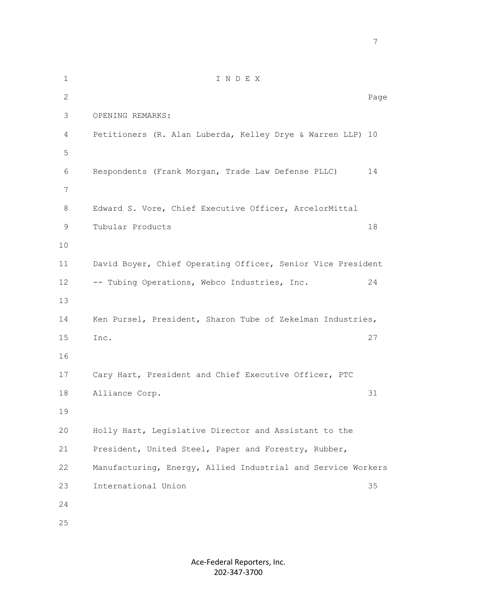1 I N D E X 2 Page 3 OPENING REMARKS: 4 Petitioners (R. Alan Luberda, Kelley Drye & Warren LLP) 10 5 6 Respondents (Frank Morgan, Trade Law Defense PLLC) 14 7 8 Edward S. Vore, Chief Executive Officer, ArcelorMittal 9 Tubular Products 18 10 11 David Boyer, Chief Operating Officer, Senior Vice President 12 -- Tubing Operations, Webco Industries, Inc. 24 13 14 Ken Pursel, President, Sharon Tube of Zekelman Industries, 15 Inc. 27 16 17 Cary Hart, President and Chief Executive Officer, PTC 18 Alliance Corp. 31 19 20 Holly Hart, Legislative Director and Assistant to the 21 President, United Steel, Paper and Forestry, Rubber, 22 Manufacturing, Energy, Allied Industrial and Service Workers 23 International Union 35 24 25

7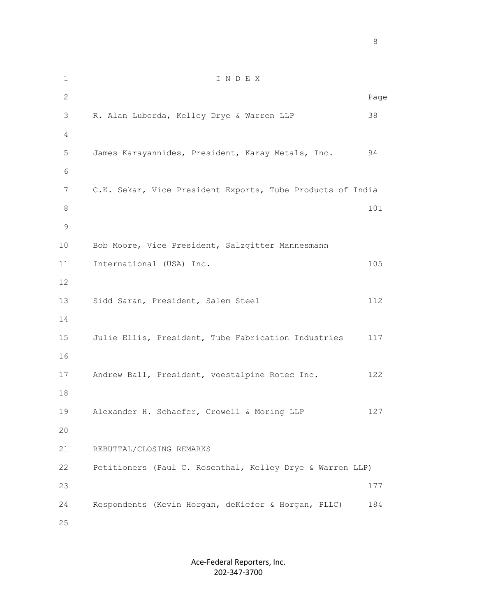1 I N D E X 2 Page 3 R. Alan Luberda, Kelley Drye & Warren LLP 38 4 5 James Karayannides, President, Karay Metals, Inc. 94 6 7 C.K. Sekar, Vice President Exports, Tube Products of India **8** 101 9 10 Bob Moore, Vice President, Salzgitter Mannesmann 11 International (USA) Inc. 105 12 13 Sidd Saran, President, Salem Steel 112 14 15 Julie Ellis, President, Tube Fabrication Industries 117 16 17 Andrew Ball, President, voestalpine Rotec Inc. 122 18 19 Alexander H. Schaefer, Crowell & Moring LLP 127 20 21 REBUTTAL/CLOSING REMARKS 22 Petitioners (Paul C. Rosenthal, Kelley Drye & Warren LLP)  $23$  177 24 Respondents (Kevin Horgan, deKiefer & Horgan, PLLC) 184 25

> Ace-Federal Reporters, Inc. 202-347-3700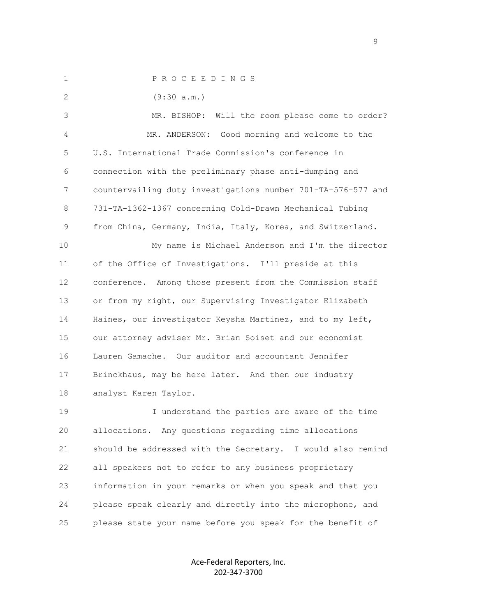1 P R O C E E D I N G S 2 (9:30 a.m.) 3 MR. BISHOP: Will the room please come to order? 4 MR. ANDERSON: Good morning and welcome to the 5 U.S. International Trade Commission's conference in 6 connection with the preliminary phase anti-dumping and 7 countervailing duty investigations number 701-TA-576-577 and 8 731-TA-1362-1367 concerning Cold-Drawn Mechanical Tubing 9 from China, Germany, India, Italy, Korea, and Switzerland. 10 My name is Michael Anderson and I'm the director 11 of the Office of Investigations. I'll preside at this 12 conference. Among those present from the Commission staff 13 or from my right, our Supervising Investigator Elizabeth 14 Haines, our investigator Keysha Martinez, and to my left, 15 our attorney adviser Mr. Brian Soiset and our economist 16 Lauren Gamache. Our auditor and accountant Jennifer 17 Brinckhaus, may be here later. And then our industry 18 analyst Karen Taylor. 19 I understand the parties are aware of the time 20 allocations. Any questions regarding time allocations 21 should be addressed with the Secretary. I would also remind 22 all speakers not to refer to any business proprietary 23 information in your remarks or when you speak and that you

25 please state your name before you speak for the benefit of

24 please speak clearly and directly into the microphone, and

Ace-Federal Reporters, Inc. 202-347-3700

en de la provincia de la provincia de la provincia de la provincia de la provincia de la provincia de la provi<br>1900 : la provincia de la provincia de la provincia de la provincia de la provincia de la provincia de la prov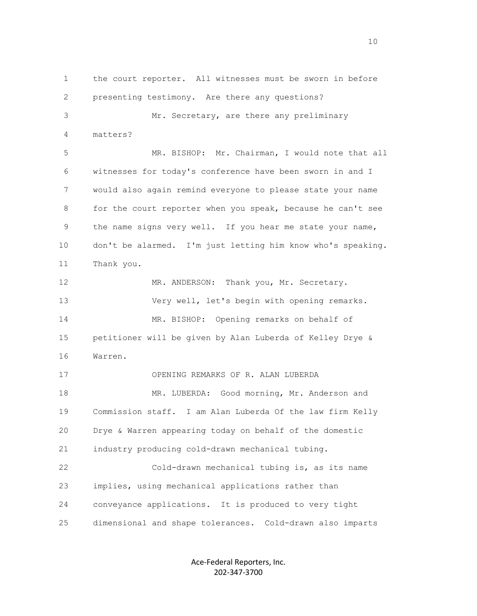1 the court reporter. All witnesses must be sworn in before 2 presenting testimony. Are there any questions? 3 Mr. Secretary, are there any preliminary 4 matters? 5 MR. BISHOP: Mr. Chairman, I would note that all 6 witnesses for today's conference have been sworn in and I 7 would also again remind everyone to please state your name 8 for the court reporter when you speak, because he can't see 9 the name signs very well. If you hear me state your name, 10 don't be alarmed. I'm just letting him know who's speaking. 11 Thank you. 12 MR. ANDERSON: Thank you, Mr. Secretary. 13 Very well, let's begin with opening remarks. 14 MR. BISHOP: Opening remarks on behalf of 15 petitioner will be given by Alan Luberda of Kelley Drye & 16 Warren. 17 OPENING REMARKS OF R. ALAN LUBERDA 18 MR. LUBERDA: Good morning, Mr. Anderson and 19 Commission staff. I am Alan Luberda Of the law firm Kelly 20 Drye & Warren appearing today on behalf of the domestic 21 industry producing cold-drawn mechanical tubing. 22 Cold-drawn mechanical tubing is, as its name 23 implies, using mechanical applications rather than 24 conveyance applications. It is produced to very tight 25 dimensional and shape tolerances. Cold-drawn also imparts

> Ace-Federal Reporters, Inc. 202-347-3700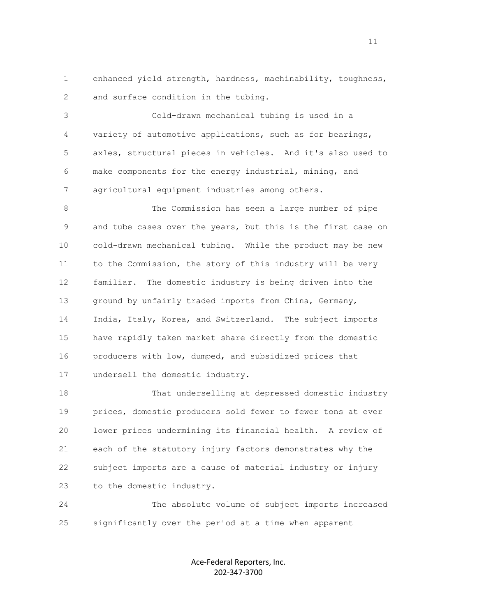1 enhanced yield strength, hardness, machinability, toughness, 2 and surface condition in the tubing.

 3 Cold-drawn mechanical tubing is used in a 4 variety of automotive applications, such as for bearings, 5 axles, structural pieces in vehicles. And it's also used to 6 make components for the energy industrial, mining, and 7 agricultural equipment industries among others.

 8 The Commission has seen a large number of pipe 9 and tube cases over the years, but this is the first case on 10 cold-drawn mechanical tubing. While the product may be new 11 to the Commission, the story of this industry will be very 12 familiar. The domestic industry is being driven into the 13 ground by unfairly traded imports from China, Germany, 14 India, Italy, Korea, and Switzerland. The subject imports 15 have rapidly taken market share directly from the domestic 16 producers with low, dumped, and subsidized prices that 17 undersell the domestic industry.

 18 That underselling at depressed domestic industry 19 prices, domestic producers sold fewer to fewer tons at ever 20 lower prices undermining its financial health. A review of 21 each of the statutory injury factors demonstrates why the 22 subject imports are a cause of material industry or injury 23 to the domestic industry.

 24 The absolute volume of subject imports increased 25 significantly over the period at a time when apparent

> Ace-Federal Reporters, Inc. 202-347-3700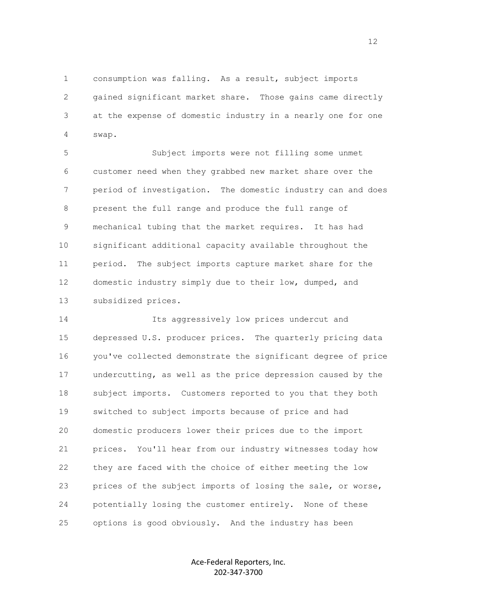1 consumption was falling. As a result, subject imports 2 gained significant market share. Those gains came directly 3 at the expense of domestic industry in a nearly one for one 4 swap.

 5 Subject imports were not filling some unmet 6 customer need when they grabbed new market share over the 7 period of investigation. The domestic industry can and does 8 present the full range and produce the full range of 9 mechanical tubing that the market requires. It has had 10 significant additional capacity available throughout the 11 period. The subject imports capture market share for the 12 domestic industry simply due to their low, dumped, and 13 subsidized prices.

 14 Its aggressively low prices undercut and 15 depressed U.S. producer prices. The quarterly pricing data 16 you've collected demonstrate the significant degree of price 17 undercutting, as well as the price depression caused by the 18 subject imports. Customers reported to you that they both 19 switched to subject imports because of price and had 20 domestic producers lower their prices due to the import 21 prices. You'll hear from our industry witnesses today how 22 they are faced with the choice of either meeting the low 23 prices of the subject imports of losing the sale, or worse, 24 potentially losing the customer entirely. None of these 25 options is good obviously. And the industry has been

> Ace-Federal Reporters, Inc. 202-347-3700

12<br>12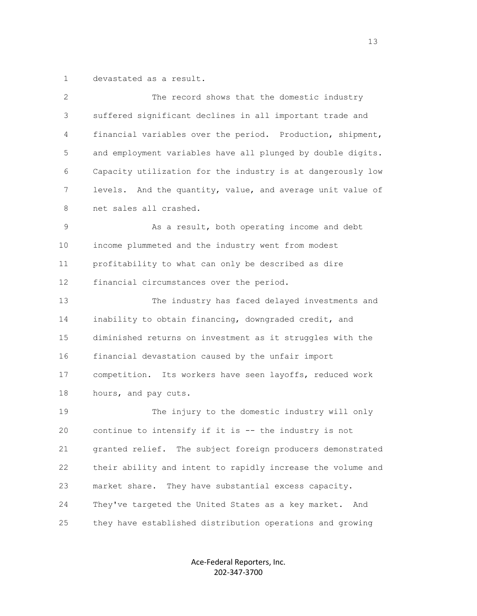1 devastated as a result.

| 2  | The record shows that the domestic industry                 |
|----|-------------------------------------------------------------|
| 3  | suffered significant declines in all important trade and    |
| 4  | financial variables over the period. Production, shipment,  |
| 5  | and employment variables have all plunged by double digits. |
| 6  | Capacity utilization for the industry is at dangerously low |
| 7  | levels. And the quantity, value, and average unit value of  |
| 8  | net sales all crashed.                                      |
| 9  | As a result, both operating income and debt                 |
| 10 | income plummeted and the industry went from modest          |
| 11 | profitability to what can only be described as dire         |
| 12 | financial circumstances over the period.                    |
| 13 | The industry has faced delayed investments and              |
| 14 | inability to obtain financing, downgraded credit, and       |
| 15 | diminished returns on investment as it struggles with the   |
| 16 | financial devastation caused by the unfair import           |
| 17 | competition. Its workers have seen layoffs, reduced work    |
| 18 | hours, and pay cuts.                                        |
| 19 | The injury to the domestic industry will only               |
| 20 | continue to intensify if it is -- the industry is not       |
| 21 | granted relief. The subject foreign producers demonstrated  |
| 22 | their ability and intent to rapidly increase the volume and |
| 23 | market share.<br>They have substantial excess capacity.     |
| 24 | They've targeted the United States as a key market. And     |
| 25 | they have established distribution operations and growing   |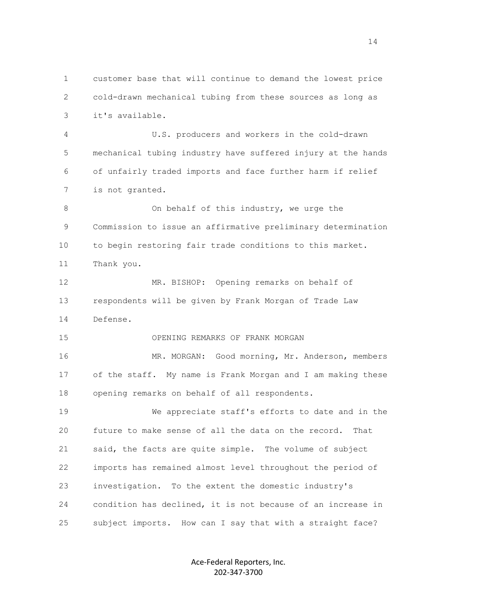1 customer base that will continue to demand the lowest price 2 cold-drawn mechanical tubing from these sources as long as 3 it's available. 4 U.S. producers and workers in the cold-drawn

 5 mechanical tubing industry have suffered injury at the hands 6 of unfairly traded imports and face further harm if relief 7 is not granted.

8 On behalf of this industry, we urge the 9 Commission to issue an affirmative preliminary determination 10 to begin restoring fair trade conditions to this market. 11 Thank you.

 12 MR. BISHOP: Opening remarks on behalf of 13 respondents will be given by Frank Morgan of Trade Law 14 Defense.

15 OPENING REMARKS OF FRANK MORGAN

 16 MR. MORGAN: Good morning, Mr. Anderson, members 17 of the staff. My name is Frank Morgan and I am making these 18 opening remarks on behalf of all respondents.

 19 We appreciate staff's efforts to date and in the 20 future to make sense of all the data on the record. That 21 said, the facts are quite simple. The volume of subject 22 imports has remained almost level throughout the period of 23 investigation. To the extent the domestic industry's 24 condition has declined, it is not because of an increase in 25 subject imports. How can I say that with a straight face?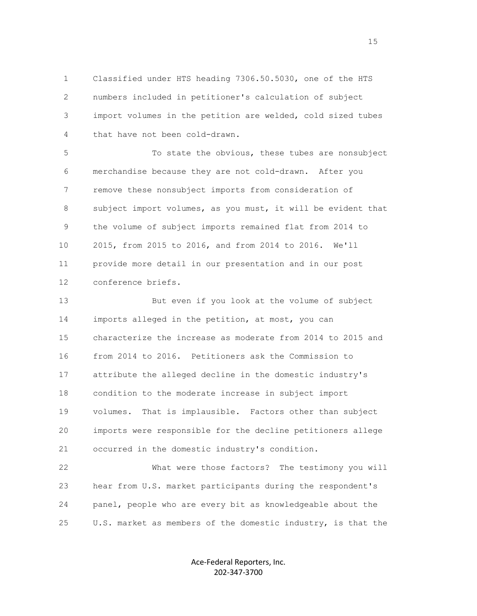1 Classified under HTS heading 7306.50.5030, one of the HTS 2 numbers included in petitioner's calculation of subject 3 import volumes in the petition are welded, cold sized tubes 4 that have not been cold-drawn.

 5 To state the obvious, these tubes are nonsubject 6 merchandise because they are not cold-drawn. After you 7 remove these nonsubject imports from consideration of 8 subject import volumes, as you must, it will be evident that 9 the volume of subject imports remained flat from 2014 to 10 2015, from 2015 to 2016, and from 2014 to 2016. We'll 11 provide more detail in our presentation and in our post 12 conference briefs.

 13 But even if you look at the volume of subject 14 imports alleged in the petition, at most, you can 15 characterize the increase as moderate from 2014 to 2015 and 16 from 2014 to 2016. Petitioners ask the Commission to 17 attribute the alleged decline in the domestic industry's 18 condition to the moderate increase in subject import 19 volumes. That is implausible. Factors other than subject 20 imports were responsible for the decline petitioners allege 21 occurred in the domestic industry's condition.

 22 What were those factors? The testimony you will 23 hear from U.S. market participants during the respondent's 24 panel, people who are every bit as knowledgeable about the 25 U.S. market as members of the domestic industry, is that the

> Ace-Federal Reporters, Inc. 202-347-3700

15 and 15 and 15 and 15 and 15 and 15 and 15 and 15 and 15 and 15 and 15 and 15 and 15 and 15 and 15 and 15 and 16 and 16 and 16 and 16 and 16 and 16 and 16 and 16 and 16 and 16 and 16 and 16 and 16 and 16 and 16 and 16 an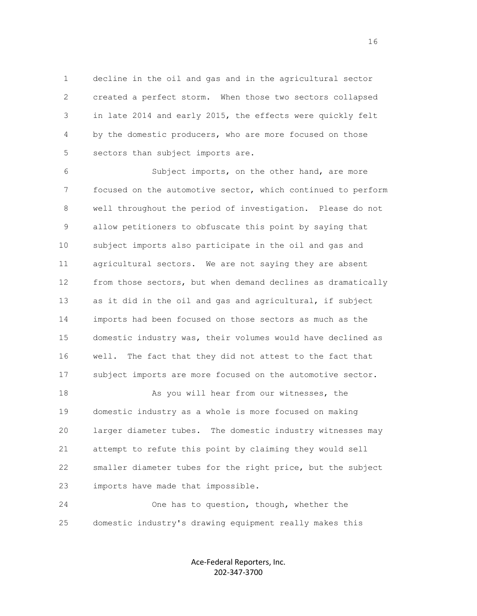1 decline in the oil and gas and in the agricultural sector 2 created a perfect storm. When those two sectors collapsed 3 in late 2014 and early 2015, the effects were quickly felt 4 by the domestic producers, who are more focused on those 5 sectors than subject imports are.

 6 Subject imports, on the other hand, are more 7 focused on the automotive sector, which continued to perform 8 well throughout the period of investigation. Please do not 9 allow petitioners to obfuscate this point by saying that 10 subject imports also participate in the oil and gas and 11 agricultural sectors. We are not saying they are absent 12 from those sectors, but when demand declines as dramatically 13 as it did in the oil and gas and agricultural, if subject 14 imports had been focused on those sectors as much as the 15 domestic industry was, their volumes would have declined as 16 well. The fact that they did not attest to the fact that 17 subject imports are more focused on the automotive sector.

18 As you will hear from our witnesses, the 19 domestic industry as a whole is more focused on making 20 larger diameter tubes. The domestic industry witnesses may 21 attempt to refute this point by claiming they would sell 22 smaller diameter tubes for the right price, but the subject 23 imports have made that impossible.

 24 One has to question, though, whether the 25 domestic industry's drawing equipment really makes this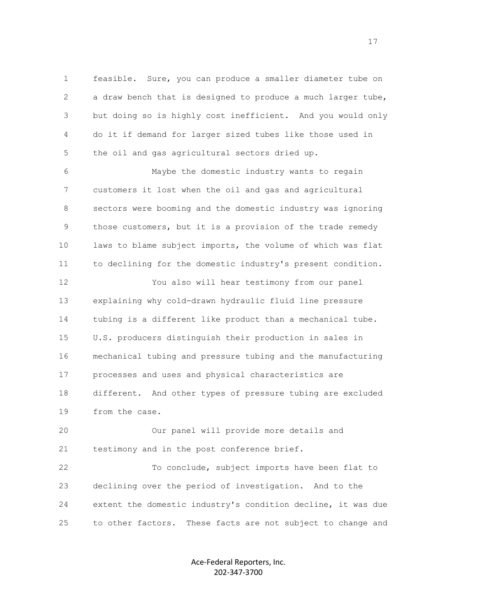1 feasible. Sure, you can produce a smaller diameter tube on 2 a draw bench that is designed to produce a much larger tube, 3 but doing so is highly cost inefficient. And you would only 4 do it if demand for larger sized tubes like those used in 5 the oil and gas agricultural sectors dried up.

 6 Maybe the domestic industry wants to regain 7 customers it lost when the oil and gas and agricultural 8 sectors were booming and the domestic industry was ignoring 9 those customers, but it is a provision of the trade remedy 10 laws to blame subject imports, the volume of which was flat 11 to declining for the domestic industry's present condition.

 12 You also will hear testimony from our panel 13 explaining why cold-drawn hydraulic fluid line pressure 14 tubing is a different like product than a mechanical tube. 15 U.S. producers distinguish their production in sales in 16 mechanical tubing and pressure tubing and the manufacturing 17 processes and uses and physical characteristics are 18 different. And other types of pressure tubing are excluded 19 from the case.

 20 Our panel will provide more details and 21 testimony and in the post conference brief.

 22 To conclude, subject imports have been flat to 23 declining over the period of investigation. And to the 24 extent the domestic industry's condition decline, it was due 25 to other factors. These facts are not subject to change and

> Ace-Federal Reporters, Inc. 202-347-3700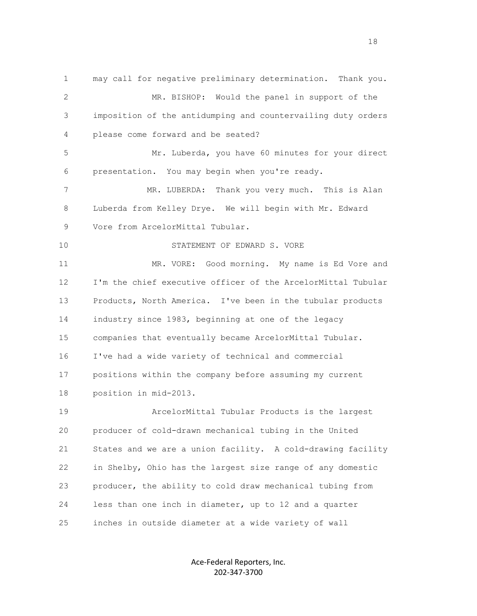1 may call for negative preliminary determination. Thank you. 2 MR. BISHOP: Would the panel in support of the 3 imposition of the antidumping and countervailing duty orders 4 please come forward and be seated? 5 Mr. Luberda, you have 60 minutes for your direct 6 presentation. You may begin when you're ready. 7 MR. LUBERDA: Thank you very much. This is Alan 8 Luberda from Kelley Drye. We will begin with Mr. Edward 9 Vore from ArcelorMittal Tubular. 10 STATEMENT OF EDWARD S. VORE 11 MR. VORE: Good morning. My name is Ed Vore and 12 I'm the chief executive officer of the ArcelorMittal Tubular 13 Products, North America. I've been in the tubular products 14 industry since 1983, beginning at one of the legacy 15 companies that eventually became ArcelorMittal Tubular. 16 I've had a wide variety of technical and commercial 17 positions within the company before assuming my current 18 position in mid-2013. 19 ArcelorMittal Tubular Products is the largest 20 producer of cold-drawn mechanical tubing in the United 21 States and we are a union facility. A cold-drawing facility 22 in Shelby, Ohio has the largest size range of any domestic 23 producer, the ability to cold draw mechanical tubing from 24 less than one inch in diameter, up to 12 and a quarter 25 inches in outside diameter at a wide variety of wall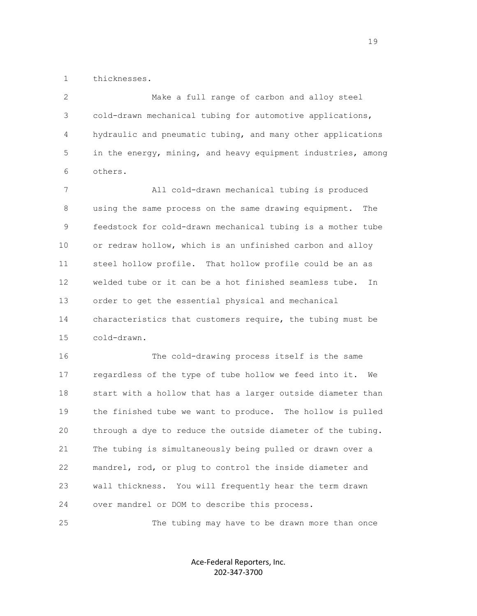1 thicknesses.

 2 Make a full range of carbon and alloy steel 3 cold-drawn mechanical tubing for automotive applications, 4 hydraulic and pneumatic tubing, and many other applications 5 in the energy, mining, and heavy equipment industries, among 6 others.

 7 All cold-drawn mechanical tubing is produced 8 using the same process on the same drawing equipment. The 9 feedstock for cold-drawn mechanical tubing is a mother tube 10 or redraw hollow, which is an unfinished carbon and alloy 11 steel hollow profile. That hollow profile could be an as 12 welded tube or it can be a hot finished seamless tube. In 13 order to get the essential physical and mechanical 14 characteristics that customers require, the tubing must be 15 cold-drawn.

 16 The cold-drawing process itself is the same 17 regardless of the type of tube hollow we feed into it. We 18 start with a hollow that has a larger outside diameter than 19 the finished tube we want to produce. The hollow is pulled 20 through a dye to reduce the outside diameter of the tubing. 21 The tubing is simultaneously being pulled or drawn over a 22 mandrel, rod, or plug to control the inside diameter and 23 wall thickness. You will frequently hear the term drawn 24 over mandrel or DOM to describe this process.

25 The tubing may have to be drawn more than once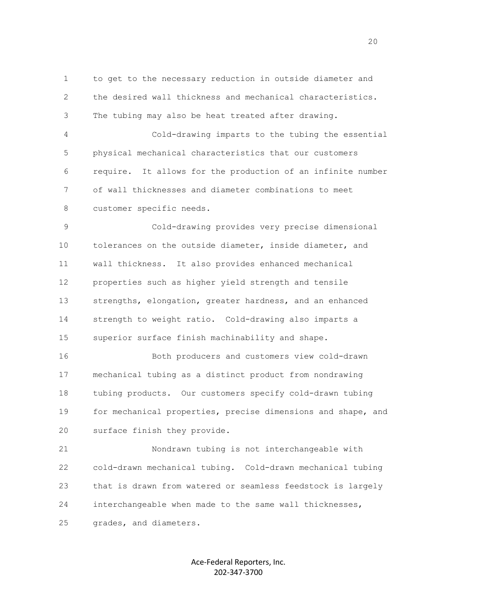1 to get to the necessary reduction in outside diameter and 2 the desired wall thickness and mechanical characteristics. 3 The tubing may also be heat treated after drawing.

 4 Cold-drawing imparts to the tubing the essential 5 physical mechanical characteristics that our customers 6 require. It allows for the production of an infinite number 7 of wall thicknesses and diameter combinations to meet 8 customer specific needs.

 9 Cold-drawing provides very precise dimensional 10 tolerances on the outside diameter, inside diameter, and 11 wall thickness. It also provides enhanced mechanical 12 properties such as higher yield strength and tensile 13 strengths, elongation, greater hardness, and an enhanced 14 strength to weight ratio. Cold-drawing also imparts a 15 superior surface finish machinability and shape.

 16 Both producers and customers view cold-drawn 17 mechanical tubing as a distinct product from nondrawing 18 tubing products. Our customers specify cold-drawn tubing 19 for mechanical properties, precise dimensions and shape, and 20 surface finish they provide.

 21 Nondrawn tubing is not interchangeable with 22 cold-drawn mechanical tubing. Cold-drawn mechanical tubing 23 that is drawn from watered or seamless feedstock is largely 24 interchangeable when made to the same wall thicknesses, 25 grades, and diameters.

> Ace-Federal Reporters, Inc. 202-347-3700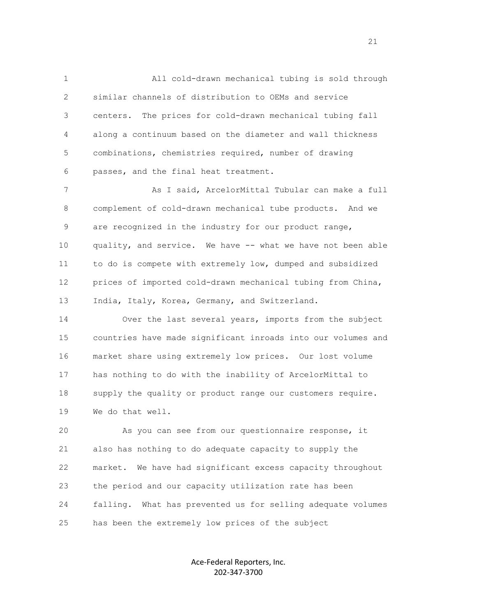1 All cold-drawn mechanical tubing is sold through 2 similar channels of distribution to OEMs and service 3 centers. The prices for cold-drawn mechanical tubing fall 4 along a continuum based on the diameter and wall thickness 5 combinations, chemistries required, number of drawing 6 passes, and the final heat treatment.

7 As I said, ArcelorMittal Tubular can make a full 8 complement of cold-drawn mechanical tube products. And we 9 are recognized in the industry for our product range, 10 quality, and service. We have -- what we have not been able 11 to do is compete with extremely low, dumped and subsidized 12 prices of imported cold-drawn mechanical tubing from China, 13 India, Italy, Korea, Germany, and Switzerland.

 14 Over the last several years, imports from the subject 15 countries have made significant inroads into our volumes and 16 market share using extremely low prices. Our lost volume 17 has nothing to do with the inability of ArcelorMittal to 18 supply the quality or product range our customers require. 19 We do that well.

 20 As you can see from our questionnaire response, it 21 also has nothing to do adequate capacity to supply the 22 market. We have had significant excess capacity throughout 23 the period and our capacity utilization rate has been 24 falling. What has prevented us for selling adequate volumes 25 has been the extremely low prices of the subject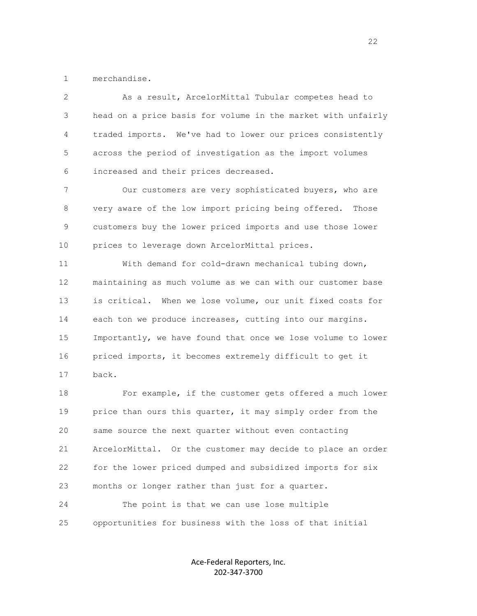1 merchandise.

 2 As a result, ArcelorMittal Tubular competes head to 3 head on a price basis for volume in the market with unfairly 4 traded imports. We've had to lower our prices consistently 5 across the period of investigation as the import volumes 6 increased and their prices decreased.

7 Our customers are very sophisticated buyers, who are 8 very aware of the low import pricing being offered. Those 9 customers buy the lower priced imports and use those lower 10 prices to leverage down ArcelorMittal prices.

 11 With demand for cold-drawn mechanical tubing down, 12 maintaining as much volume as we can with our customer base 13 is critical. When we lose volume, our unit fixed costs for 14 each ton we produce increases, cutting into our margins. 15 Importantly, we have found that once we lose volume to lower 16 priced imports, it becomes extremely difficult to get it 17 back.

 18 For example, if the customer gets offered a much lower 19 price than ours this quarter, it may simply order from the 20 same source the next quarter without even contacting 21 ArcelorMittal. Or the customer may decide to place an order 22 for the lower priced dumped and subsidized imports for six 23 months or longer rather than just for a quarter. 24 The point is that we can use lose multiple

25 opportunities for business with the loss of that initial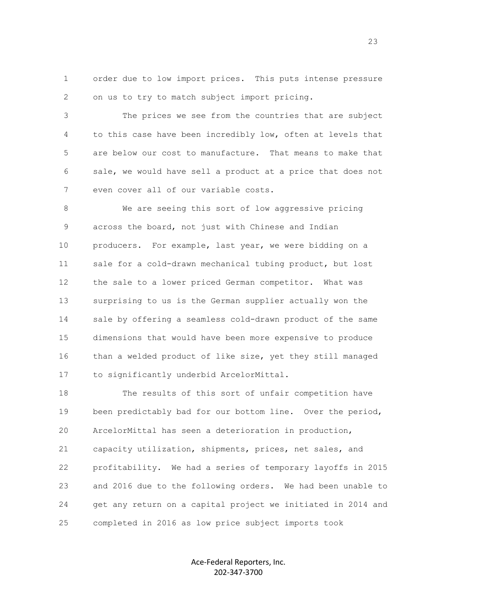1 order due to low import prices. This puts intense pressure 2 on us to try to match subject import pricing.

 3 The prices we see from the countries that are subject 4 to this case have been incredibly low, often at levels that 5 are below our cost to manufacture. That means to make that 6 sale, we would have sell a product at a price that does not 7 even cover all of our variable costs.

 8 We are seeing this sort of low aggressive pricing 9 across the board, not just with Chinese and Indian 10 producers. For example, last year, we were bidding on a 11 sale for a cold-drawn mechanical tubing product, but lost 12 the sale to a lower priced German competitor. What was 13 surprising to us is the German supplier actually won the 14 sale by offering a seamless cold-drawn product of the same 15 dimensions that would have been more expensive to produce 16 than a welded product of like size, yet they still managed 17 to significantly underbid ArcelorMittal.

 18 The results of this sort of unfair competition have 19 been predictably bad for our bottom line. Over the period, 20 ArcelorMittal has seen a deterioration in production, 21 capacity utilization, shipments, prices, net sales, and 22 profitability. We had a series of temporary layoffs in 2015 23 and 2016 due to the following orders. We had been unable to 24 get any return on a capital project we initiated in 2014 and 25 completed in 2016 as low price subject imports took

> Ace-Federal Reporters, Inc. 202-347-3700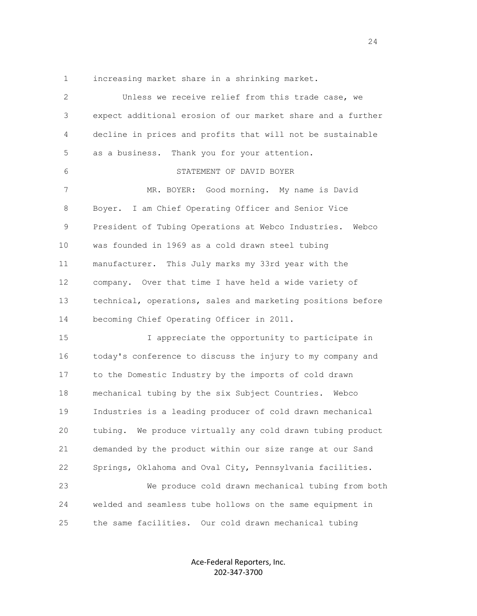1 increasing market share in a shrinking market.

| $\overline{2}$ | Unless we receive relief from this trade case, we            |
|----------------|--------------------------------------------------------------|
| 3              | expect additional erosion of our market share and a further  |
| 4              | decline in prices and profits that will not be sustainable   |
| 5              | Thank you for your attention.<br>as a business.              |
| 6              | STATEMENT OF DAVID BOYER                                     |
| 7              | MR. BOYER: Good morning. My name is David                    |
| 8              | Boyer. I am Chief Operating Officer and Senior Vice          |
| 9              | President of Tubing Operations at Webco Industries.<br>Webco |
| 10             | was founded in 1969 as a cold drawn steel tubing             |
| 11             | manufacturer. This July marks my 33rd year with the          |
| 12             | company. Over that time I have held a wide variety of        |
| 13             | technical, operations, sales and marketing positions before  |
| 14             | becoming Chief Operating Officer in 2011.                    |
| 15             | I appreciate the opportunity to participate in               |
| 16             | today's conference to discuss the injury to my company and   |
| 17             | to the Domestic Industry by the imports of cold drawn        |
| 18             | mechanical tubing by the six Subject Countries. Webco        |
| 19             | Industries is a leading producer of cold drawn mechanical    |
| 20             | tubing. We produce virtually any cold drawn tubing product   |
| 21             | demanded by the product within our size range at our Sand    |
| 22             | Springs, Oklahoma and Oval City, Pennsylvania facilities.    |
| 23             | We produce cold drawn mechanical tubing from both            |
| 24             | welded and seamless tube hollows on the same equipment in    |
| 25             | the same facilities.<br>Our cold drawn mechanical tubing     |

Ace-Federal Reporters, Inc. 202-347-3700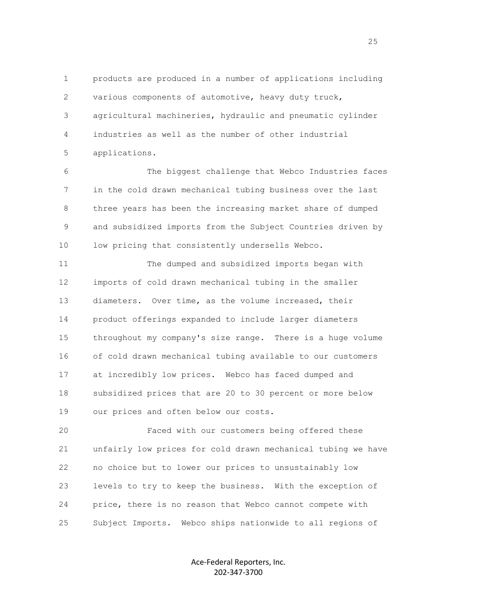1 products are produced in a number of applications including 2 various components of automotive, heavy duty truck, 3 agricultural machineries, hydraulic and pneumatic cylinder 4 industries as well as the number of other industrial 5 applications.

 6 The biggest challenge that Webco Industries faces 7 in the cold drawn mechanical tubing business over the last 8 three years has been the increasing market share of dumped 9 and subsidized imports from the Subject Countries driven by 10 low pricing that consistently undersells Webco.

 11 The dumped and subsidized imports began with 12 imports of cold drawn mechanical tubing in the smaller 13 diameters. Over time, as the volume increased, their 14 product offerings expanded to include larger diameters 15 throughout my company's size range. There is a huge volume 16 of cold drawn mechanical tubing available to our customers 17 at incredibly low prices. Webco has faced dumped and 18 subsidized prices that are 20 to 30 percent or more below 19 our prices and often below our costs.

 20 Faced with our customers being offered these 21 unfairly low prices for cold drawn mechanical tubing we have 22 no choice but to lower our prices to unsustainably low 23 levels to try to keep the business. With the exception of 24 price, there is no reason that Webco cannot compete with 25 Subject Imports. Webco ships nationwide to all regions of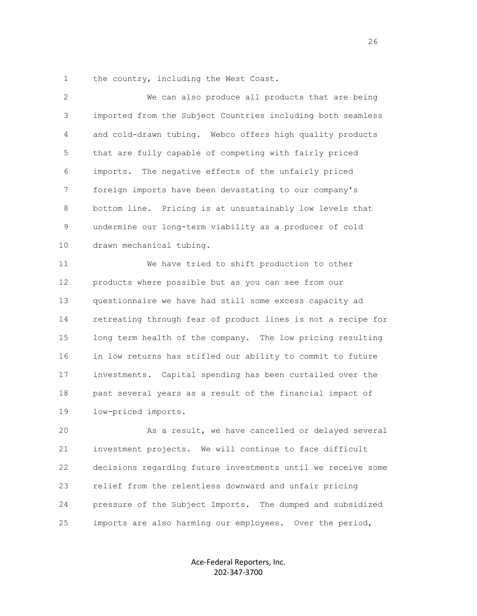1 the country, including the West Coast.

| $\overline{2}$  | We can also produce all products that are being              |
|-----------------|--------------------------------------------------------------|
| 3               | imported from the Subject Countries including both seamless  |
| 4               | and cold-drawn tubing. Webco offers high quality products    |
| 5               | that are fully capable of competing with fairly priced       |
| 6               | imports. The negative effects of the unfairly priced         |
| 7               | foreign imports have been devastating to our company's       |
| 8               | bottom line. Pricing is at unsustainably low levels that     |
| 9               | undermine our long-term viability as a producer of cold      |
| 10              | drawn mechanical tubing.                                     |
| 11              | We have tried to shift production to other                   |
| 12 <sup>°</sup> | products where possible but as you can see from our          |
| 13              | questionnaire we have had still some excess capacity ad      |
| 14              | retreating through fear of product lines is not a recipe for |
| 15              | long term health of the company. The low pricing resulting   |
| 16              | in low returns has stifled our ability to commit to future   |
| 17              | investments. Capital spending has been curtailed over the    |
| 18              | past several years as a result of the financial impact of    |
| 19              | low-priced imports.                                          |
| 20              | As a result, we have cancelled or delayed several            |
| 21              | investment projects. We will continue to face difficult      |
| 22              | decisions regarding future investments until we receive some |
| 23              | relief from the relentless downward and unfair pricing       |

25 imports are also harming our employees. Over the period,

24 pressure of the Subject Imports. The dumped and subsidized

Ace-Federal Reporters, Inc. 202-347-3700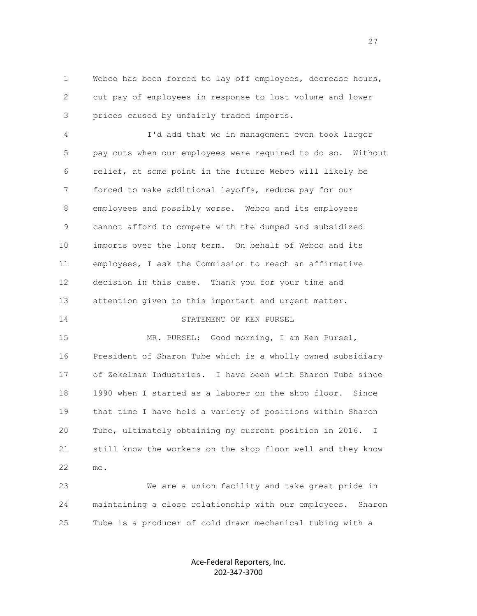1 Webco has been forced to lay off employees, decrease hours, 2 cut pay of employees in response to lost volume and lower 3 prices caused by unfairly traded imports.

 4 I'd add that we in management even took larger 5 pay cuts when our employees were required to do so. Without 6 relief, at some point in the future Webco will likely be 7 forced to make additional layoffs, reduce pay for our 8 employees and possibly worse. Webco and its employees 9 cannot afford to compete with the dumped and subsidized 10 imports over the long term. On behalf of Webco and its 11 employees, I ask the Commission to reach an affirmative 12 decision in this case. Thank you for your time and 13 attention given to this important and urgent matter.

14 STATEMENT OF KEN PURSEL

 15 MR. PURSEL: Good morning, I am Ken Pursel, 16 President of Sharon Tube which is a wholly owned subsidiary 17 of Zekelman Industries. I have been with Sharon Tube since 18 1990 when I started as a laborer on the shop floor. Since 19 that time I have held a variety of positions within Sharon 20 Tube, ultimately obtaining my current position in 2016. I 21 still know the workers on the shop floor well and they know 22 me.

 23 We are a union facility and take great pride in 24 maintaining a close relationship with our employees. Sharon 25 Tube is a producer of cold drawn mechanical tubing with a

> Ace-Federal Reporters, Inc. 202-347-3700

<u>27</u>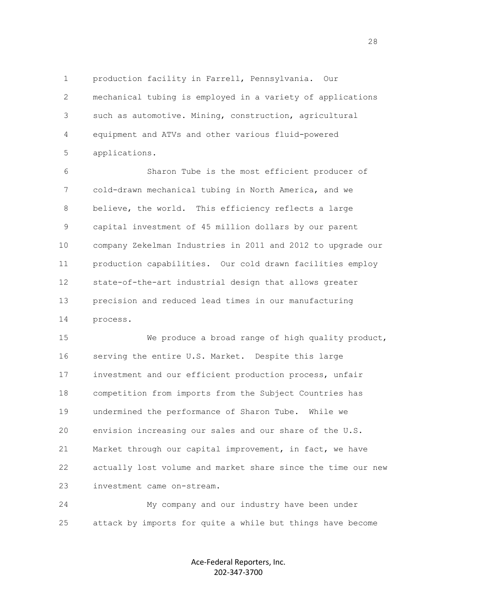1 production facility in Farrell, Pennsylvania. Our 2 mechanical tubing is employed in a variety of applications 3 such as automotive. Mining, construction, agricultural 4 equipment and ATVs and other various fluid-powered 5 applications.

 6 Sharon Tube is the most efficient producer of 7 cold-drawn mechanical tubing in North America, and we 8 believe, the world. This efficiency reflects a large 9 capital investment of 45 million dollars by our parent 10 company Zekelman Industries in 2011 and 2012 to upgrade our 11 production capabilities. Our cold drawn facilities employ 12 state-of-the-art industrial design that allows greater 13 precision and reduced lead times in our manufacturing 14 process.

 15 We produce a broad range of high quality product, 16 serving the entire U.S. Market. Despite this large 17 investment and our efficient production process, unfair 18 competition from imports from the Subject Countries has 19 undermined the performance of Sharon Tube. While we 20 envision increasing our sales and our share of the U.S. 21 Market through our capital improvement, in fact, we have 22 actually lost volume and market share since the time our new 23 investment came on-stream.

 24 My company and our industry have been under 25 attack by imports for quite a while but things have become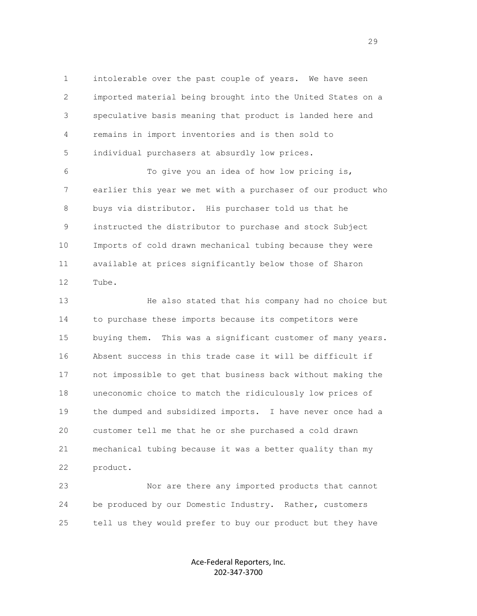1 intolerable over the past couple of years. We have seen 2 imported material being brought into the United States on a 3 speculative basis meaning that product is landed here and 4 remains in import inventories and is then sold to 5 individual purchasers at absurdly low prices.

 6 To give you an idea of how low pricing is, 7 earlier this year we met with a purchaser of our product who 8 buys via distributor. His purchaser told us that he 9 instructed the distributor to purchase and stock Subject 10 Imports of cold drawn mechanical tubing because they were 11 available at prices significantly below those of Sharon 12 Tube.

 13 He also stated that his company had no choice but 14 to purchase these imports because its competitors were 15 buying them. This was a significant customer of many years. 16 Absent success in this trade case it will be difficult if 17 not impossible to get that business back without making the 18 uneconomic choice to match the ridiculously low prices of 19 the dumped and subsidized imports. I have never once had a 20 customer tell me that he or she purchased a cold drawn 21 mechanical tubing because it was a better quality than my 22 product.

 23 Nor are there any imported products that cannot 24 be produced by our Domestic Industry. Rather, customers 25 tell us they would prefer to buy our product but they have

> Ace-Federal Reporters, Inc. 202-347-3700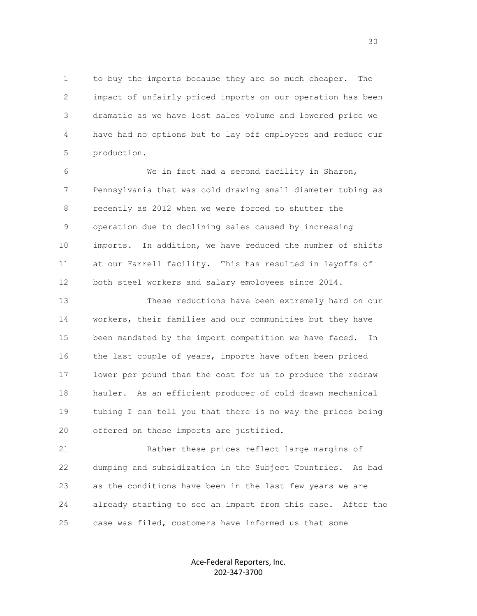1 to buy the imports because they are so much cheaper. The 2 impact of unfairly priced imports on our operation has been 3 dramatic as we have lost sales volume and lowered price we 4 have had no options but to lay off employees and reduce our 5 production.

 6 We in fact had a second facility in Sharon, 7 Pennsylvania that was cold drawing small diameter tubing as 8 recently as 2012 when we were forced to shutter the 9 operation due to declining sales caused by increasing 10 imports. In addition, we have reduced the number of shifts 11 at our Farrell facility. This has resulted in layoffs of 12 both steel workers and salary employees since 2014.

 13 These reductions have been extremely hard on our 14 workers, their families and our communities but they have 15 been mandated by the import competition we have faced. In 16 the last couple of years, imports have often been priced 17 lower per pound than the cost for us to produce the redraw 18 hauler. As an efficient producer of cold drawn mechanical 19 tubing I can tell you that there is no way the prices being 20 offered on these imports are justified.

 21 Rather these prices reflect large margins of 22 dumping and subsidization in the Subject Countries. As bad 23 as the conditions have been in the last few years we are 24 already starting to see an impact from this case. After the 25 case was filed, customers have informed us that some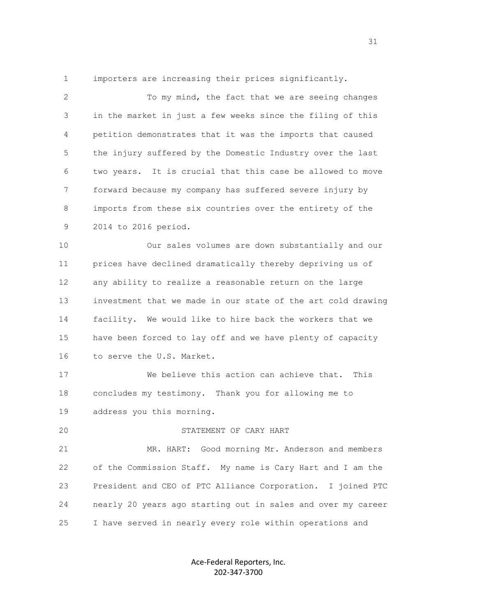1 importers are increasing their prices significantly.

2 To my mind, the fact that we are seeing changes 3 in the market in just a few weeks since the filing of this 4 petition demonstrates that it was the imports that caused 5 the injury suffered by the Domestic Industry over the last 6 two years. It is crucial that this case be allowed to move 7 forward because my company has suffered severe injury by 8 imports from these six countries over the entirety of the 9 2014 to 2016 period.

 10 Our sales volumes are down substantially and our 11 prices have declined dramatically thereby depriving us of 12 any ability to realize a reasonable return on the large 13 investment that we made in our state of the art cold drawing 14 facility. We would like to hire back the workers that we 15 have been forced to lay off and we have plenty of capacity 16 to serve the U.S. Market.

 17 We believe this action can achieve that. This 18 concludes my testimony. Thank you for allowing me to 19 address you this morning.

## 20 STATEMENT OF CARY HART

 21 MR. HART: Good morning Mr. Anderson and members 22 of the Commission Staff. My name is Cary Hart and I am the 23 President and CEO of PTC Alliance Corporation. I joined PTC 24 nearly 20 years ago starting out in sales and over my career 25 I have served in nearly every role within operations and

> Ace-Federal Reporters, Inc. 202-347-3700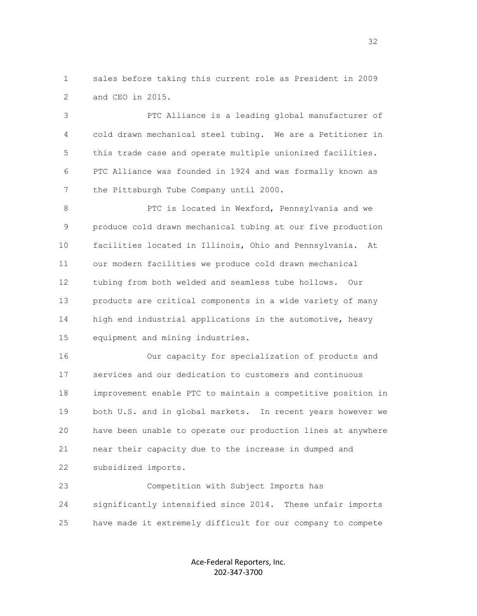1 sales before taking this current role as President in 2009 2 and CEO in 2015.

 3 PTC Alliance is a leading global manufacturer of 4 cold drawn mechanical steel tubing. We are a Petitioner in 5 this trade case and operate multiple unionized facilities. 6 PTC Alliance was founded in 1924 and was formally known as 7 the Pittsburgh Tube Company until 2000.

 8 PTC is located in Wexford, Pennsylvania and we 9 produce cold drawn mechanical tubing at our five production 10 facilities located in Illinois, Ohio and Pennsylvania. At 11 our modern facilities we produce cold drawn mechanical 12 tubing from both welded and seamless tube hollows. Our 13 products are critical components in a wide variety of many 14 high end industrial applications in the automotive, heavy 15 equipment and mining industries.

 16 Our capacity for specialization of products and 17 services and our dedication to customers and continuous 18 improvement enable PTC to maintain a competitive position in 19 both U.S. and in global markets. In recent years however we 20 have been unable to operate our production lines at anywhere 21 near their capacity due to the increase in dumped and 22 subsidized imports.

 23 Competition with Subject Imports has 24 significantly intensified since 2014. These unfair imports 25 have made it extremely difficult for our company to compete

> Ace-Federal Reporters, Inc. 202-347-3700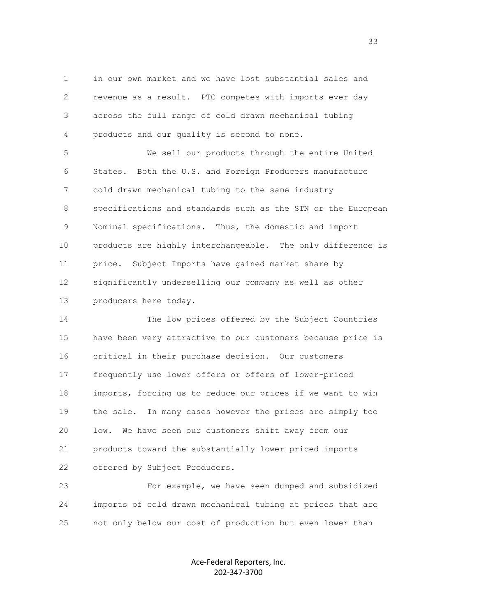1 in our own market and we have lost substantial sales and 2 revenue as a result. PTC competes with imports ever day 3 across the full range of cold drawn mechanical tubing 4 products and our quality is second to none.

 5 We sell our products through the entire United 6 States. Both the U.S. and Foreign Producers manufacture 7 cold drawn mechanical tubing to the same industry 8 specifications and standards such as the STN or the European 9 Nominal specifications. Thus, the domestic and import 10 products are highly interchangeable. The only difference is 11 price. Subject Imports have gained market share by 12 significantly underselling our company as well as other 13 producers here today.

 14 The low prices offered by the Subject Countries 15 have been very attractive to our customers because price is 16 critical in their purchase decision. Our customers 17 frequently use lower offers or offers of lower-priced 18 imports, forcing us to reduce our prices if we want to win 19 the sale. In many cases however the prices are simply too 20 low. We have seen our customers shift away from our 21 products toward the substantially lower priced imports 22 offered by Subject Producers.

 23 For example, we have seen dumped and subsidized 24 imports of cold drawn mechanical tubing at prices that are 25 not only below our cost of production but even lower than

> Ace-Federal Reporters, Inc. 202-347-3700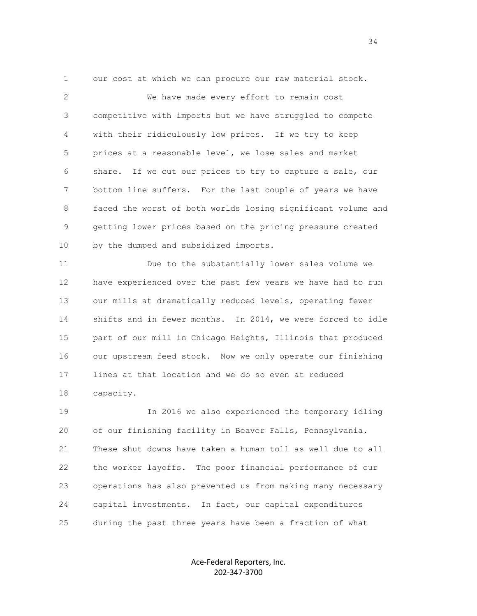1 our cost at which we can procure our raw material stock.

 2 We have made every effort to remain cost 3 competitive with imports but we have struggled to compete 4 with their ridiculously low prices. If we try to keep 5 prices at a reasonable level, we lose sales and market 6 share. If we cut our prices to try to capture a sale, our 7 bottom line suffers. For the last couple of years we have 8 faced the worst of both worlds losing significant volume and 9 getting lower prices based on the pricing pressure created 10 by the dumped and subsidized imports.

 11 Due to the substantially lower sales volume we 12 have experienced over the past few years we have had to run 13 our mills at dramatically reduced levels, operating fewer 14 shifts and in fewer months. In 2014, we were forced to idle 15 part of our mill in Chicago Heights, Illinois that produced 16 our upstream feed stock. Now we only operate our finishing 17 lines at that location and we do so even at reduced 18 capacity.

 19 In 2016 we also experienced the temporary idling 20 of our finishing facility in Beaver Falls, Pennsylvania. 21 These shut downs have taken a human toll as well due to all 22 the worker layoffs. The poor financial performance of our 23 operations has also prevented us from making many necessary 24 capital investments. In fact, our capital expenditures 25 during the past three years have been a fraction of what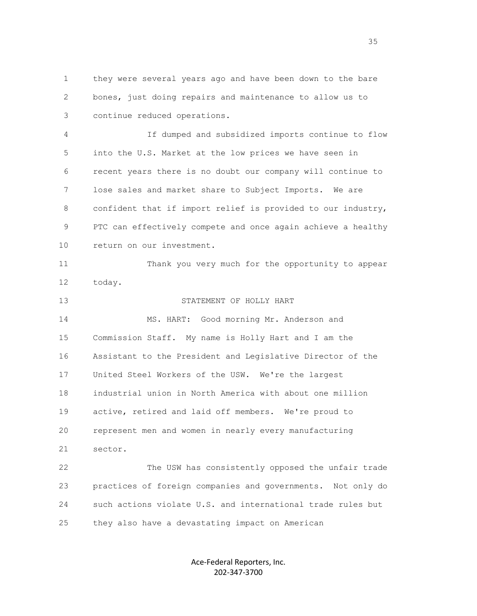1 they were several years ago and have been down to the bare 2 bones, just doing repairs and maintenance to allow us to 3 continue reduced operations.

 4 If dumped and subsidized imports continue to flow 5 into the U.S. Market at the low prices we have seen in 6 recent years there is no doubt our company will continue to 7 lose sales and market share to Subject Imports. We are 8 confident that if import relief is provided to our industry, 9 PTC can effectively compete and once again achieve a healthy 10 return on our investment.

 11 Thank you very much for the opportunity to appear 12 today.

 13 STATEMENT OF HOLLY HART 14 MS. HART: Good morning Mr. Anderson and 15 Commission Staff. My name is Holly Hart and I am the 16 Assistant to the President and Legislative Director of the 17 United Steel Workers of the USW. We're the largest 18 industrial union in North America with about one million 19 active, retired and laid off members. We're proud to 20 represent men and women in nearly every manufacturing 21 sector. 22 The USW has consistently opposed the unfair trade

 23 practices of foreign companies and governments. Not only do 24 such actions violate U.S. and international trade rules but 25 they also have a devastating impact on American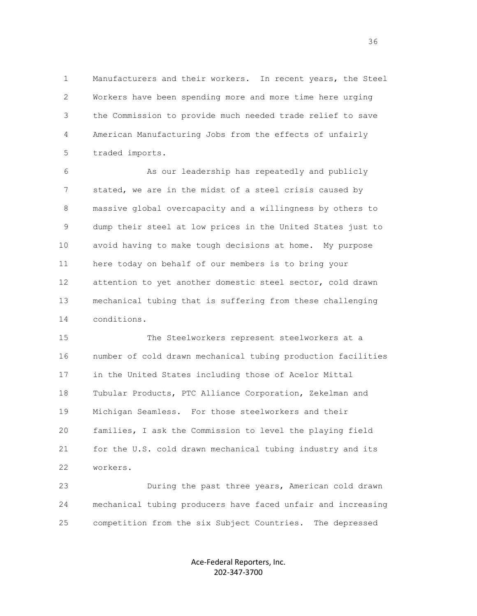1 Manufacturers and their workers. In recent years, the Steel 2 Workers have been spending more and more time here urging 3 the Commission to provide much needed trade relief to save 4 American Manufacturing Jobs from the effects of unfairly 5 traded imports.

 6 As our leadership has repeatedly and publicly 7 stated, we are in the midst of a steel crisis caused by 8 massive global overcapacity and a willingness by others to 9 dump their steel at low prices in the United States just to 10 avoid having to make tough decisions at home. My purpose 11 here today on behalf of our members is to bring your 12 attention to yet another domestic steel sector, cold drawn 13 mechanical tubing that is suffering from these challenging 14 conditions.

 15 The Steelworkers represent steelworkers at a 16 number of cold drawn mechanical tubing production facilities 17 in the United States including those of Acelor Mittal 18 Tubular Products, PTC Alliance Corporation, Zekelman and 19 Michigan Seamless. For those steelworkers and their 20 families, I ask the Commission to level the playing field 21 for the U.S. cold drawn mechanical tubing industry and its 22 workers.

 23 During the past three years, American cold drawn 24 mechanical tubing producers have faced unfair and increasing 25 competition from the six Subject Countries. The depressed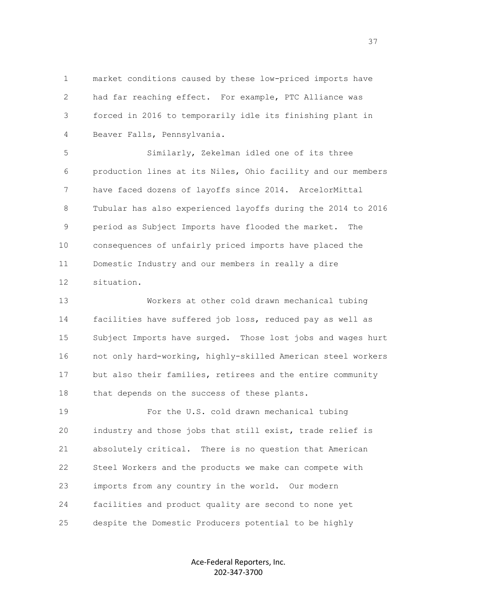1 market conditions caused by these low-priced imports have 2 had far reaching effect. For example, PTC Alliance was 3 forced in 2016 to temporarily idle its finishing plant in 4 Beaver Falls, Pennsylvania.

 5 Similarly, Zekelman idled one of its three 6 production lines at its Niles, Ohio facility and our members 7 have faced dozens of layoffs since 2014. ArcelorMittal 8 Tubular has also experienced layoffs during the 2014 to 2016 9 period as Subject Imports have flooded the market. The 10 consequences of unfairly priced imports have placed the 11 Domestic Industry and our members in really a dire 12 situation.

 13 Workers at other cold drawn mechanical tubing 14 facilities have suffered job loss, reduced pay as well as 15 Subject Imports have surged. Those lost jobs and wages hurt 16 not only hard-working, highly-skilled American steel workers 17 but also their families, retirees and the entire community 18 that depends on the success of these plants.

 19 For the U.S. cold drawn mechanical tubing 20 industry and those jobs that still exist, trade relief is 21 absolutely critical. There is no question that American 22 Steel Workers and the products we make can compete with 23 imports from any country in the world. Our modern 24 facilities and product quality are second to none yet 25 despite the Domestic Producers potential to be highly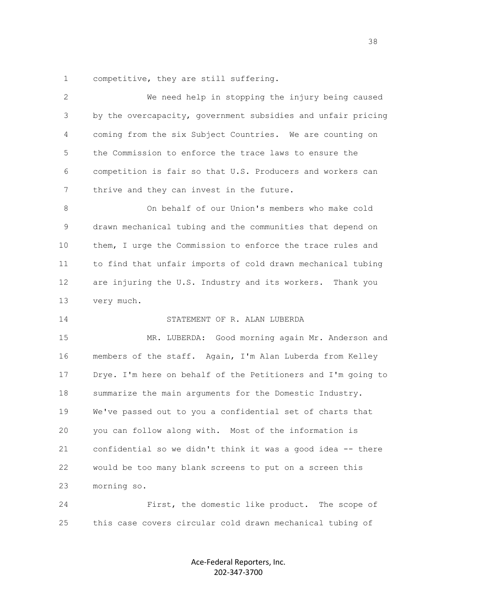1 competitive, they are still suffering.

 2 We need help in stopping the injury being caused 3 by the overcapacity, government subsidies and unfair pricing 4 coming from the six Subject Countries. We are counting on 5 the Commission to enforce the trace laws to ensure the 6 competition is fair so that U.S. Producers and workers can 7 thrive and they can invest in the future. 8 On behalf of our Union's members who make cold 9 drawn mechanical tubing and the communities that depend on 10 them, I urge the Commission to enforce the trace rules and 11 to find that unfair imports of cold drawn mechanical tubing 12 are injuring the U.S. Industry and its workers. Thank you 13 very much. 14 STATEMENT OF R. ALAN LUBERDA 15 MR. LUBERDA: Good morning again Mr. Anderson and 16 members of the staff. Again, I'm Alan Luberda from Kelley 17 Drye. I'm here on behalf of the Petitioners and I'm going to 18 summarize the main arguments for the Domestic Industry. 19 We've passed out to you a confidential set of charts that 20 you can follow along with. Most of the information is 21 confidential so we didn't think it was a good idea -- there 22 would be too many blank screens to put on a screen this 23 morning so. 24 First, the domestic like product. The scope of

25 this case covers circular cold drawn mechanical tubing of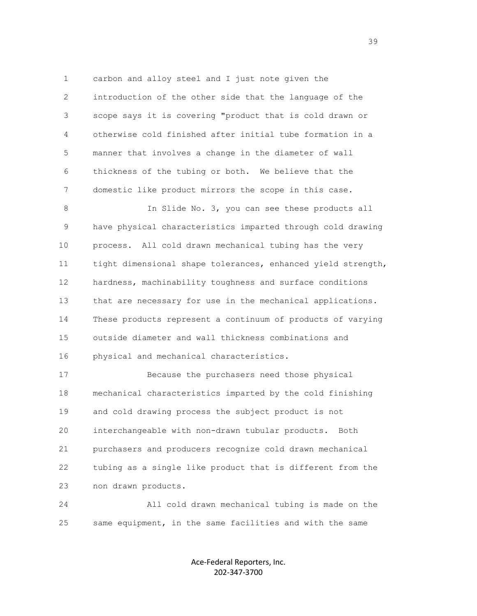1 carbon and alloy steel and I just note given the 2 introduction of the other side that the language of the 3 scope says it is covering "product that is cold drawn or 4 otherwise cold finished after initial tube formation in a 5 manner that involves a change in the diameter of wall 6 thickness of the tubing or both. We believe that the 7 domestic like product mirrors the scope in this case.

 8 In Slide No. 3, you can see these products all 9 have physical characteristics imparted through cold drawing 10 process. All cold drawn mechanical tubing has the very 11 tight dimensional shape tolerances, enhanced yield strength, 12 hardness, machinability toughness and surface conditions 13 that are necessary for use in the mechanical applications. 14 These products represent a continuum of products of varying 15 outside diameter and wall thickness combinations and 16 physical and mechanical characteristics.

 17 Because the purchasers need those physical 18 mechanical characteristics imparted by the cold finishing 19 and cold drawing process the subject product is not 20 interchangeable with non-drawn tubular products. Both 21 purchasers and producers recognize cold drawn mechanical 22 tubing as a single like product that is different from the 23 non drawn products.

 24 All cold drawn mechanical tubing is made on the 25 same equipment, in the same facilities and with the same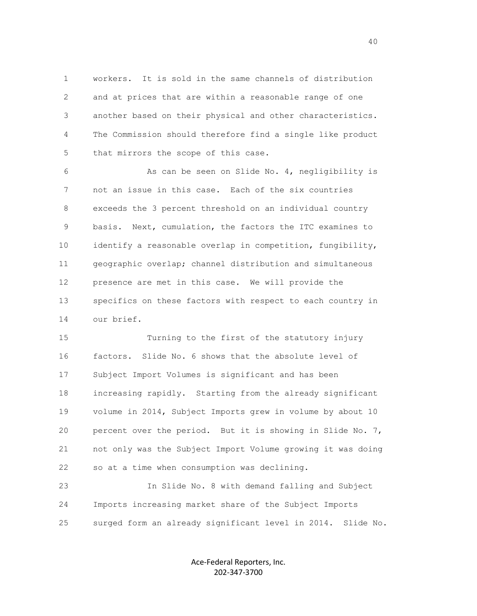1 workers. It is sold in the same channels of distribution 2 and at prices that are within a reasonable range of one 3 another based on their physical and other characteristics. 4 The Commission should therefore find a single like product 5 that mirrors the scope of this case.

 6 As can be seen on Slide No. 4, negligibility is 7 not an issue in this case. Each of the six countries 8 exceeds the 3 percent threshold on an individual country 9 basis. Next, cumulation, the factors the ITC examines to 10 identify a reasonable overlap in competition, fungibility, 11 geographic overlap; channel distribution and simultaneous 12 presence are met in this case. We will provide the 13 specifics on these factors with respect to each country in 14 our brief.

 15 Turning to the first of the statutory injury 16 factors. Slide No. 6 shows that the absolute level of 17 Subject Import Volumes is significant and has been 18 increasing rapidly. Starting from the already significant 19 volume in 2014, Subject Imports grew in volume by about 10 20 percent over the period. But it is showing in Slide No. 7, 21 not only was the Subject Import Volume growing it was doing 22 so at a time when consumption was declining.

 23 In Slide No. 8 with demand falling and Subject 24 Imports increasing market share of the Subject Imports 25 surged form an already significant level in 2014. Slide No.

> Ace-Federal Reporters, Inc. 202-347-3700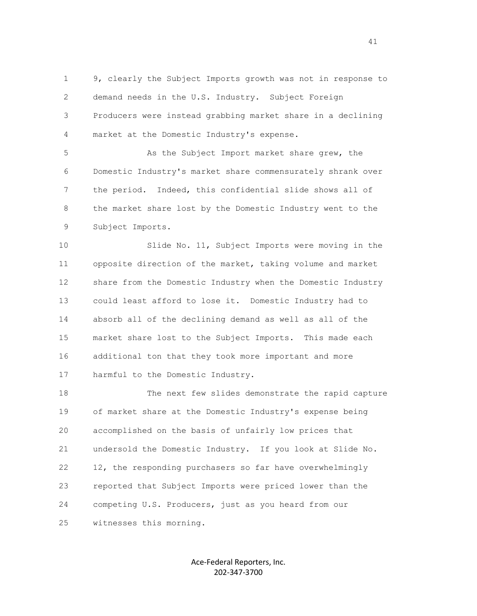1 9, clearly the Subject Imports growth was not in response to 2 demand needs in the U.S. Industry. Subject Foreign 3 Producers were instead grabbing market share in a declining 4 market at the Domestic Industry's expense.

 5 As the Subject Import market share grew, the 6 Domestic Industry's market share commensurately shrank over 7 the period. Indeed, this confidential slide shows all of 8 the market share lost by the Domestic Industry went to the 9 Subject Imports.

 10 Slide No. 11, Subject Imports were moving in the 11 opposite direction of the market, taking volume and market 12 share from the Domestic Industry when the Domestic Industry 13 could least afford to lose it. Domestic Industry had to 14 absorb all of the declining demand as well as all of the 15 market share lost to the Subject Imports. This made each 16 additional ton that they took more important and more 17 harmful to the Domestic Industry.

 18 The next few slides demonstrate the rapid capture 19 of market share at the Domestic Industry's expense being 20 accomplished on the basis of unfairly low prices that 21 undersold the Domestic Industry. If you look at Slide No. 22 12, the responding purchasers so far have overwhelmingly 23 reported that Subject Imports were priced lower than the 24 competing U.S. Producers, just as you heard from our 25 witnesses this morning.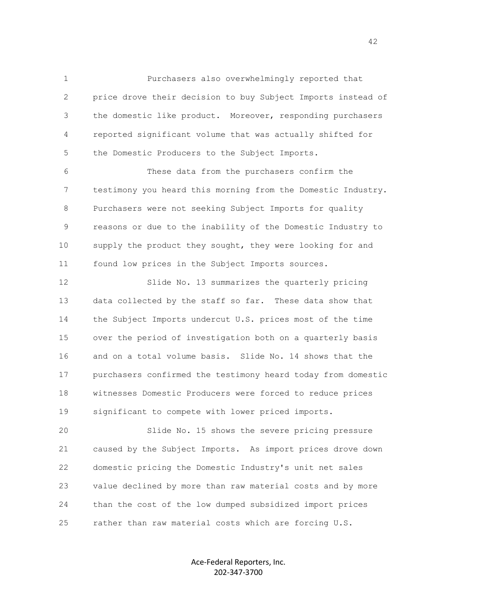1 Purchasers also overwhelmingly reported that 2 price drove their decision to buy Subject Imports instead of 3 the domestic like product. Moreover, responding purchasers 4 reported significant volume that was actually shifted for 5 the Domestic Producers to the Subject Imports.

 6 These data from the purchasers confirm the 7 testimony you heard this morning from the Domestic Industry. 8 Purchasers were not seeking Subject Imports for quality 9 reasons or due to the inability of the Domestic Industry to 10 supply the product they sought, they were looking for and 11 found low prices in the Subject Imports sources.

 12 Slide No. 13 summarizes the quarterly pricing 13 data collected by the staff so far. These data show that 14 the Subject Imports undercut U.S. prices most of the time 15 over the period of investigation both on a quarterly basis 16 and on a total volume basis. Slide No. 14 shows that the 17 purchasers confirmed the testimony heard today from domestic 18 witnesses Domestic Producers were forced to reduce prices 19 significant to compete with lower priced imports.

 20 Slide No. 15 shows the severe pricing pressure 21 caused by the Subject Imports. As import prices drove down 22 domestic pricing the Domestic Industry's unit net sales 23 value declined by more than raw material costs and by more 24 than the cost of the low dumped subsidized import prices 25 rather than raw material costs which are forcing U.S.

> Ace-Federal Reporters, Inc. 202-347-3700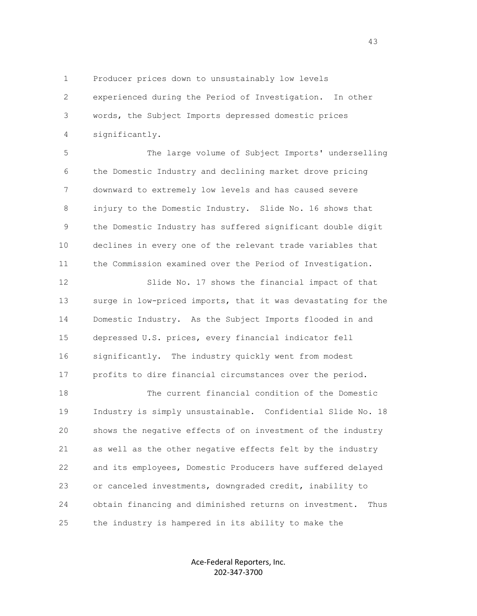1 Producer prices down to unsustainably low levels 2 experienced during the Period of Investigation. In other 3 words, the Subject Imports depressed domestic prices 4 significantly.

 5 The large volume of Subject Imports' underselling 6 the Domestic Industry and declining market drove pricing 7 downward to extremely low levels and has caused severe 8 injury to the Domestic Industry. Slide No. 16 shows that 9 the Domestic Industry has suffered significant double digit 10 declines in every one of the relevant trade variables that 11 the Commission examined over the Period of Investigation.

 12 Slide No. 17 shows the financial impact of that 13 surge in low-priced imports, that it was devastating for the 14 Domestic Industry. As the Subject Imports flooded in and 15 depressed U.S. prices, every financial indicator fell 16 significantly. The industry quickly went from modest 17 profits to dire financial circumstances over the period.

 18 The current financial condition of the Domestic 19 Industry is simply unsustainable. Confidential Slide No. 18 20 shows the negative effects of on investment of the industry 21 as well as the other negative effects felt by the industry 22 and its employees, Domestic Producers have suffered delayed 23 or canceled investments, downgraded credit, inability to 24 obtain financing and diminished returns on investment. Thus 25 the industry is hampered in its ability to make the

> Ace-Federal Reporters, Inc. 202-347-3700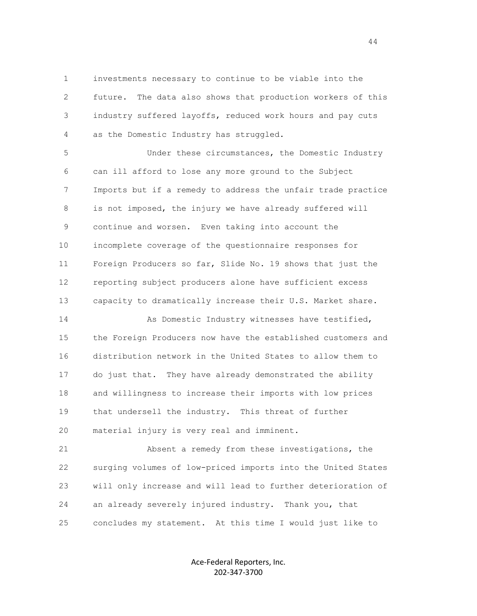1 investments necessary to continue to be viable into the 2 future. The data also shows that production workers of this 3 industry suffered layoffs, reduced work hours and pay cuts 4 as the Domestic Industry has struggled.

 5 Under these circumstances, the Domestic Industry 6 can ill afford to lose any more ground to the Subject 7 Imports but if a remedy to address the unfair trade practice 8 is not imposed, the injury we have already suffered will 9 continue and worsen. Even taking into account the 10 incomplete coverage of the questionnaire responses for 11 Foreign Producers so far, Slide No. 19 shows that just the 12 reporting subject producers alone have sufficient excess 13 capacity to dramatically increase their U.S. Market share.

14 As Domestic Industry witnesses have testified, 15 the Foreign Producers now have the established customers and 16 distribution network in the United States to allow them to 17 do just that. They have already demonstrated the ability 18 and willingness to increase their imports with low prices 19 that undersell the industry. This threat of further 20 material injury is very real and imminent.

 21 Absent a remedy from these investigations, the 22 surging volumes of low-priced imports into the United States 23 will only increase and will lead to further deterioration of 24 an already severely injured industry. Thank you, that 25 concludes my statement. At this time I would just like to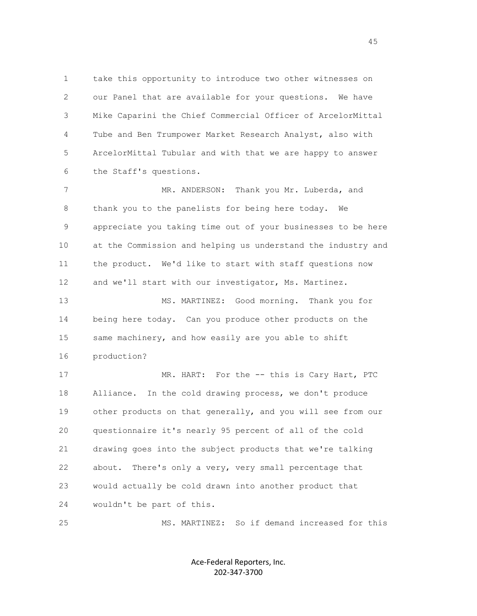1 take this opportunity to introduce two other witnesses on 2 our Panel that are available for your questions. We have 3 Mike Caparini the Chief Commercial Officer of ArcelorMittal 4 Tube and Ben Trumpower Market Research Analyst, also with 5 ArcelorMittal Tubular and with that we are happy to answer 6 the Staff's questions.

7 MR. ANDERSON: Thank you Mr. Luberda, and 8 thank you to the panelists for being here today. We 9 appreciate you taking time out of your businesses to be here 10 at the Commission and helping us understand the industry and 11 the product. We'd like to start with staff questions now 12 and we'll start with our investigator, Ms. Martinez.

 13 MS. MARTINEZ: Good morning. Thank you for 14 being here today. Can you produce other products on the 15 same machinery, and how easily are you able to shift 16 production?

17 MR. HART: For the -- this is Cary Hart, PTC 18 Alliance. In the cold drawing process, we don't produce 19 other products on that generally, and you will see from our 20 questionnaire it's nearly 95 percent of all of the cold 21 drawing goes into the subject products that we're talking 22 about. There's only a very, very small percentage that 23 would actually be cold drawn into another product that 24 wouldn't be part of this.

25 MS. MARTINEZ: So if demand increased for this

Ace-Federal Reporters, Inc. 202-347-3700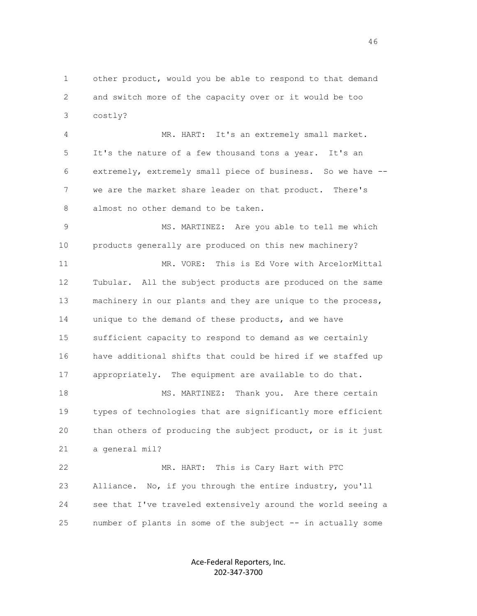1 other product, would you be able to respond to that demand 2 and switch more of the capacity over or it would be too 3 costly?

 4 MR. HART: It's an extremely small market. 5 It's the nature of a few thousand tons a year. It's an 6 extremely, extremely small piece of business. So we have -- 7 we are the market share leader on that product. There's 8 almost no other demand to be taken.

 9 MS. MARTINEZ: Are you able to tell me which 10 products generally are produced on this new machinery?

 11 MR. VORE: This is Ed Vore with ArcelorMittal 12 Tubular. All the subject products are produced on the same 13 machinery in our plants and they are unique to the process, 14 unique to the demand of these products, and we have 15 sufficient capacity to respond to demand as we certainly 16 have additional shifts that could be hired if we staffed up 17 appropriately. The equipment are available to do that.

18 MS. MARTINEZ: Thank you. Are there certain 19 types of technologies that are significantly more efficient 20 than others of producing the subject product, or is it just 21 a general mil?

 22 MR. HART: This is Cary Hart with PTC 23 Alliance. No, if you through the entire industry, you'll 24 see that I've traveled extensively around the world seeing a 25 number of plants in some of the subject -- in actually some

> Ace-Federal Reporters, Inc. 202-347-3700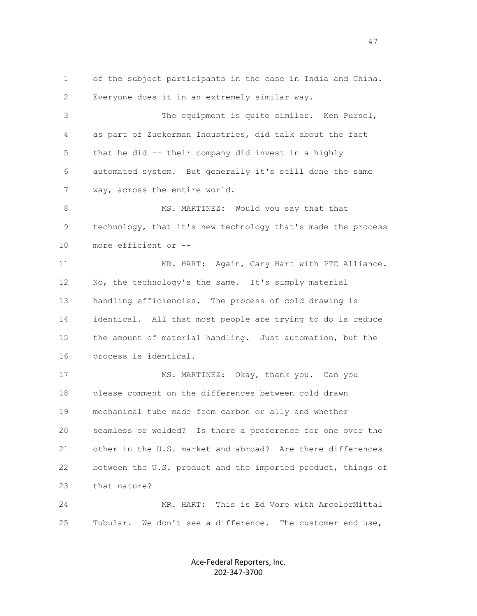1 of the subject participants in the case in India and China. 2 Everyone does it in an extremely similar way.

 3 The equipment is quite similar. Ken Pursel, 4 as part of Zuckerman Industries, did talk about the fact 5 that he did -- their company did invest in a highly 6 automated system. But generally it's still done the same 7 way, across the entire world.

8 MS. MARTINEZ: Would you say that that 9 technology, that it's new technology that's made the process 10 more efficient or --

 11 MR. HART: Again, Cary Hart with PTC Alliance. 12 No, the technology's the same. It's simply material 13 handling efficiencies. The process of cold drawing is 14 identical. All that most people are trying to do is reduce 15 the amount of material handling. Just automation, but the 16 process is identical.

17 MS. MARTINEZ: Okay, thank you. Can you 18 please comment on the differences between cold drawn 19 mechanical tube made from carbon or ally and whether 20 seamless or welded? Is there a preference for one over the 21 other in the U.S. market and abroad? Are there differences 22 between the U.S. product and the imported product, things of 23 that nature?

 24 MR. HART: This is Ed Vore with ArcelorMittal 25 Tubular. We don't see a difference. The customer end use,

> Ace-Federal Reporters, Inc. 202-347-3700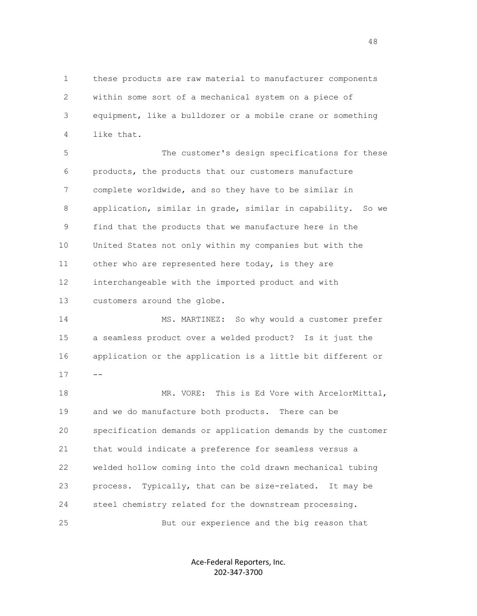1 these products are raw material to manufacturer components 2 within some sort of a mechanical system on a piece of 3 equipment, like a bulldozer or a mobile crane or something 4 like that.

 5 The customer's design specifications for these 6 products, the products that our customers manufacture 7 complete worldwide, and so they have to be similar in 8 application, similar in grade, similar in capability. So we 9 find that the products that we manufacture here in the 10 United States not only within my companies but with the 11 other who are represented here today, is they are 12 interchangeable with the imported product and with 13 customers around the globe.

 14 MS. MARTINEZ: So why would a customer prefer 15 a seamless product over a welded product? Is it just the 16 application or the application is a little bit different or  $17 - -$ 

 18 MR. VORE: This is Ed Vore with ArcelorMittal, 19 and we do manufacture both products. There can be 20 specification demands or application demands by the customer 21 that would indicate a preference for seamless versus a 22 welded hollow coming into the cold drawn mechanical tubing 23 process. Typically, that can be size-related. It may be 24 steel chemistry related for the downstream processing. 25 But our experience and the big reason that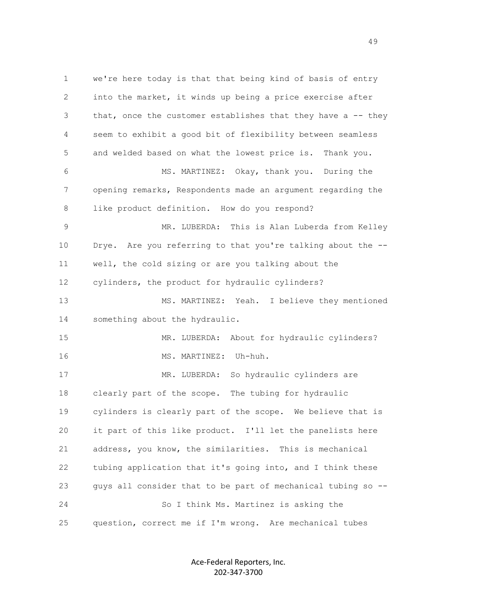1 we're here today is that that being kind of basis of entry 2 into the market, it winds up being a price exercise after 3 that, once the customer establishes that they have a -- they 4 seem to exhibit a good bit of flexibility between seamless 5 and welded based on what the lowest price is. Thank you. 6 MS. MARTINEZ: Okay, thank you. During the 7 opening remarks, Respondents made an argument regarding the 8 like product definition. How do you respond? 9 MR. LUBERDA: This is Alan Luberda from Kelley 10 Drye. Are you referring to that you're talking about the -- 11 well, the cold sizing or are you talking about the 12 cylinders, the product for hydraulic cylinders? 13 MS. MARTINEZ: Yeah. I believe they mentioned 14 something about the hydraulic. 15 MR. LUBERDA: About for hydraulic cylinders? 16 MS. MARTINEZ: Uh-huh. 17 MR. LUBERDA: So hydraulic cylinders are 18 clearly part of the scope. The tubing for hydraulic 19 cylinders is clearly part of the scope. We believe that is 20 it part of this like product. I'll let the panelists here 21 address, you know, the similarities. This is mechanical 22 tubing application that it's going into, and I think these 23 guys all consider that to be part of mechanical tubing so -- 24 So I think Ms. Martinez is asking the 25 question, correct me if I'm wrong. Are mechanical tubes

> Ace-Federal Reporters, Inc. 202-347-3700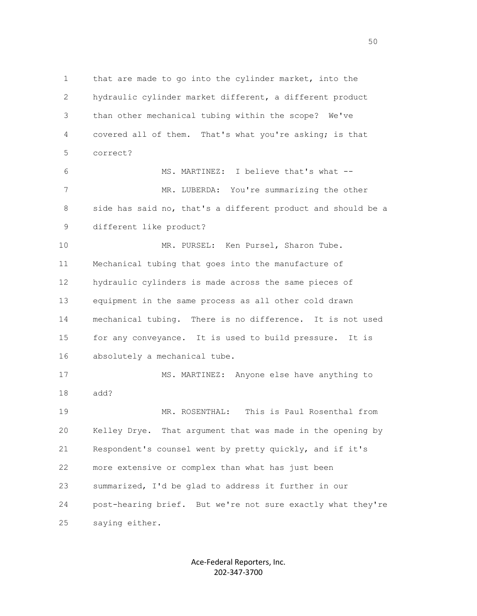1 that are made to go into the cylinder market, into the 2 hydraulic cylinder market different, a different product 3 than other mechanical tubing within the scope? We've 4 covered all of them. That's what you're asking; is that 5 correct? 6 MS. MARTINEZ: I believe that's what -- 7 MR. LUBERDA: You're summarizing the other 8 side has said no, that's a different product and should be a 9 different like product? 10 MR. PURSEL: Ken Pursel, Sharon Tube. 11 Mechanical tubing that goes into the manufacture of 12 hydraulic cylinders is made across the same pieces of 13 equipment in the same process as all other cold drawn 14 mechanical tubing. There is no difference. It is not used 15 for any conveyance. It is used to build pressure. It is 16 absolutely a mechanical tube. 17 MS. MARTINEZ: Anyone else have anything to 18 add? 19 MR. ROSENTHAL: This is Paul Rosenthal from 20 Kelley Drye. That argument that was made in the opening by 21 Respondent's counsel went by pretty quickly, and if it's 22 more extensive or complex than what has just been 23 summarized, I'd be glad to address it further in our 24 post-hearing brief. But we're not sure exactly what they're 25 saying either.

> Ace-Federal Reporters, Inc. 202-347-3700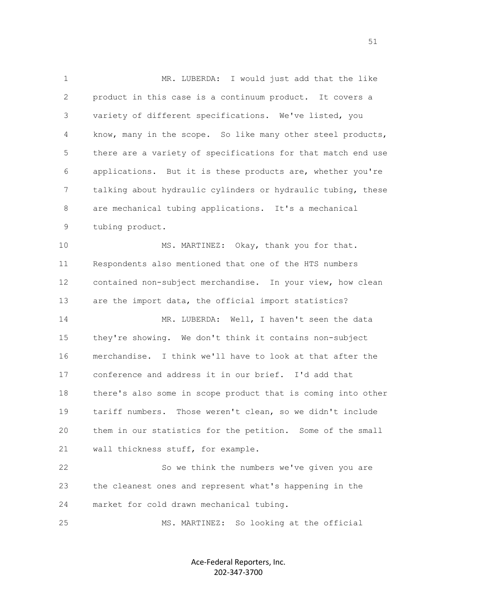1 MR. LUBERDA: I would just add that the like 2 product in this case is a continuum product. It covers a 3 variety of different specifications. We've listed, you 4 know, many in the scope. So like many other steel products, 5 there are a variety of specifications for that match end use 6 applications. But it is these products are, whether you're 7 talking about hydraulic cylinders or hydraulic tubing, these 8 are mechanical tubing applications. It's a mechanical 9 tubing product.

 10 MS. MARTINEZ: Okay, thank you for that. 11 Respondents also mentioned that one of the HTS numbers 12 contained non-subject merchandise. In your view, how clean 13 are the import data, the official import statistics? 14 MR. LUBERDA: Well, I haven't seen the data 15 they're showing. We don't think it contains non-subject 16 merchandise. I think we'll have to look at that after the 17 conference and address it in our brief. I'd add that 18 there's also some in scope product that is coming into other 19 tariff numbers. Those weren't clean, so we didn't include 20 them in our statistics for the petition. Some of the small 21 wall thickness stuff, for example.

 22 So we think the numbers we've given you are 23 the cleanest ones and represent what's happening in the 24 market for cold drawn mechanical tubing.

25 MS. MARTINEZ: So looking at the official

Ace-Federal Reporters, Inc. 202-347-3700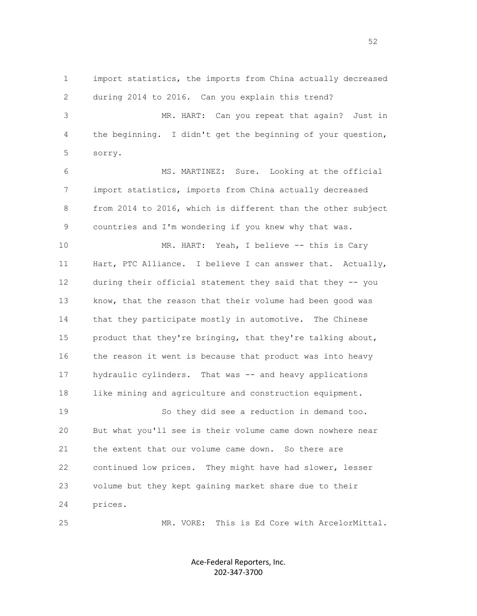1 import statistics, the imports from China actually decreased 2 during 2014 to 2016. Can you explain this trend? 3 MR. HART: Can you repeat that again? Just in 4 the beginning. I didn't get the beginning of your question, 5 sorry. 6 MS. MARTINEZ: Sure. Looking at the official 7 import statistics, imports from China actually decreased 8 from 2014 to 2016, which is different than the other subject 9 countries and I'm wondering if you knew why that was. 10 MR. HART: Yeah, I believe -- this is Cary 11 Hart, PTC Alliance. I believe I can answer that. Actually, 12 during their official statement they said that they -- you 13 know, that the reason that their volume had been good was 14 that they participate mostly in automotive. The Chinese 15 product that they're bringing, that they're talking about, 16 the reason it went is because that product was into heavy 17 hydraulic cylinders. That was -- and heavy applications 18 like mining and agriculture and construction equipment. 19 So they did see a reduction in demand too. 20 But what you'll see is their volume came down nowhere near 21 the extent that our volume came down. So there are 22 continued low prices. They might have had slower, lesser 23 volume but they kept gaining market share due to their

24 prices.

25 MR. VORE: This is Ed Core with ArcelorMittal.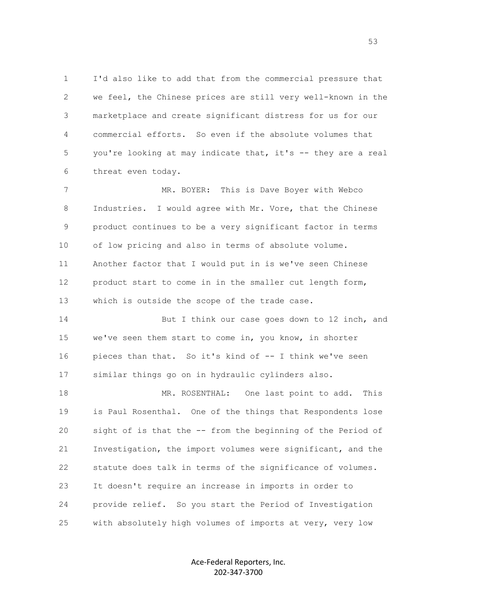1 I'd also like to add that from the commercial pressure that 2 we feel, the Chinese prices are still very well-known in the 3 marketplace and create significant distress for us for our 4 commercial efforts. So even if the absolute volumes that 5 you're looking at may indicate that, it's -- they are a real 6 threat even today.

 7 MR. BOYER: This is Dave Boyer with Webco 8 Industries. I would agree with Mr. Vore, that the Chinese 9 product continues to be a very significant factor in terms 10 of low pricing and also in terms of absolute volume. 11 Another factor that I would put in is we've seen Chinese 12 product start to come in in the smaller cut length form, 13 which is outside the scope of the trade case.

 14 But I think our case goes down to 12 inch, and 15 we've seen them start to come in, you know, in shorter 16 pieces than that. So it's kind of -- I think we've seen 17 similar things go on in hydraulic cylinders also.

 18 MR. ROSENTHAL: One last point to add. This 19 is Paul Rosenthal. One of the things that Respondents lose 20 sight of is that the -- from the beginning of the Period of 21 Investigation, the import volumes were significant, and the 22 statute does talk in terms of the significance of volumes. 23 It doesn't require an increase in imports in order to 24 provide relief. So you start the Period of Investigation 25 with absolutely high volumes of imports at very, very low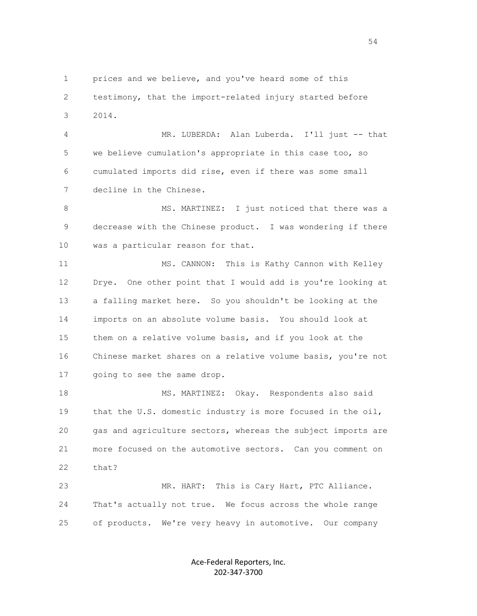1 prices and we believe, and you've heard some of this 2 testimony, that the import-related injury started before 3 2014.

 4 MR. LUBERDA: Alan Luberda. I'll just -- that 5 we believe cumulation's appropriate in this case too, so 6 cumulated imports did rise, even if there was some small 7 decline in the Chinese.

8 MS. MARTINEZ: I just noticed that there was a 9 decrease with the Chinese product. I was wondering if there 10 was a particular reason for that.

11 MS. CANNON: This is Kathy Cannon with Kelley 12 Drye. One other point that I would add is you're looking at 13 a falling market here. So you shouldn't be looking at the 14 imports on an absolute volume basis. You should look at 15 them on a relative volume basis, and if you look at the 16 Chinese market shares on a relative volume basis, you're not 17 going to see the same drop.

 18 MS. MARTINEZ: Okay. Respondents also said 19 that the U.S. domestic industry is more focused in the oil, 20 gas and agriculture sectors, whereas the subject imports are 21 more focused on the automotive sectors. Can you comment on 22 that? 23 MR. HART: This is Cary Hart, PTC Alliance.

 24 That's actually not true. We focus across the whole range 25 of products. We're very heavy in automotive. Our company

> Ace-Federal Reporters, Inc. 202-347-3700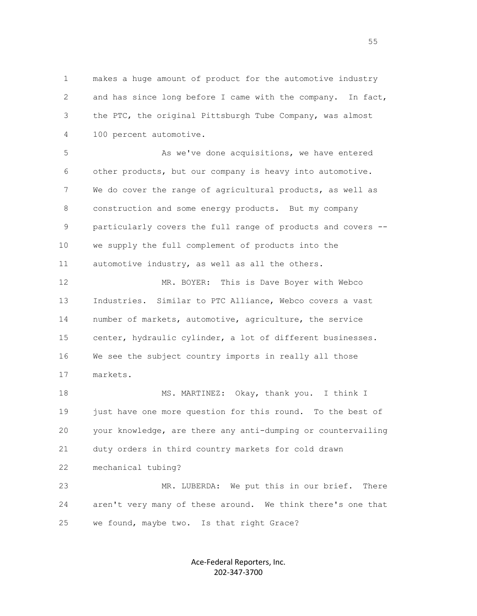1 makes a huge amount of product for the automotive industry 2 and has since long before I came with the company. In fact, 3 the PTC, the original Pittsburgh Tube Company, was almost 4 100 percent automotive.

 5 As we've done acquisitions, we have entered 6 other products, but our company is heavy into automotive. 7 We do cover the range of agricultural products, as well as 8 construction and some energy products. But my company 9 particularly covers the full range of products and covers -- 10 we supply the full complement of products into the 11 automotive industry, as well as all the others.

 12 MR. BOYER: This is Dave Boyer with Webco 13 Industries. Similar to PTC Alliance, Webco covers a vast 14 number of markets, automotive, agriculture, the service 15 center, hydraulic cylinder, a lot of different businesses. 16 We see the subject country imports in really all those 17 markets.

18 MS. MARTINEZ: Okay, thank you. I think I 19 just have one more question for this round. To the best of 20 your knowledge, are there any anti-dumping or countervailing 21 duty orders in third country markets for cold drawn 22 mechanical tubing? 23 MR. LUBERDA: We put this in our brief. There 24 aren't very many of these around. We think there's one that

25 we found, maybe two. Is that right Grace?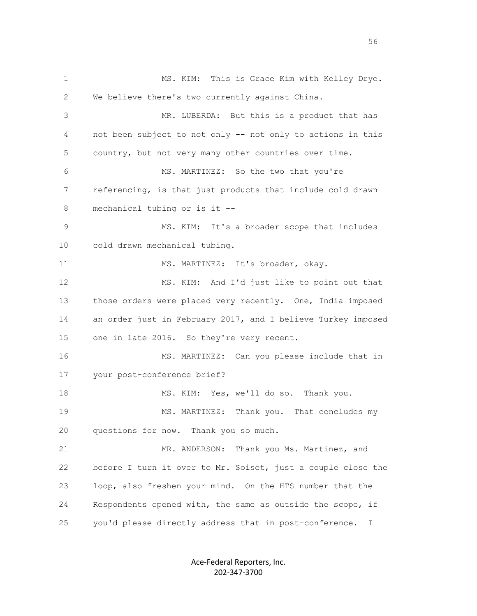1 MS. KIM: This is Grace Kim with Kelley Drye. 2 We believe there's two currently against China. 3 MR. LUBERDA: But this is a product that has 4 not been subject to not only -- not only to actions in this 5 country, but not very many other countries over time. 6 MS. MARTINEZ: So the two that you're 7 referencing, is that just products that include cold drawn 8 mechanical tubing or is it -- 9 MS. KIM: It's a broader scope that includes 10 cold drawn mechanical tubing. 11 MS. MARTINEZ: It's broader, okay. 12 MS. KIM: And I'd just like to point out that 13 those orders were placed very recently. One, India imposed 14 an order just in February 2017, and I believe Turkey imposed 15 one in late 2016. So they're very recent. 16 MS. MARTINEZ: Can you please include that in 17 your post-conference brief? 18 MS. KIM: Yes, we'll do so. Thank you. 19 MS. MARTINEZ: Thank you. That concludes my 20 questions for now. Thank you so much. 21 MR. ANDERSON: Thank you Ms. Martinez, and 22 before I turn it over to Mr. Soiset, just a couple close the 23 loop, also freshen your mind. On the HTS number that the 24 Respondents opened with, the same as outside the scope, if 25 you'd please directly address that in post-conference. I

> Ace-Federal Reporters, Inc. 202-347-3700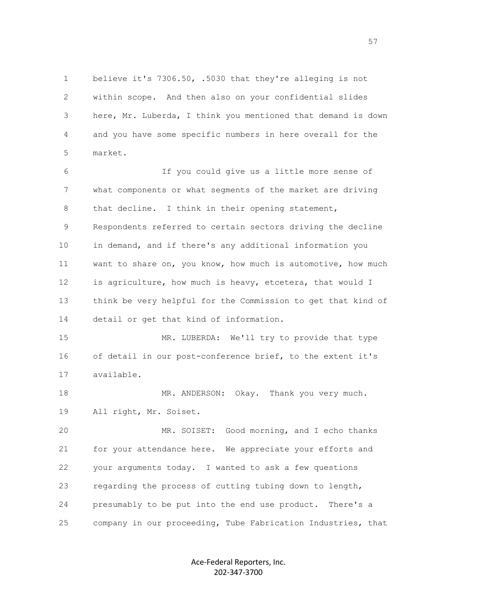1 believe it's 7306.50, .5030 that they're alleging is not 2 within scope. And then also on your confidential slides 3 here, Mr. Luberda, I think you mentioned that demand is down 4 and you have some specific numbers in here overall for the 5 market.

 6 If you could give us a little more sense of 7 what components or what segments of the market are driving 8 that decline. I think in their opening statement, 9 Respondents referred to certain sectors driving the decline 10 in demand, and if there's any additional information you 11 want to share on, you know, how much is automotive, how much 12 is agriculture, how much is heavy, etcetera, that would I 13 think be very helpful for the Commission to get that kind of 14 detail or get that kind of information.

 15 MR. LUBERDA: We'll try to provide that type 16 of detail in our post-conference brief, to the extent it's 17 available.

18 MR. ANDERSON: Okay. Thank you very much. 19 All right, Mr. Soiset.

 20 MR. SOISET: Good morning, and I echo thanks 21 for your attendance here. We appreciate your efforts and 22 your arguments today. I wanted to ask a few questions 23 regarding the process of cutting tubing down to length, 24 presumably to be put into the end use product. There's a 25 company in our proceeding, Tube Fabrication Industries, that

> Ace-Federal Reporters, Inc. 202-347-3700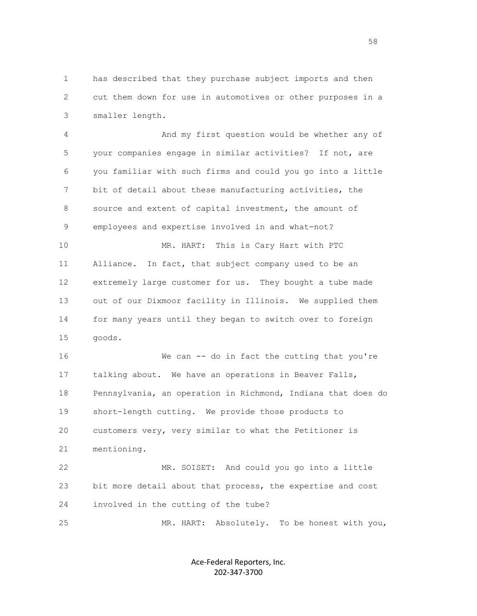1 has described that they purchase subject imports and then 2 cut them down for use in automotives or other purposes in a 3 smaller length.

 4 And my first question would be whether any of 5 your companies engage in similar activities? If not, are 6 you familiar with such firms and could you go into a little 7 bit of detail about these manufacturing activities, the 8 source and extent of capital investment, the amount of 9 employees and expertise involved in and what-not? 10 MR. HART: This is Cary Hart with PTC

 11 Alliance. In fact, that subject company used to be an 12 extremely large customer for us. They bought a tube made 13 out of our Dixmoor facility in Illinois. We supplied them 14 for many years until they began to switch over to foreign 15 goods.

 16 We can -- do in fact the cutting that you're 17 talking about. We have an operations in Beaver Falls, 18 Pennsylvania, an operation in Richmond, Indiana that does do 19 short-length cutting. We provide those products to 20 customers very, very similar to what the Petitioner is 21 mentioning.

 22 MR. SOISET: And could you go into a little 23 bit more detail about that process, the expertise and cost 24 involved in the cutting of the tube?

25 MR. HART: Absolutely. To be honest with you,

Ace-Federal Reporters, Inc. 202-347-3700

the state of the state of the state of the state of the state of the state of the state of the state of the state of the state of the state of the state of the state of the state of the state of the state of the state of t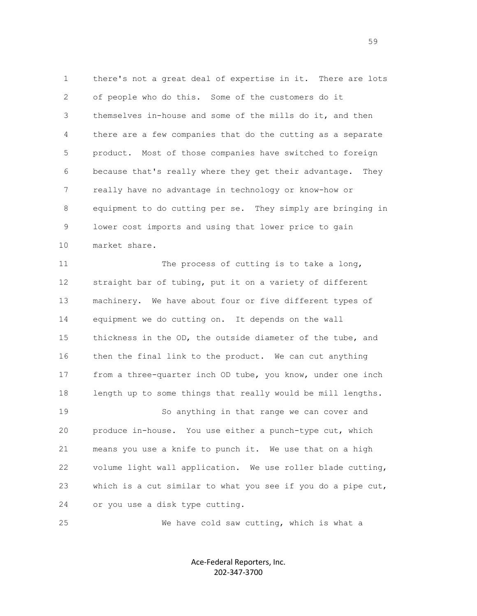1 there's not a great deal of expertise in it. There are lots 2 of people who do this. Some of the customers do it 3 themselves in-house and some of the mills do it, and then 4 there are a few companies that do the cutting as a separate 5 product. Most of those companies have switched to foreign 6 because that's really where they get their advantage. They 7 really have no advantage in technology or know-how or 8 equipment to do cutting per se. They simply are bringing in 9 lower cost imports and using that lower price to gain 10 market share.

 11 The process of cutting is to take a long, 12 straight bar of tubing, put it on a variety of different 13 machinery. We have about four or five different types of 14 equipment we do cutting on. It depends on the wall 15 thickness in the OD, the outside diameter of the tube, and 16 then the final link to the product. We can cut anything 17 from a three-quarter inch OD tube, you know, under one inch 18 length up to some things that really would be mill lengths. 19 So anything in that range we can cover and 20 produce in-house. You use either a punch-type cut, which 21 means you use a knife to punch it. We use that on a high 22 volume light wall application. We use roller blade cutting, 23 which is a cut similar to what you see if you do a pipe cut, 24 or you use a disk type cutting.

25 We have cold saw cutting, which is what a

Ace-Federal Reporters, Inc. 202-347-3700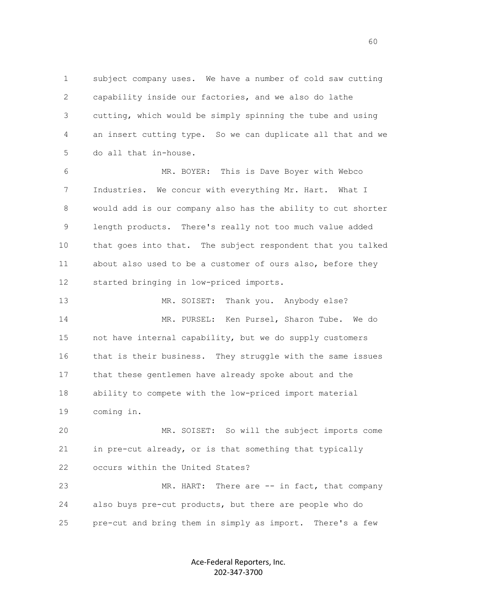1 subject company uses. We have a number of cold saw cutting 2 capability inside our factories, and we also do lathe 3 cutting, which would be simply spinning the tube and using 4 an insert cutting type. So we can duplicate all that and we 5 do all that in-house.

 6 MR. BOYER: This is Dave Boyer with Webco 7 Industries. We concur with everything Mr. Hart. What I 8 would add is our company also has the ability to cut shorter 9 length products. There's really not too much value added 10 that goes into that. The subject respondent that you talked 11 about also used to be a customer of ours also, before they 12 started bringing in low-priced imports.

13 MR. SOISET: Thank you. Anybody else? 14 MR. PURSEL: Ken Pursel, Sharon Tube. We do 15 not have internal capability, but we do supply customers 16 that is their business. They struggle with the same issues 17 that these gentlemen have already spoke about and the 18 ability to compete with the low-priced import material 19 coming in.

 20 MR. SOISET: So will the subject imports come 21 in pre-cut already, or is that something that typically 22 occurs within the United States?

23 MR. HART: There are -- in fact, that company 24 also buys pre-cut products, but there are people who do 25 pre-cut and bring them in simply as import. There's a few

> Ace-Federal Reporters, Inc. 202-347-3700

 $\sim$  60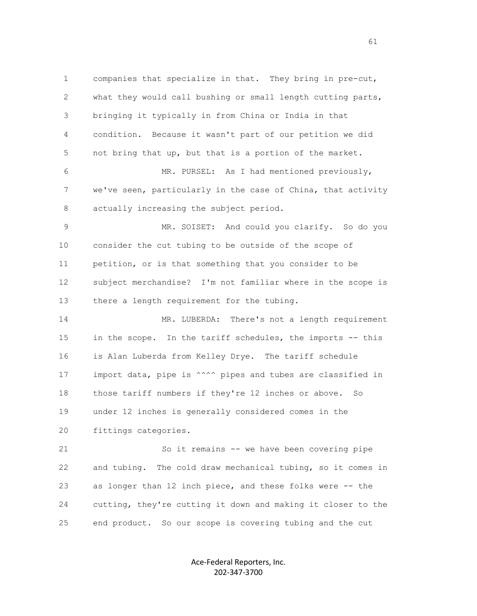1 companies that specialize in that. They bring in pre-cut, 2 what they would call bushing or small length cutting parts, 3 bringing it typically in from China or India in that 4 condition. Because it wasn't part of our petition we did 5 not bring that up, but that is a portion of the market. 6 MR. PURSEL: As I had mentioned previously, 7 we've seen, particularly in the case of China, that activity 8 actually increasing the subject period. 9 MR. SOISET: And could you clarify. So do you 10 consider the cut tubing to be outside of the scope of 11 petition, or is that something that you consider to be 12 subject merchandise? I'm not familiar where in the scope is 13 there a length requirement for the tubing. 14 MR. LUBERDA: There's not a length requirement 15 in the scope. In the tariff schedules, the imports -- this 16 is Alan Luberda from Kelley Drye. The tariff schedule 17 import data, pipe is  $\wedge^{\wedge\wedge\wedge}$  pipes and tubes are classified in 18 those tariff numbers if they're 12 inches or above. So 19 under 12 inches is generally considered comes in the 20 fittings categories. 21 So it remains -- we have been covering pipe 22 and tubing. The cold draw mechanical tubing, so it comes in 23 as longer than 12 inch piece, and these folks were -- the 24 cutting, they're cutting it down and making it closer to the 25 end product. So our scope is covering tubing and the cut

> Ace-Federal Reporters, Inc. 202-347-3700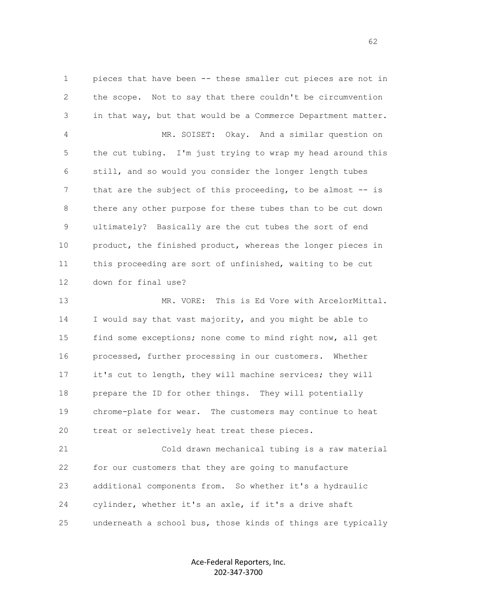1 pieces that have been -- these smaller cut pieces are not in 2 the scope. Not to say that there couldn't be circumvention 3 in that way, but that would be a Commerce Department matter. 4 MR. SOISET: Okay. And a similar question on 5 the cut tubing. I'm just trying to wrap my head around this 6 still, and so would you consider the longer length tubes 7 that are the subject of this proceeding, to be almost -- is 8 there any other purpose for these tubes than to be cut down 9 ultimately? Basically are the cut tubes the sort of end 10 product, the finished product, whereas the longer pieces in 11 this proceeding are sort of unfinished, waiting to be cut 12 down for final use?

 13 MR. VORE: This is Ed Vore with ArcelorMittal. 14 I would say that vast majority, and you might be able to 15 find some exceptions; none come to mind right now, all get 16 processed, further processing in our customers. Whether 17 it's cut to length, they will machine services; they will 18 prepare the ID for other things. They will potentially 19 chrome-plate for wear. The customers may continue to heat 20 treat or selectively heat treat these pieces.

 21 Cold drawn mechanical tubing is a raw material 22 for our customers that they are going to manufacture 23 additional components from. So whether it's a hydraulic 24 cylinder, whether it's an axle, if it's a drive shaft 25 underneath a school bus, those kinds of things are typically

> Ace-Federal Reporters, Inc. 202-347-3700

 $\sim$  62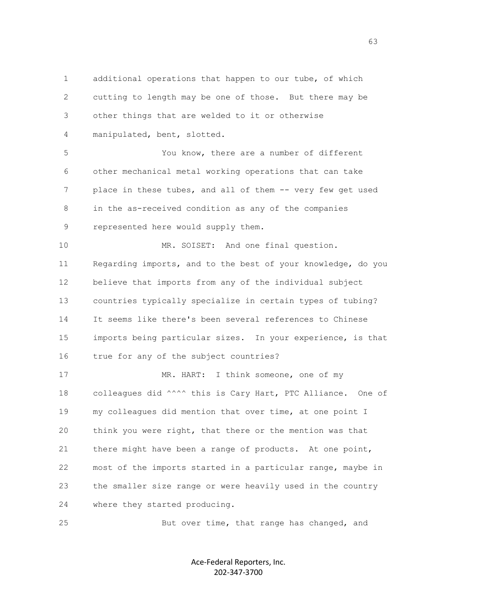1 additional operations that happen to our tube, of which 2 cutting to length may be one of those. But there may be 3 other things that are welded to it or otherwise 4 manipulated, bent, slotted. 5 You know, there are a number of different 6 other mechanical metal working operations that can take 7 place in these tubes, and all of them -- very few get used 8 in the as-received condition as any of the companies 9 represented here would supply them. 10 MR. SOISET: And one final question. 11 Regarding imports, and to the best of your knowledge, do you 12 believe that imports from any of the individual subject 13 countries typically specialize in certain types of tubing? 14 It seems like there's been several references to Chinese 15 imports being particular sizes. In your experience, is that 16 true for any of the subject countries? 17 MR. HART: I think someone, one of my 18 colleagues did ^^^^ this is Cary Hart, PTC Alliance. One of 19 my colleagues did mention that over time, at one point I 20 think you were right, that there or the mention was that 21 there might have been a range of products. At one point, 22 most of the imports started in a particular range, maybe in 23 the smaller size range or were heavily used in the country 24 where they started producing.

25 But over time, that range has changed, and

Ace-Federal Reporters, Inc. 202-347-3700

 $\sim$  63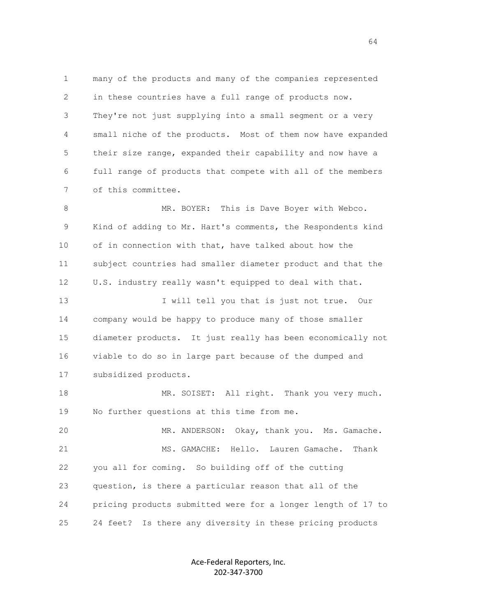1 many of the products and many of the companies represented 2 in these countries have a full range of products now. 3 They're not just supplying into a small segment or a very 4 small niche of the products. Most of them now have expanded 5 their size range, expanded their capability and now have a 6 full range of products that compete with all of the members 7 of this committee.

 8 MR. BOYER: This is Dave Boyer with Webco. 9 Kind of adding to Mr. Hart's comments, the Respondents kind 10 of in connection with that, have talked about how the 11 subject countries had smaller diameter product and that the 12 U.S. industry really wasn't equipped to deal with that. 13 I will tell you that is just not true. Our 14 company would be happy to produce many of those smaller 15 diameter products. It just really has been economically not 16 viable to do so in large part because of the dumped and 17 subsidized products. 18 MR. SOISET: All right. Thank you very much. 19 No further questions at this time from me. 20 MR. ANDERSON: Okay, thank you. Ms. Gamache. 21 MS. GAMACHE: Hello. Lauren Gamache. Thank 22 you all for coming. So building off of the cutting 23 question, is there a particular reason that all of the 24 pricing products submitted were for a longer length of 17 to 25 24 feet? Is there any diversity in these pricing products

> Ace-Federal Reporters, Inc. 202-347-3700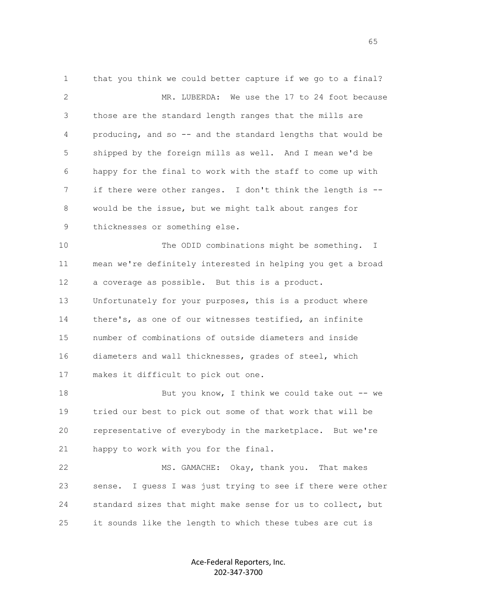1 that you think we could better capture if we go to a final? 2 MR. LUBERDA: We use the 17 to 24 foot because 3 those are the standard length ranges that the mills are 4 producing, and so -- and the standard lengths that would be 5 shipped by the foreign mills as well. And I mean we'd be 6 happy for the final to work with the staff to come up with 7 if there were other ranges. I don't think the length is -- 8 would be the issue, but we might talk about ranges for 9 thicknesses or something else. 10 The ODID combinations might be something. I 11 mean we're definitely interested in helping you get a broad 12 a coverage as possible. But this is a product. 13 Unfortunately for your purposes, this is a product where 14 there's, as one of our witnesses testified, an infinite 15 number of combinations of outside diameters and inside 16 diameters and wall thicknesses, grades of steel, which 17 makes it difficult to pick out one. 18 But you know, I think we could take out -- we 19 tried our best to pick out some of that work that will be 20 representative of everybody in the marketplace. But we're 21 happy to work with you for the final. 22 MS. GAMACHE: Okay, thank you. That makes 23 sense. I guess I was just trying to see if there were other 24 standard sizes that might make sense for us to collect, but

> Ace-Federal Reporters, Inc. 202-347-3700

25 it sounds like the length to which these tubes are cut is

 $\sim$  65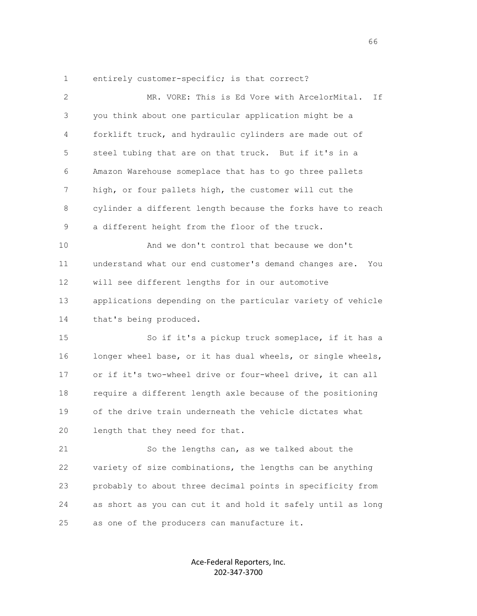1 entirely customer-specific; is that correct?

| 2  | MR. VORE: This is Ed Vore with ArcelorMital.<br>If            |
|----|---------------------------------------------------------------|
| 3  | you think about one particular application might be a         |
| 4  | forklift truck, and hydraulic cylinders are made out of       |
| 5  | steel tubing that are on that truck. But if it's in a         |
| 6  | Amazon Warehouse someplace that has to go three pallets       |
| 7  | high, or four pallets high, the customer will cut the         |
| 8  | cylinder a different length because the forks have to reach   |
| 9  | a different height from the floor of the truck.               |
| 10 | And we don't control that because we don't                    |
| 11 | understand what our end customer's demand changes are.<br>You |
| 12 | will see different lengths for in our automotive              |
| 13 | applications depending on the particular variety of vehicle   |
| 14 | that's being produced.                                        |
| 15 | So if it's a pickup truck someplace, if it has a              |
| 16 | longer wheel base, or it has dual wheels, or single wheels,   |
| 17 | or if it's two-wheel drive or four-wheel drive, it can all    |
| 18 | require a different length axle because of the positioning    |
| 19 | of the drive train underneath the vehicle dictates what       |
| 20 | length that they need for that.                               |
| 21 | So the lengths can, as we talked about the                    |
| 22 | variety of size combinations, the lengths can be anything     |
| 23 | probably to about three decimal points in specificity from    |
| 24 | as short as you can cut it and hold it safely until as long   |
| 25 | as one of the producers can manufacture it.                   |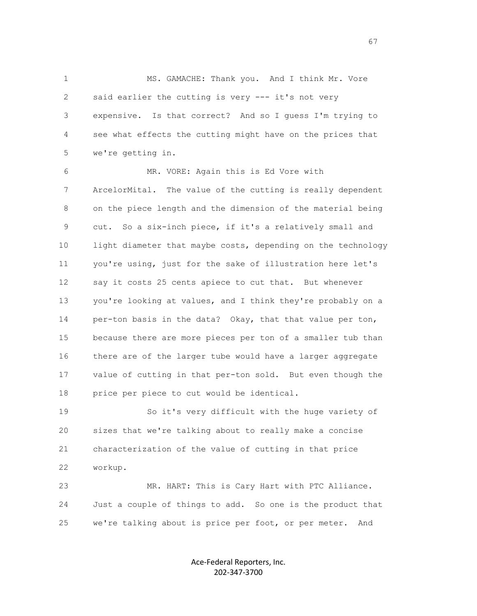1 MS. GAMACHE: Thank you. And I think Mr. Vore 2 said earlier the cutting is very --- it's not very 3 expensive. Is that correct? And so I guess I'm trying to 4 see what effects the cutting might have on the prices that 5 we're getting in.

 6 MR. VORE: Again this is Ed Vore with 7 ArcelorMital. The value of the cutting is really dependent 8 on the piece length and the dimension of the material being 9 cut. So a six-inch piece, if it's a relatively small and 10 light diameter that maybe costs, depending on the technology 11 you're using, just for the sake of illustration here let's 12 say it costs 25 cents apiece to cut that. But whenever 13 you're looking at values, and I think they're probably on a 14 per-ton basis in the data? Okay, that that value per ton, 15 because there are more pieces per ton of a smaller tub than 16 there are of the larger tube would have a larger aggregate 17 value of cutting in that per-ton sold. But even though the 18 price per piece to cut would be identical.

 19 So it's very difficult with the huge variety of 20 sizes that we're talking about to really make a concise 21 characterization of the value of cutting in that price 22 workup.

 23 MR. HART: This is Cary Hart with PTC Alliance. 24 Just a couple of things to add. So one is the product that 25 we're talking about is price per foot, or per meter. And

> Ace-Federal Reporters, Inc. 202-347-3700

 $\sim$  67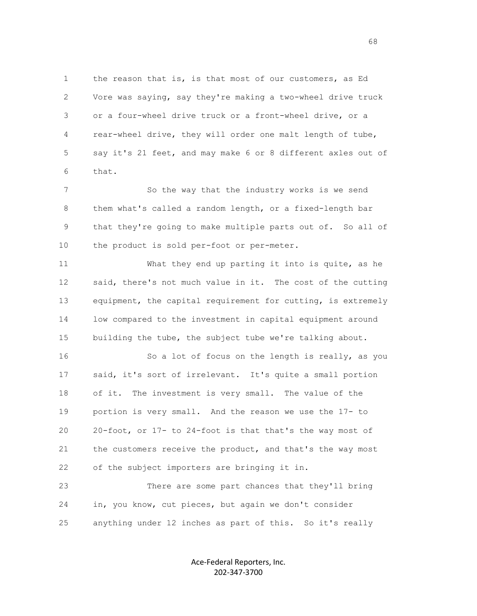1 the reason that is, is that most of our customers, as Ed 2 Vore was saying, say they're making a two-wheel drive truck 3 or a four-wheel drive truck or a front-wheel drive, or a 4 rear-wheel drive, they will order one malt length of tube, 5 say it's 21 feet, and may make 6 or 8 different axles out of 6 that.

7 So the way that the industry works is we send 8 them what's called a random length, or a fixed-length bar 9 that they're going to make multiple parts out of. So all of 10 the product is sold per-foot or per-meter.

 11 What they end up parting it into is quite, as he 12 said, there's not much value in it. The cost of the cutting 13 equipment, the capital requirement for cutting, is extremely 14 low compared to the investment in capital equipment around 15 building the tube, the subject tube we're talking about.

 16 So a lot of focus on the length is really, as you 17 said, it's sort of irrelevant. It's quite a small portion 18 of it. The investment is very small. The value of the 19 portion is very small. And the reason we use the 17- to 20 20-foot, or 17- to 24-foot is that that's the way most of 21 the customers receive the product, and that's the way most 22 of the subject importers are bringing it in.

 23 There are some part chances that they'll bring 24 in, you know, cut pieces, but again we don't consider 25 anything under 12 inches as part of this. So it's really

> Ace-Federal Reporters, Inc. 202-347-3700

 $\sim$  68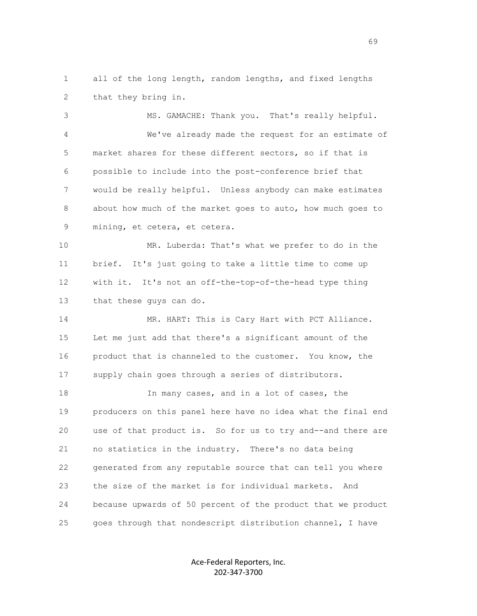1 all of the long length, random lengths, and fixed lengths 2 that they bring in.

 3 MS. GAMACHE: Thank you. That's really helpful. 4 We've already made the request for an estimate of 5 market shares for these different sectors, so if that is 6 possible to include into the post-conference brief that 7 would be really helpful. Unless anybody can make estimates 8 about how much of the market goes to auto, how much goes to 9 mining, et cetera, et cetera.

 10 MR. Luberda: That's what we prefer to do in the 11 brief. It's just going to take a little time to come up 12 with it. It's not an off-the-top-of-the-head type thing 13 that these guys can do.

 14 MR. HART: This is Cary Hart with PCT Alliance. 15 Let me just add that there's a significant amount of the 16 product that is channeled to the customer. You know, the 17 supply chain goes through a series of distributors.

18 In many cases, and in a lot of cases, the 19 producers on this panel here have no idea what the final end 20 use of that product is. So for us to try and--and there are 21 no statistics in the industry. There's no data being 22 generated from any reputable source that can tell you where 23 the size of the market is for individual markets. And 24 because upwards of 50 percent of the product that we product 25 goes through that nondescript distribution channel, I have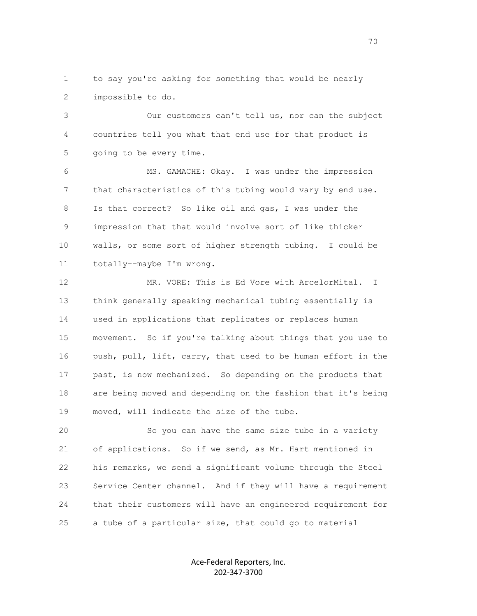1 to say you're asking for something that would be nearly 2 impossible to do.

 3 Our customers can't tell us, nor can the subject 4 countries tell you what that end use for that product is 5 going to be every time.

 6 MS. GAMACHE: Okay. I was under the impression 7 that characteristics of this tubing would vary by end use. 8 Is that correct? So like oil and gas, I was under the 9 impression that that would involve sort of like thicker 10 walls, or some sort of higher strength tubing. I could be 11 totally--maybe I'm wrong.

 12 MR. VORE: This is Ed Vore with ArcelorMital. I 13 think generally speaking mechanical tubing essentially is 14 used in applications that replicates or replaces human 15 movement. So if you're talking about things that you use to 16 push, pull, lift, carry, that used to be human effort in the 17 past, is now mechanized. So depending on the products that 18 are being moved and depending on the fashion that it's being 19 moved, will indicate the size of the tube.

 20 So you can have the same size tube in a variety 21 of applications. So if we send, as Mr. Hart mentioned in 22 his remarks, we send a significant volume through the Steel 23 Service Center channel. And if they will have a requirement 24 that their customers will have an engineered requirement for 25 a tube of a particular size, that could go to material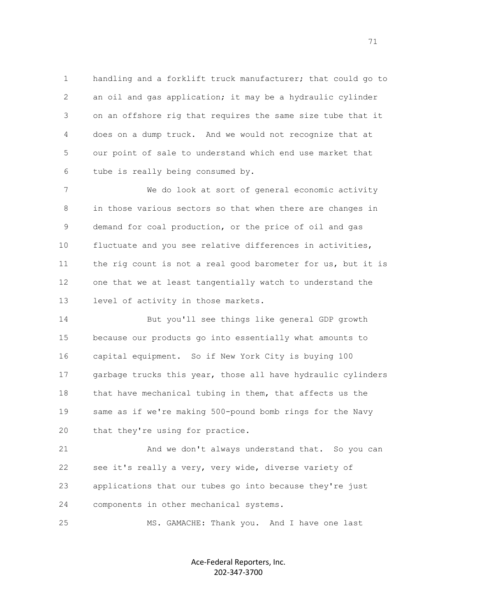1 handling and a forklift truck manufacturer; that could go to 2 an oil and gas application; it may be a hydraulic cylinder 3 on an offshore rig that requires the same size tube that it 4 does on a dump truck. And we would not recognize that at 5 our point of sale to understand which end use market that 6 tube is really being consumed by.

 7 We do look at sort of general economic activity 8 in those various sectors so that when there are changes in 9 demand for coal production, or the price of oil and gas 10 fluctuate and you see relative differences in activities, 11 the rig count is not a real good barometer for us, but it is 12 one that we at least tangentially watch to understand the 13 level of activity in those markets.

 14 But you'll see things like general GDP growth 15 because our products go into essentially what amounts to 16 capital equipment. So if New York City is buying 100 17 garbage trucks this year, those all have hydraulic cylinders 18 that have mechanical tubing in them, that affects us the 19 same as if we're making 500-pound bomb rings for the Navy 20 that they're using for practice.

 21 And we don't always understand that. So you can 22 see it's really a very, very wide, diverse variety of 23 applications that our tubes go into because they're just 24 components in other mechanical systems.

25 MS. GAMACHE: Thank you. And I have one last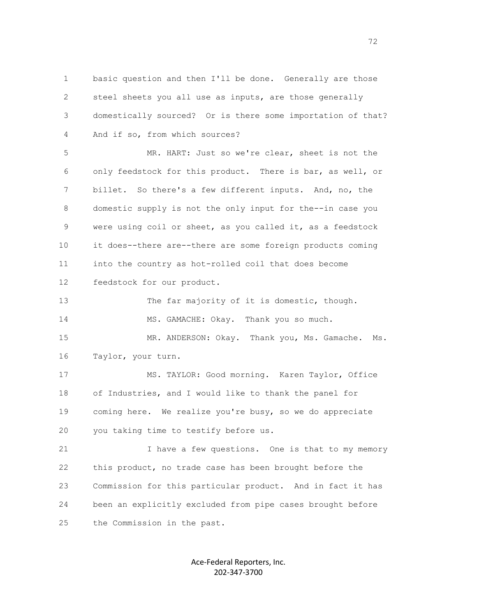1 basic question and then I'll be done. Generally are those 2 steel sheets you all use as inputs, are those generally 3 domestically sourced? Or is there some importation of that? 4 And if so, from which sources?

 5 MR. HART: Just so we're clear, sheet is not the 6 only feedstock for this product. There is bar, as well, or 7 billet. So there's a few different inputs. And, no, the 8 domestic supply is not the only input for the--in case you 9 were using coil or sheet, as you called it, as a feedstock 10 it does--there are--there are some foreign products coming 11 into the country as hot-rolled coil that does become 12 feedstock for our product.

 13 The far majority of it is domestic, though. 14 MS. GAMACHE: Okay. Thank you so much. 15 MR. ANDERSON: Okay. Thank you, Ms. Gamache. Ms.

16 Taylor, your turn.

 17 MS. TAYLOR: Good morning. Karen Taylor, Office 18 of Industries, and I would like to thank the panel for 19 coming here. We realize you're busy, so we do appreciate 20 you taking time to testify before us.

21 I have a few questions. One is that to my memory 22 this product, no trade case has been brought before the 23 Commission for this particular product. And in fact it has 24 been an explicitly excluded from pipe cases brought before 25 the Commission in the past.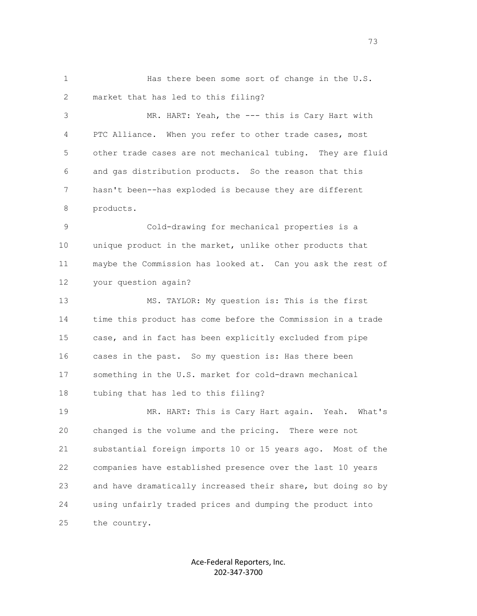1 Has there been some sort of change in the U.S. 2 market that has led to this filing?

 3 MR. HART: Yeah, the --- this is Cary Hart with 4 PTC Alliance. When you refer to other trade cases, most 5 other trade cases are not mechanical tubing. They are fluid 6 and gas distribution products. So the reason that this 7 hasn't been--has exploded is because they are different 8 products.

 9 Cold-drawing for mechanical properties is a 10 unique product in the market, unlike other products that 11 maybe the Commission has looked at. Can you ask the rest of 12 your question again?

 13 MS. TAYLOR: My question is: This is the first 14 time this product has come before the Commission in a trade 15 case, and in fact has been explicitly excluded from pipe 16 cases in the past. So my question is: Has there been 17 something in the U.S. market for cold-drawn mechanical 18 tubing that has led to this filing?

 19 MR. HART: This is Cary Hart again. Yeah. What's 20 changed is the volume and the pricing. There were not 21 substantial foreign imports 10 or 15 years ago. Most of the 22 companies have established presence over the last 10 years 23 and have dramatically increased their share, but doing so by 24 using unfairly traded prices and dumping the product into 25 the country.

> Ace-Federal Reporters, Inc. 202-347-3700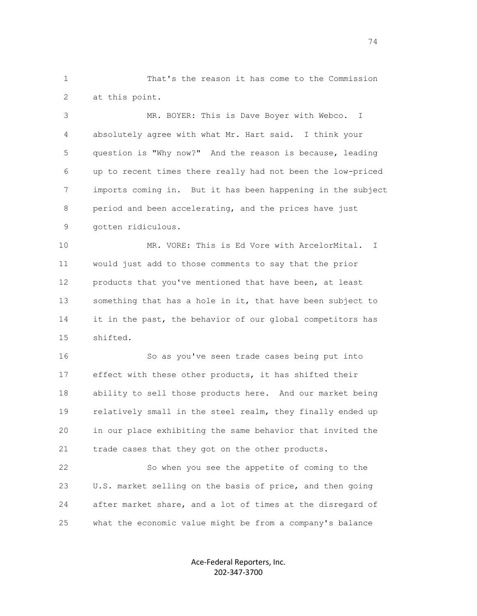1 That's the reason it has come to the Commission 2 at this point.

 3 MR. BOYER: This is Dave Boyer with Webco. I 4 absolutely agree with what Mr. Hart said. I think your 5 question is "Why now?" And the reason is because, leading 6 up to recent times there really had not been the low-priced 7 imports coming in. But it has been happening in the subject 8 period and been accelerating, and the prices have just 9 gotten ridiculous.

 10 MR. VORE: This is Ed Vore with ArcelorMital. I 11 would just add to those comments to say that the prior 12 products that you've mentioned that have been, at least 13 something that has a hole in it, that have been subject to 14 it in the past, the behavior of our global competitors has 15 shifted.

 16 So as you've seen trade cases being put into 17 effect with these other products, it has shifted their 18 ability to sell those products here. And our market being 19 relatively small in the steel realm, they finally ended up 20 in our place exhibiting the same behavior that invited the 21 trade cases that they got on the other products.

 22 So when you see the appetite of coming to the 23 U.S. market selling on the basis of price, and then going 24 after market share, and a lot of times at the disregard of 25 what the economic value might be from a company's balance

> Ace-Federal Reporters, Inc. 202-347-3700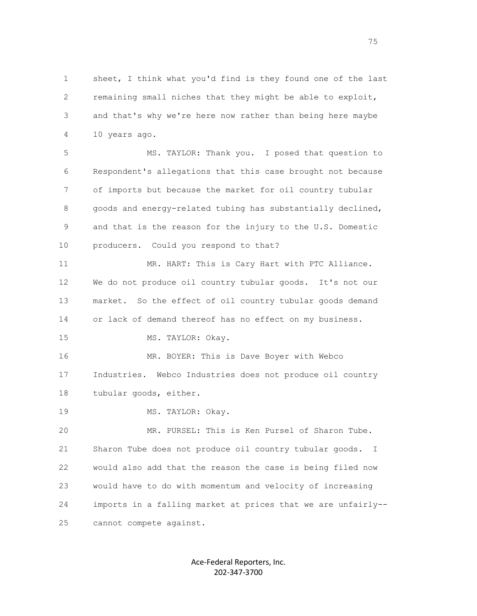1 sheet, I think what you'd find is they found one of the last 2 remaining small niches that they might be able to exploit, 3 and that's why we're here now rather than being here maybe 4 10 years ago.

 5 MS. TAYLOR: Thank you. I posed that question to 6 Respondent's allegations that this case brought not because 7 of imports but because the market for oil country tubular 8 goods and energy-related tubing has substantially declined, 9 and that is the reason for the injury to the U.S. Domestic 10 producers. Could you respond to that?

 11 MR. HART: This is Cary Hart with PTC Alliance. 12 We do not produce oil country tubular goods. It's not our 13 market. So the effect of oil country tubular goods demand 14 or lack of demand thereof has no effect on my business. 15 MS. TAYLOR: Okay. 16 MR. BOYER: This is Dave Boyer with Webco 17 Industries. Webco Industries does not produce oil country

18 tubular goods, either.

19 MS. TAYLOR: Okay.

 20 MR. PURSEL: This is Ken Pursel of Sharon Tube. 21 Sharon Tube does not produce oil country tubular goods. I 22 would also add that the reason the case is being filed now 23 would have to do with momentum and velocity of increasing 24 imports in a falling market at prices that we are unfairly-- 25 cannot compete against.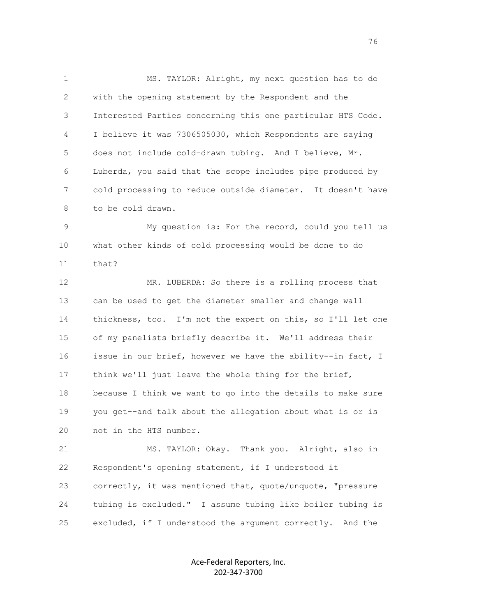1 MS. TAYLOR: Alright, my next question has to do 2 with the opening statement by the Respondent and the 3 Interested Parties concerning this one particular HTS Code. 4 I believe it was 7306505030, which Respondents are saying 5 does not include cold-drawn tubing. And I believe, Mr. 6 Luberda, you said that the scope includes pipe produced by 7 cold processing to reduce outside diameter. It doesn't have 8 to be cold drawn.

 9 My question is: For the record, could you tell us 10 what other kinds of cold processing would be done to do 11 that?

 12 MR. LUBERDA: So there is a rolling process that 13 can be used to get the diameter smaller and change wall 14 thickness, too. I'm not the expert on this, so I'll let one 15 of my panelists briefly describe it. We'll address their 16 issue in our brief, however we have the ability--in fact, I 17 think we'll just leave the whole thing for the brief, 18 because I think we want to go into the details to make sure 19 you get--and talk about the allegation about what is or is 20 not in the HTS number.

 21 MS. TAYLOR: Okay. Thank you. Alright, also in 22 Respondent's opening statement, if I understood it 23 correctly, it was mentioned that, quote/unquote, "pressure 24 tubing is excluded." I assume tubing like boiler tubing is 25 excluded, if I understood the argument correctly. And the

> Ace-Federal Reporters, Inc. 202-347-3700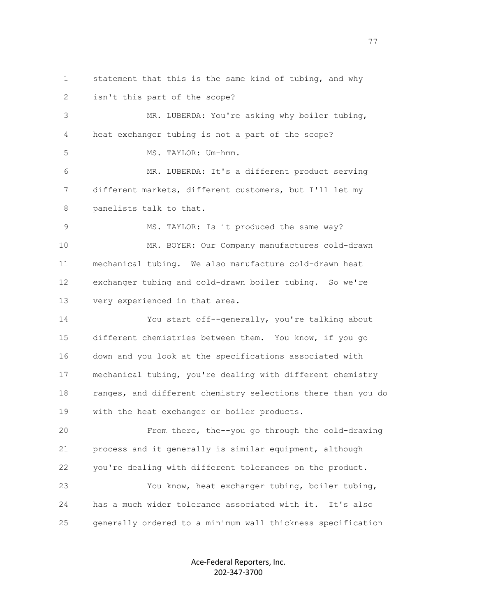1 statement that this is the same kind of tubing, and why 2 isn't this part of the scope?

 3 MR. LUBERDA: You're asking why boiler tubing, 4 heat exchanger tubing is not a part of the scope?

5 MS. TAYLOR: Um-hmm.

 6 MR. LUBERDA: It's a different product serving 7 different markets, different customers, but I'll let my 8 panelists talk to that.

9 MS. TAYLOR: Is it produced the same way? 10 MR. BOYER: Our Company manufactures cold-drawn 11 mechanical tubing. We also manufacture cold-drawn heat 12 exchanger tubing and cold-drawn boiler tubing. So we're 13 very experienced in that area.

 14 You start off--generally, you're talking about 15 different chemistries between them. You know, if you go 16 down and you look at the specifications associated with 17 mechanical tubing, you're dealing with different chemistry 18 ranges, and different chemistry selections there than you do 19 with the heat exchanger or boiler products.

 20 From there, the--you go through the cold-drawing 21 process and it generally is similar equipment, although 22 you're dealing with different tolerances on the product. 23 You know, heat exchanger tubing, boiler tubing, 24 has a much wider tolerance associated with it. It's also 25 generally ordered to a minimum wall thickness specification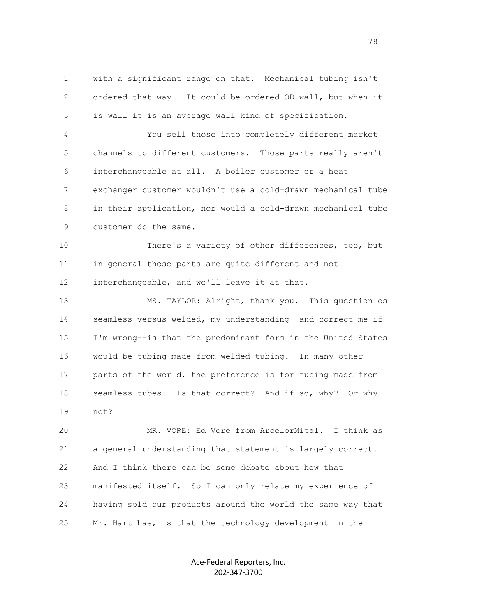1 with a significant range on that. Mechanical tubing isn't 2 ordered that way. It could be ordered OD wall, but when it 3 is wall it is an average wall kind of specification.

 4 You sell those into completely different market 5 channels to different customers. Those parts really aren't 6 interchangeable at all. A boiler customer or a heat 7 exchanger customer wouldn't use a cold-drawn mechanical tube 8 in their application, nor would a cold-drawn mechanical tube 9 customer do the same.

 10 There's a variety of other differences, too, but 11 in general those parts are quite different and not 12 interchangeable, and we'll leave it at that.

 13 MS. TAYLOR: Alright, thank you. This question os 14 seamless versus welded, my understanding--and correct me if 15 I'm wrong--is that the predominant form in the United States 16 would be tubing made from welded tubing. In many other 17 parts of the world, the preference is for tubing made from 18 seamless tubes. Is that correct? And if so, why? Or why 19 not?

 20 MR. VORE: Ed Vore from ArcelorMital. I think as 21 a general understanding that statement is largely correct. 22 And I think there can be some debate about how that 23 manifested itself. So I can only relate my experience of 24 having sold our products around the world the same way that 25 Mr. Hart has, is that the technology development in the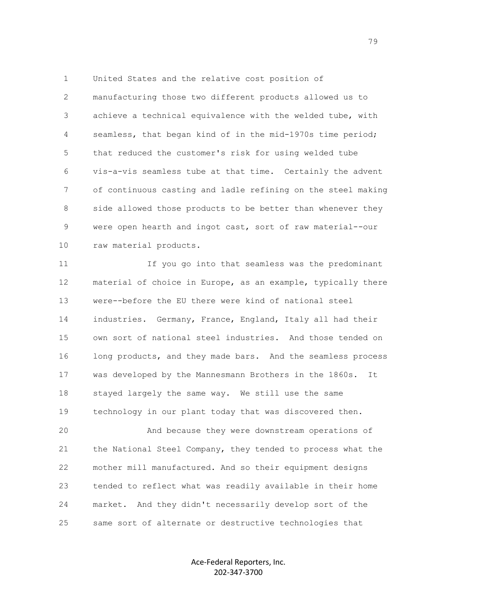1 United States and the relative cost position of 2 manufacturing those two different products allowed us to 3 achieve a technical equivalence with the welded tube, with 4 seamless, that began kind of in the mid-1970s time period; 5 that reduced the customer's risk for using welded tube 6 vis-a-vis seamless tube at that time. Certainly the advent 7 of continuous casting and ladle refining on the steel making 8 side allowed those products to be better than whenever they 9 were open hearth and ingot cast, sort of raw material--our 10 raw material products.

 11 If you go into that seamless was the predominant 12 material of choice in Europe, as an example, typically there 13 were--before the EU there were kind of national steel 14 industries. Germany, France, England, Italy all had their 15 own sort of national steel industries. And those tended on 16 long products, and they made bars. And the seamless process 17 was developed by the Mannesmann Brothers in the 1860s. It 18 stayed largely the same way. We still use the same 19 technology in our plant today that was discovered then.

 20 And because they were downstream operations of 21 the National Steel Company, they tended to process what the 22 mother mill manufactured. And so their equipment designs 23 tended to reflect what was readily available in their home 24 market. And they didn't necessarily develop sort of the 25 same sort of alternate or destructive technologies that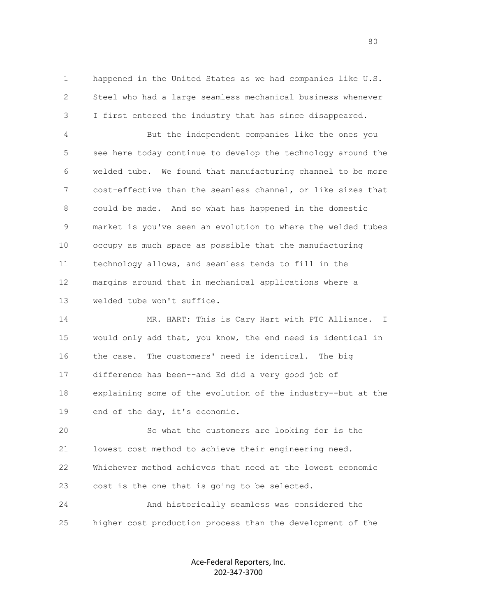1 happened in the United States as we had companies like U.S. 2 Steel who had a large seamless mechanical business whenever 3 I first entered the industry that has since disappeared.

 4 But the independent companies like the ones you 5 see here today continue to develop the technology around the 6 welded tube. We found that manufacturing channel to be more 7 cost-effective than the seamless channel, or like sizes that 8 could be made. And so what has happened in the domestic 9 market is you've seen an evolution to where the welded tubes 10 occupy as much space as possible that the manufacturing 11 technology allows, and seamless tends to fill in the 12 margins around that in mechanical applications where a 13 welded tube won't suffice.

 14 MR. HART: This is Cary Hart with PTC Alliance. I 15 would only add that, you know, the end need is identical in 16 the case. The customers' need is identical. The big 17 difference has been--and Ed did a very good job of 18 explaining some of the evolution of the industry--but at the 19 end of the day, it's economic.

 20 So what the customers are looking for is the 21 lowest cost method to achieve their engineering need. 22 Whichever method achieves that need at the lowest economic 23 cost is the one that is going to be selected.

 24 And historically seamless was considered the 25 higher cost production process than the development of the

> Ace-Federal Reporters, Inc. 202-347-3700

en de la construction de la construction de la construction de la construction de la construction de la constr<br>1980 : le construction de la construction de la construction de la construction de la construction de la const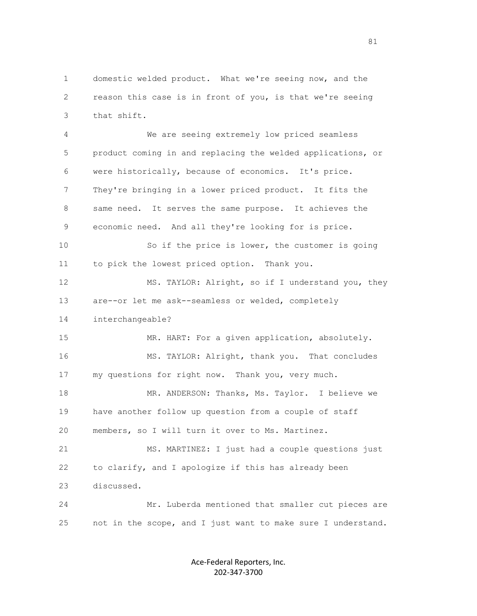1 domestic welded product. What we're seeing now, and the 2 reason this case is in front of you, is that we're seeing 3 that shift.

 4 We are seeing extremely low priced seamless 5 product coming in and replacing the welded applications, or 6 were historically, because of economics. It's price. 7 They're bringing in a lower priced product. It fits the 8 same need. It serves the same purpose. It achieves the 9 economic need. And all they're looking for is price. 10 So if the price is lower, the customer is going 11 to pick the lowest priced option. Thank you. 12 MS. TAYLOR: Alright, so if I understand you, they 13 are--or let me ask--seamless or welded, completely 14 interchangeable? 15 MR. HART: For a given application, absolutely. 16 MS. TAYLOR: Alright, thank you. That concludes 17 my questions for right now. Thank you, very much. 18 MR. ANDERSON: Thanks, Ms. Taylor. I believe we 19 have another follow up question from a couple of staff 20 members, so I will turn it over to Ms. Martinez. 21 MS. MARTINEZ: I just had a couple questions just 22 to clarify, and I apologize if this has already been 23 discussed. 24 Mr. Luberda mentioned that smaller cut pieces are 25 not in the scope, and I just want to make sure I understand.

> Ace-Federal Reporters, Inc. 202-347-3700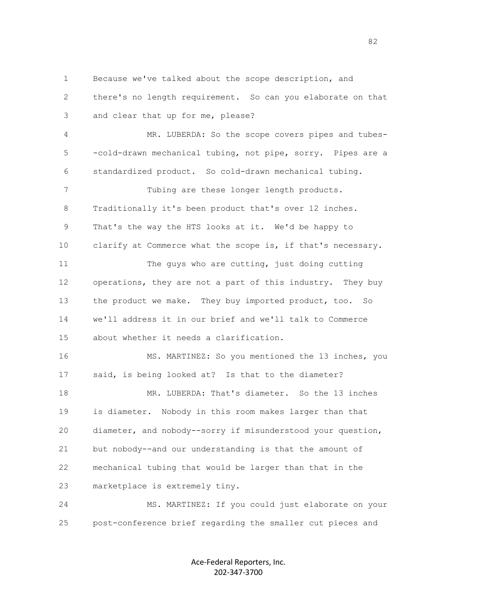1 Because we've talked about the scope description, and

 2 there's no length requirement. So can you elaborate on that 3 and clear that up for me, please?

 4 MR. LUBERDA: So the scope covers pipes and tubes- 5 -cold-drawn mechanical tubing, not pipe, sorry. Pipes are a 6 standardized product. So cold-drawn mechanical tubing.

 7 Tubing are these longer length products. 8 Traditionally it's been product that's over 12 inches. 9 That's the way the HTS looks at it. We'd be happy to 10 clarify at Commerce what the scope is, if that's necessary.

 11 The guys who are cutting, just doing cutting 12 operations, they are not a part of this industry. They buy 13 the product we make. They buy imported product, too. So 14 we'll address it in our brief and we'll talk to Commerce 15 about whether it needs a clarification.

 16 MS. MARTINEZ: So you mentioned the 13 inches, you 17 said, is being looked at? Is that to the diameter? 18 MR. LUBERDA: That's diameter. So the 13 inches 19 is diameter. Nobody in this room makes larger than that 20 diameter, and nobody--sorry if misunderstood your question, 21 but nobody--and our understanding is that the amount of 22 mechanical tubing that would be larger than that in the 23 marketplace is extremely tiny.

 24 MS. MARTINEZ: If you could just elaborate on your 25 post-conference brief regarding the smaller cut pieces and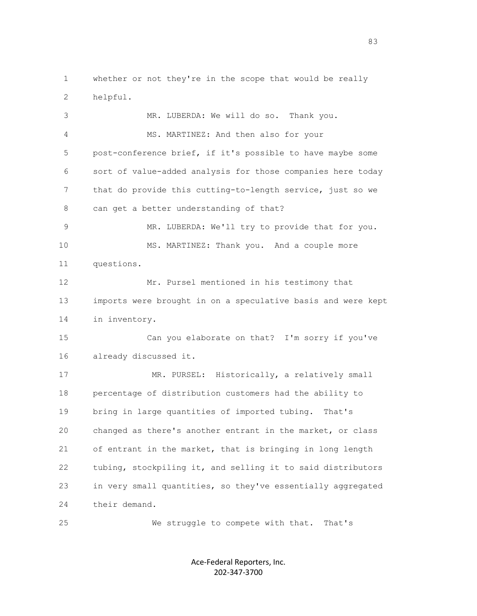1 whether or not they're in the scope that would be really 2 helpful.

 3 MR. LUBERDA: We will do so. Thank you. 4 MS. MARTINEZ: And then also for your 5 post-conference brief, if it's possible to have maybe some 6 sort of value-added analysis for those companies here today 7 that do provide this cutting-to-length service, just so we 8 can get a better understanding of that? 9 MR. LUBERDA: We'll try to provide that for you. 10 MS. MARTINEZ: Thank you. And a couple more 11 questions. 12 Mr. Pursel mentioned in his testimony that 13 imports were brought in on a speculative basis and were kept 14 in inventory. 15 Can you elaborate on that? I'm sorry if you've 16 already discussed it. 17 MR. PURSEL: Historically, a relatively small 18 percentage of distribution customers had the ability to 19 bring in large quantities of imported tubing. That's 20 changed as there's another entrant in the market, or class 21 of entrant in the market, that is bringing in long length 22 tubing, stockpiling it, and selling it to said distributors 23 in very small quantities, so they've essentially aggregated 24 their demand.

25 We struggle to compete with that. That's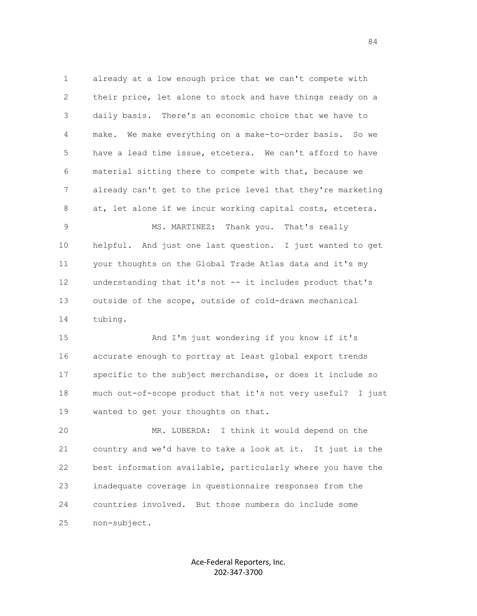1 already at a low enough price that we can't compete with 2 their price, let alone to stock and have things ready on a 3 daily basis. There's an economic choice that we have to 4 make. We make everything on a make-to-order basis. So we 5 have a lead time issue, etcetera. We can't afford to have 6 material sitting there to compete with that, because we 7 already can't get to the price level that they're marketing 8 at, let alone if we incur working capital costs, etcetera.

 9 MS. MARTINEZ: Thank you. That's really 10 helpful. And just one last question. I just wanted to get 11 your thoughts on the Global Trade Atlas data and it's my 12 understanding that it's not -- it includes product that's 13 outside of the scope, outside of cold-drawn mechanical 14 tubing.

 15 And I'm just wondering if you know if it's 16 accurate enough to portray at least global export trends 17 specific to the subject merchandise, or does it include so 18 much out-of-scope product that it's not very useful? I just 19 wanted to get your thoughts on that.

 20 MR. LUBERDA: I think it would depend on the 21 country and we'd have to take a look at it. It just is the 22 best information available, particularly where you have the 23 inadequate coverage in questionnaire responses from the 24 countries involved. But those numbers do include some 25 non-subject.

> Ace-Federal Reporters, Inc. 202-347-3700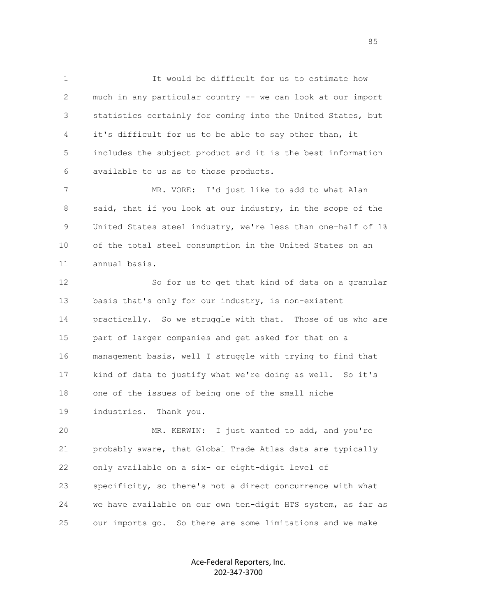1 It would be difficult for us to estimate how 2 much in any particular country -- we can look at our import 3 statistics certainly for coming into the United States, but 4 it's difficult for us to be able to say other than, it 5 includes the subject product and it is the best information 6 available to us as to those products.

 7 MR. VORE: I'd just like to add to what Alan 8 said, that if you look at our industry, in the scope of the 9 United States steel industry, we're less than one-half of 1% 10 of the total steel consumption in the United States on an 11 annual basis.

 12 So for us to get that kind of data on a granular 13 basis that's only for our industry, is non-existent 14 practically. So we struggle with that. Those of us who are 15 part of larger companies and get asked for that on a 16 management basis, well I struggle with trying to find that 17 kind of data to justify what we're doing as well. So it's 18 one of the issues of being one of the small niche 19 industries. Thank you.

 20 MR. KERWIN: I just wanted to add, and you're 21 probably aware, that Global Trade Atlas data are typically 22 only available on a six- or eight-digit level of 23 specificity, so there's not a direct concurrence with what 24 we have available on our own ten-digit HTS system, as far as 25 our imports go. So there are some limitations and we make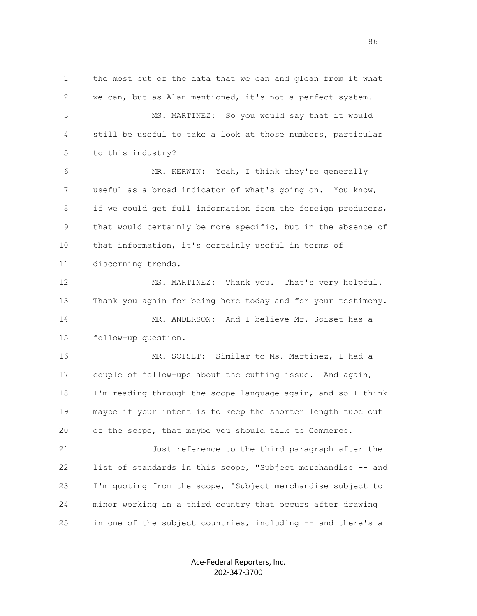1 the most out of the data that we can and glean from it what 2 we can, but as Alan mentioned, it's not a perfect system. 3 MS. MARTINEZ: So you would say that it would 4 still be useful to take a look at those numbers, particular 5 to this industry? 6 MR. KERWIN: Yeah, I think they're generally 7 useful as a broad indicator of what's going on. You know, 8 if we could get full information from the foreign producers, 9 that would certainly be more specific, but in the absence of 10 that information, it's certainly useful in terms of 11 discerning trends. 12 MS. MARTINEZ: Thank you. That's very helpful. 13 Thank you again for being here today and for your testimony. 14 MR. ANDERSON: And I believe Mr. Soiset has a 15 follow-up question. 16 MR. SOISET: Similar to Ms. Martinez, I had a 17 couple of follow-ups about the cutting issue. And again, 18 I'm reading through the scope language again, and so I think 19 maybe if your intent is to keep the shorter length tube out 20 of the scope, that maybe you should talk to Commerce. 21 Just reference to the third paragraph after the 22 list of standards in this scope, "Subject merchandise -- and

 23 I'm quoting from the scope, "Subject merchandise subject to 24 minor working in a third country that occurs after drawing 25 in one of the subject countries, including -- and there's a

> Ace-Federal Reporters, Inc. 202-347-3700

en de la construction de la construction de la construction de la construction de la construction de la constr<br>1860 : le construction de la construction de la construction de la construction de la construction de la const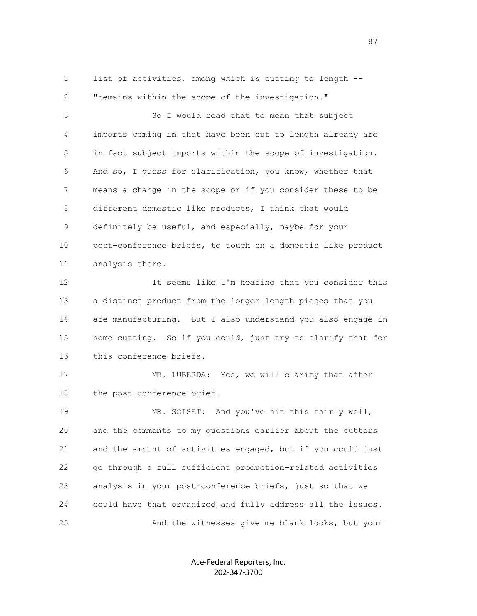1 list of activities, among which is cutting to length --2 "remains within the scope of the investigation."

 3 So I would read that to mean that subject 4 imports coming in that have been cut to length already are 5 in fact subject imports within the scope of investigation. 6 And so, I guess for clarification, you know, whether that 7 means a change in the scope or if you consider these to be 8 different domestic like products, I think that would 9 definitely be useful, and especially, maybe for your 10 post-conference briefs, to touch on a domestic like product 11 analysis there.

12 12 It seems like I'm hearing that you consider this 13 a distinct product from the longer length pieces that you 14 are manufacturing. But I also understand you also engage in 15 some cutting. So if you could, just try to clarify that for 16 this conference briefs.

17 MR. LUBERDA: Yes, we will clarify that after 18 the post-conference brief.

 19 MR. SOISET: And you've hit this fairly well, 20 and the comments to my questions earlier about the cutters 21 and the amount of activities engaged, but if you could just 22 go through a full sufficient production-related activities 23 analysis in your post-conference briefs, just so that we 24 could have that organized and fully address all the issues. 25 And the witnesses give me blank looks, but your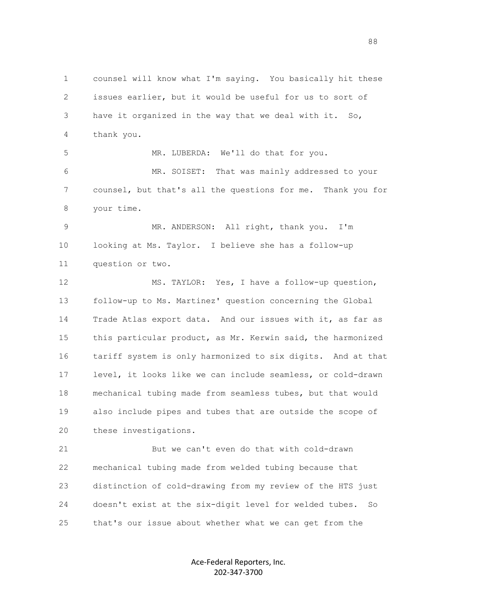1 counsel will know what I'm saying. You basically hit these 2 issues earlier, but it would be useful for us to sort of 3 have it organized in the way that we deal with it. So, 4 thank you. 5 MR. LUBERDA: We'll do that for you. 6 MR. SOISET: That was mainly addressed to your 7 counsel, but that's all the questions for me. Thank you for 8 your time. 9 MR. ANDERSON: All right, thank you. I'm 10 looking at Ms. Taylor. I believe she has a follow-up 11 question or two. 12 MS. TAYLOR: Yes, I have a follow-up question, 13 follow-up to Ms. Martinez' question concerning the Global 14 Trade Atlas export data. And our issues with it, as far as 15 this particular product, as Mr. Kerwin said, the harmonized 16 tariff system is only harmonized to six digits. And at that 17 level, it looks like we can include seamless, or cold-drawn 18 mechanical tubing made from seamless tubes, but that would 19 also include pipes and tubes that are outside the scope of 20 these investigations. 21 But we can't even do that with cold-drawn

 22 mechanical tubing made from welded tubing because that 23 distinction of cold-drawing from my review of the HTS just 24 doesn't exist at the six-digit level for welded tubes. So 25 that's our issue about whether what we can get from the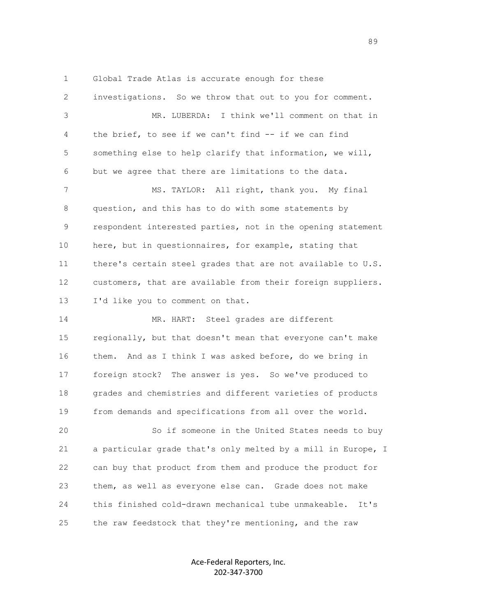1 Global Trade Atlas is accurate enough for these 2 investigations. So we throw that out to you for comment. 3 MR. LUBERDA: I think we'll comment on that in 4 the brief, to see if we can't find -- if we can find 5 something else to help clarify that information, we will, 6 but we agree that there are limitations to the data. 7 MS. TAYLOR: All right, thank you. My final 8 question, and this has to do with some statements by 9 respondent interested parties, not in the opening statement 10 here, but in questionnaires, for example, stating that 11 there's certain steel grades that are not available to U.S. 12 customers, that are available from their foreign suppliers. 13 I'd like you to comment on that. 14 MR. HART: Steel grades are different

 15 regionally, but that doesn't mean that everyone can't make 16 them. And as I think I was asked before, do we bring in 17 foreign stock? The answer is yes. So we've produced to 18 grades and chemistries and different varieties of products 19 from demands and specifications from all over the world.

 20 So if someone in the United States needs to buy 21 a particular grade that's only melted by a mill in Europe, I 22 can buy that product from them and produce the product for 23 them, as well as everyone else can. Grade does not make 24 this finished cold-drawn mechanical tube unmakeable. It's 25 the raw feedstock that they're mentioning, and the raw

> Ace-Federal Reporters, Inc. 202-347-3700

en de la construction de la construction de la construction de la construction de la construction de la constr<br>1990 : la construction de la construction de la construction de la construction de la construction de la const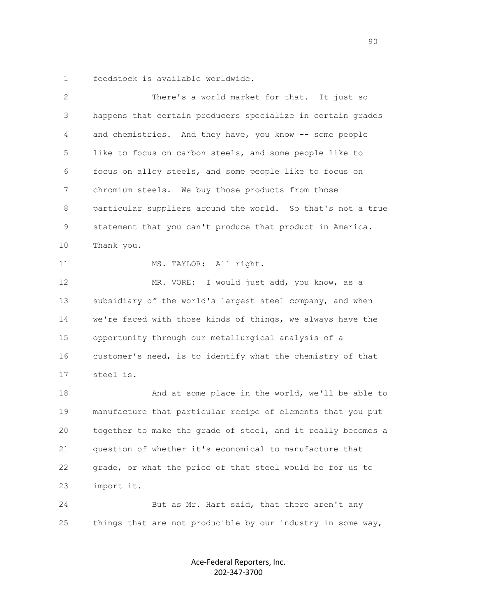1 feedstock is available worldwide.

| 2  | There's a world market for that. It just so                  |
|----|--------------------------------------------------------------|
| 3  | happens that certain producers specialize in certain grades  |
| 4  | and chemistries. And they have, you know -- some people      |
| 5  | like to focus on carbon steels, and some people like to      |
| 6  | focus on alloy steels, and some people like to focus on      |
| 7  | chromium steels. We buy those products from those            |
| 8  | particular suppliers around the world. So that's not a true  |
| 9  | statement that you can't produce that product in America.    |
| 10 | Thank you.                                                   |
| 11 | MS. TAYLOR: All right.                                       |
| 12 | MR. VORE: I would just add, you know, as a                   |
| 13 | subsidiary of the world's largest steel company, and when    |
| 14 | we're faced with those kinds of things, we always have the   |
| 15 | opportunity through our metallurgical analysis of a          |
| 16 | customer's need, is to identify what the chemistry of that   |
| 17 | steel is.                                                    |
| 18 | And at some place in the world, we'll be able to             |
| 19 | manufacture that particular recipe of elements that you put  |
| 20 | together to make the grade of steel, and it really becomes a |
| 21 | question of whether it's economical to manufacture that      |
| 22 | grade, or what the price of that steel would be for us to    |
| 23 | import it.                                                   |
| 24 | But as Mr. Hart said, that there aren't any                  |
| 25 | things that are not producible by our industry in some way,  |
|    |                                                              |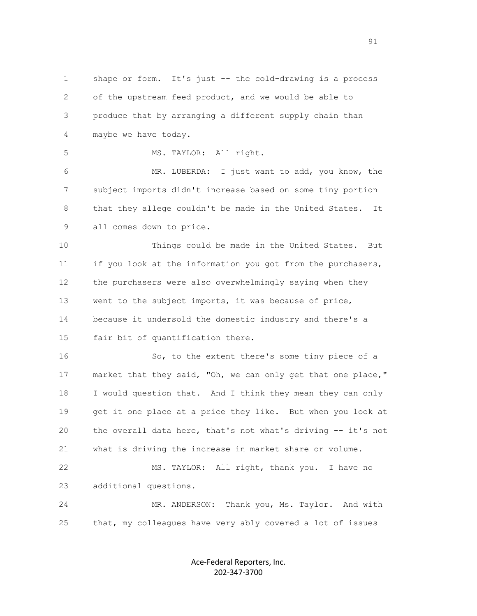1 shape or form. It's just -- the cold-drawing is a process 2 of the upstream feed product, and we would be able to 3 produce that by arranging a different supply chain than 4 maybe we have today. 5 MS. TAYLOR: All right. 6 MR. LUBERDA: I just want to add, you know, the 7 subject imports didn't increase based on some tiny portion 8 that they allege couldn't be made in the United States. It 9 all comes down to price. 10 Things could be made in the United States. But 11 if you look at the information you got from the purchasers, 12 the purchasers were also overwhelmingly saying when they 13 went to the subject imports, it was because of price, 14 because it undersold the domestic industry and there's a 15 fair bit of quantification there. 16 So, to the extent there's some tiny piece of a 17 market that they said, "Oh, we can only get that one place," 18 I would question that. And I think they mean they can only 19 get it one place at a price they like. But when you look at 20 the overall data here, that's not what's driving -- it's not 21 what is driving the increase in market share or volume. 22 MS. TAYLOR: All right, thank you. I have no 23 additional questions. 24 MR. ANDERSON: Thank you, Ms. Taylor. And with 25 that, my colleagues have very ably covered a lot of issues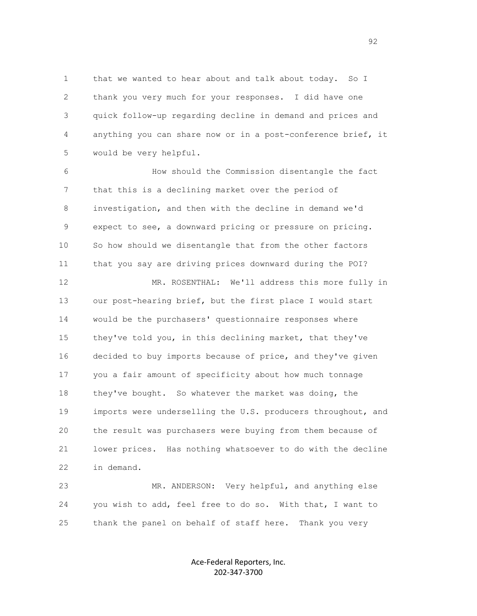1 that we wanted to hear about and talk about today. So I 2 thank you very much for your responses. I did have one 3 quick follow-up regarding decline in demand and prices and 4 anything you can share now or in a post-conference brief, it 5 would be very helpful.

 6 How should the Commission disentangle the fact 7 that this is a declining market over the period of 8 investigation, and then with the decline in demand we'd 9 expect to see, a downward pricing or pressure on pricing. 10 So how should we disentangle that from the other factors 11 that you say are driving prices downward during the POI?

12 MR. ROSENTHAL: We'll address this more fully in 13 our post-hearing brief, but the first place I would start 14 would be the purchasers' questionnaire responses where 15 they've told you, in this declining market, that they've 16 decided to buy imports because of price, and they've given 17 you a fair amount of specificity about how much tonnage 18 they've bought. So whatever the market was doing, the 19 imports were underselling the U.S. producers throughout, and 20 the result was purchasers were buying from them because of 21 lower prices. Has nothing whatsoever to do with the decline 22 in demand.

 23 MR. ANDERSON: Very helpful, and anything else 24 you wish to add, feel free to do so. With that, I want to 25 thank the panel on behalf of staff here. Thank you very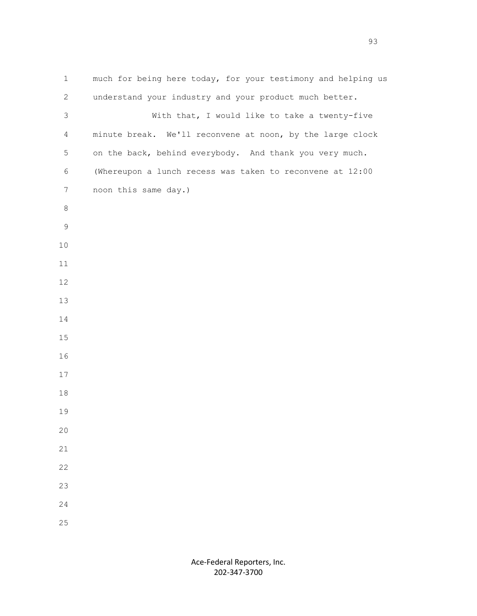| $\mathbf 1$     | much for being here today, for your testimony and helping us |
|-----------------|--------------------------------------------------------------|
| $\overline{2}$  | understand your industry and your product much better.       |
| 3               | With that, I would like to take a twenty-five                |
| $\overline{4}$  | minute break. We'll reconvene at noon, by the large clock    |
| 5               | on the back, behind everybody. And thank you very much.      |
| 6               | (Whereupon a lunch recess was taken to reconvene at 12:00    |
| $7\phantom{.0}$ | noon this same day.)                                         |
| 8               |                                                              |
| $\mathsf 9$     |                                                              |
| $10$            |                                                              |
| $11\,$          |                                                              |
| 12              |                                                              |
| 13              |                                                              |
| 14              |                                                              |
| $15$            |                                                              |
| 16              |                                                              |
| 17              |                                                              |
| 18              |                                                              |
| 19              |                                                              |
| 20              |                                                              |
| 21              |                                                              |
| 22              |                                                              |
| 23              |                                                              |
| 24              |                                                              |
| 25              |                                                              |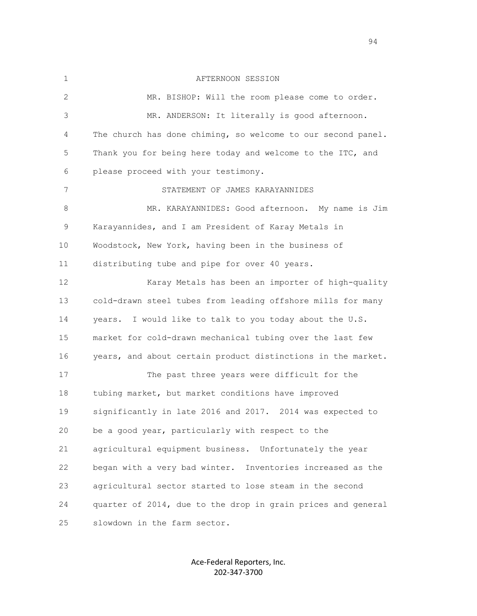1 AFTERNOON SESSION 2 MR. BISHOP: Will the room please come to order. 3 MR. ANDERSON: It literally is good afternoon. 4 The church has done chiming, so welcome to our second panel. 5 Thank you for being here today and welcome to the ITC, and 6 please proceed with your testimony. 7 STATEMENT OF JAMES KARAYANNIDES 8 MR. KARAYANNIDES: Good afternoon. My name is Jim 9 Karayannides, and I am President of Karay Metals in 10 Woodstock, New York, having been in the business of 11 distributing tube and pipe for over 40 years. 12 Karay Metals has been an importer of high-quality 13 cold-drawn steel tubes from leading offshore mills for many 14 years. I would like to talk to you today about the U.S. 15 market for cold-drawn mechanical tubing over the last few 16 years, and about certain product distinctions in the market. 17 The past three years were difficult for the 18 tubing market, but market conditions have improved 19 significantly in late 2016 and 2017. 2014 was expected to 20 be a good year, particularly with respect to the 21 agricultural equipment business. Unfortunately the year 22 began with a very bad winter. Inventories increased as the 23 agricultural sector started to lose steam in the second 24 quarter of 2014, due to the drop in grain prices and general 25 slowdown in the farm sector.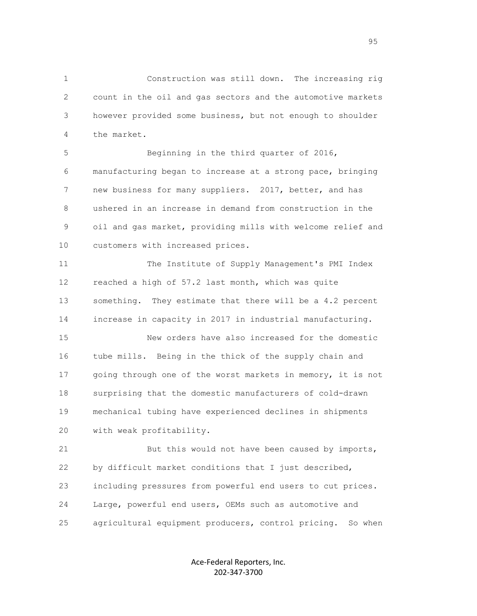1 Construction was still down. The increasing rig 2 count in the oil and gas sectors and the automotive markets 3 however provided some business, but not enough to shoulder 4 the market.

 5 Beginning in the third quarter of 2016, 6 manufacturing began to increase at a strong pace, bringing 7 new business for many suppliers. 2017, better, and has 8 ushered in an increase in demand from construction in the 9 oil and gas market, providing mills with welcome relief and 10 customers with increased prices.

 11 The Institute of Supply Management's PMI Index 12 reached a high of 57.2 last month, which was quite 13 something. They estimate that there will be a 4.2 percent 14 increase in capacity in 2017 in industrial manufacturing.

 15 New orders have also increased for the domestic 16 tube mills. Being in the thick of the supply chain and 17 going through one of the worst markets in memory, it is not 18 surprising that the domestic manufacturers of cold-drawn 19 mechanical tubing have experienced declines in shipments 20 with weak profitability.

 21 But this would not have been caused by imports, 22 by difficult market conditions that I just described, 23 including pressures from powerful end users to cut prices. 24 Large, powerful end users, OEMs such as automotive and 25 agricultural equipment producers, control pricing. So when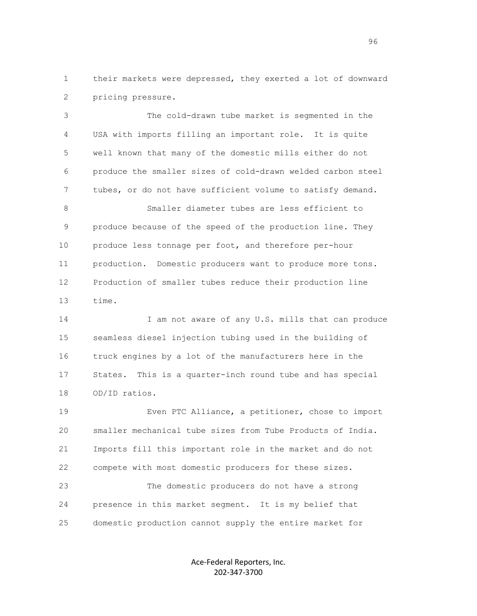1 their markets were depressed, they exerted a lot of downward 2 pricing pressure.

 3 The cold-drawn tube market is segmented in the 4 USA with imports filling an important role. It is quite 5 well known that many of the domestic mills either do not 6 produce the smaller sizes of cold-drawn welded carbon steel 7 tubes, or do not have sufficient volume to satisfy demand.

 8 Smaller diameter tubes are less efficient to 9 produce because of the speed of the production line. They 10 produce less tonnage per foot, and therefore per-hour 11 production. Domestic producers want to produce more tons. 12 Production of smaller tubes reduce their production line 13 time.

14 I am not aware of any U.S. mills that can produce 15 seamless diesel injection tubing used in the building of 16 truck engines by a lot of the manufacturers here in the 17 States. This is a quarter-inch round tube and has special 18 OD/ID ratios.

 19 Even PTC Alliance, a petitioner, chose to import 20 smaller mechanical tube sizes from Tube Products of India. 21 Imports fill this important role in the market and do not 22 compete with most domestic producers for these sizes.

 23 The domestic producers do not have a strong 24 presence in this market segment. It is my belief that 25 domestic production cannot supply the entire market for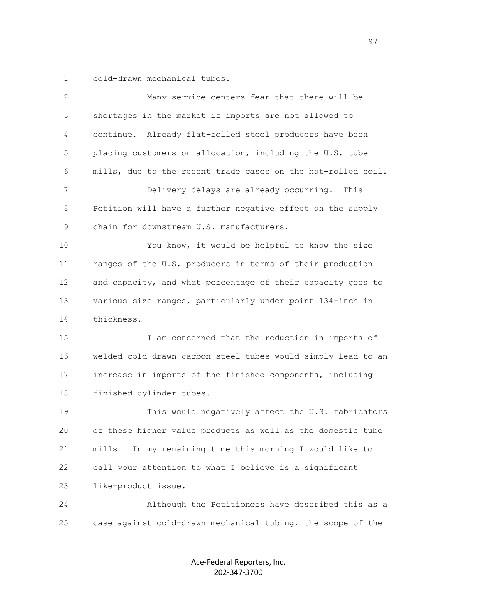1 cold-drawn mechanical tubes.

| 2  | Many service centers fear that there will be                 |
|----|--------------------------------------------------------------|
| 3  | shortages in the market if imports are not allowed to        |
| 4  | continue. Already flat-rolled steel producers have been      |
| 5  | placing customers on allocation, including the U.S. tube     |
| 6  | mills, due to the recent trade cases on the hot-rolled coil. |
| 7  | Delivery delays are already occurring. This                  |
| 8  | Petition will have a further negative effect on the supply   |
| 9  | chain for downstream U.S. manufacturers.                     |
| 10 | You know, it would be helpful to know the size               |
| 11 | ranges of the U.S. producers in terms of their production    |
| 12 | and capacity, and what percentage of their capacity goes to  |
| 13 | various size ranges, particularly under point 134-inch in    |
| 14 | thickness.                                                   |
| 15 | I am concerned that the reduction in imports of              |
| 16 | welded cold-drawn carbon steel tubes would simply lead to an |
| 17 | increase in imports of the finished components, including    |
| 18 | finished cylinder tubes.                                     |
| 19 | This would negatively affect the U.S. fabricators            |
| 20 | of these higher value products as well as the domestic tube  |
| 21 | In my remaining time this morning I would like to<br>mills.  |
| 22 | call your attention to what I believe is a significant       |
| 23 | like-product issue.                                          |
| 24 | Although the Petitioners have described this as a            |
| 25 | case against cold-drawn mechanical tubing, the scope of the  |
|    |                                                              |

Ace-Federal Reporters, Inc. 202-347-3700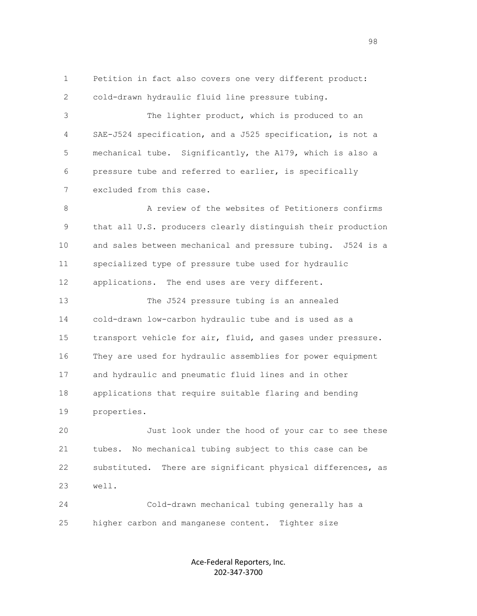1 Petition in fact also covers one very different product: 2 cold-drawn hydraulic fluid line pressure tubing.

 3 The lighter product, which is produced to an 4 SAE-J524 specification, and a J525 specification, is not a 5 mechanical tube. Significantly, the A179, which is also a 6 pressure tube and referred to earlier, is specifically 7 excluded from this case.

8 A review of the websites of Petitioners confirms 9 that all U.S. producers clearly distinguish their production 10 and sales between mechanical and pressure tubing. J524 is a 11 specialized type of pressure tube used for hydraulic 12 applications. The end uses are very different.

 13 The J524 pressure tubing is an annealed 14 cold-drawn low-carbon hydraulic tube and is used as a 15 transport vehicle for air, fluid, and gases under pressure. 16 They are used for hydraulic assemblies for power equipment 17 and hydraulic and pneumatic fluid lines and in other 18 applications that require suitable flaring and bending 19 properties.

 20 Just look under the hood of your car to see these 21 tubes. No mechanical tubing subject to this case can be 22 substituted. There are significant physical differences, as 23 well.

 24 Cold-drawn mechanical tubing generally has a 25 higher carbon and manganese content. Tighter size

> Ace-Federal Reporters, Inc. 202-347-3700

98 and 200 million to the control of the control of the control of the control of the control of the control o<br>1980 - Control of the control of the control of the control of the control of the control of the control of th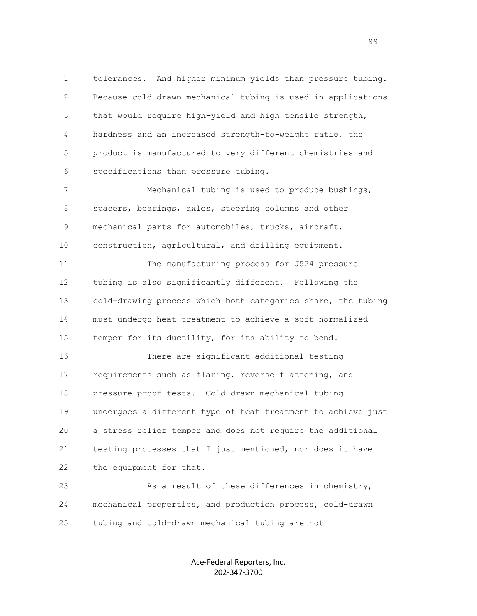1 tolerances. And higher minimum yields than pressure tubing. 2 Because cold-drawn mechanical tubing is used in applications 3 that would require high-yield and high tensile strength, 4 hardness and an increased strength-to-weight ratio, the 5 product is manufactured to very different chemistries and 6 specifications than pressure tubing.

 7 Mechanical tubing is used to produce bushings, 8 spacers, bearings, axles, steering columns and other 9 mechanical parts for automobiles, trucks, aircraft, 10 construction, agricultural, and drilling equipment.

 11 The manufacturing process for J524 pressure 12 tubing is also significantly different. Following the 13 cold-drawing process which both categories share, the tubing 14 must undergo heat treatment to achieve a soft normalized 15 temper for its ductility, for its ability to bend.

 16 There are significant additional testing 17 requirements such as flaring, reverse flattening, and 18 pressure-proof tests. Cold-drawn mechanical tubing 19 undergoes a different type of heat treatment to achieve just 20 a stress relief temper and does not require the additional 21 testing processes that I just mentioned, nor does it have 22 the equipment for that.

 23 As a result of these differences in chemistry, 24 mechanical properties, and production process, cold-drawn 25 tubing and cold-drawn mechanical tubing are not

> Ace-Federal Reporters, Inc. 202-347-3700

en 1999 - Santa Carolina de Santa Carolina de Santa Carolina (n. 1918).<br>1990 - Carolina de Santa Carolina de Santa Carolina (n. 1919).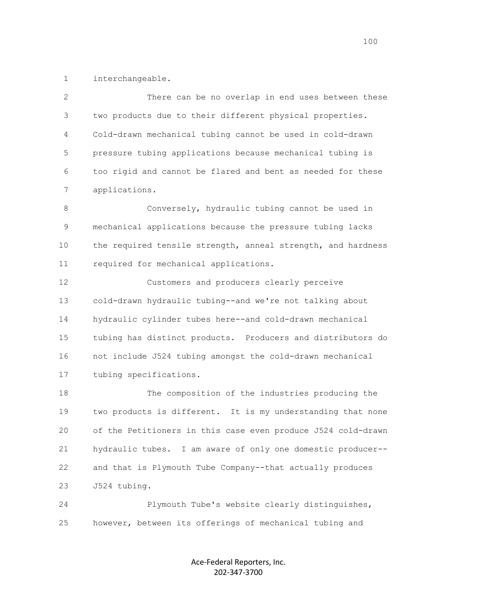1 interchangeable.

 2 There can be no overlap in end uses between these 3 two products due to their different physical properties. 4 Cold-drawn mechanical tubing cannot be used in cold-drawn 5 pressure tubing applications because mechanical tubing is 6 too rigid and cannot be flared and bent as needed for these 7 applications.

 8 Conversely, hydraulic tubing cannot be used in 9 mechanical applications because the pressure tubing lacks 10 the required tensile strength, anneal strength, and hardness 11 required for mechanical applications.

 12 Customers and producers clearly perceive 13 cold-drawn hydraulic tubing--and we're not talking about 14 hydraulic cylinder tubes here--and cold-drawn mechanical 15 tubing has distinct products. Producers and distributors do 16 not include J524 tubing amongst the cold-drawn mechanical 17 tubing specifications.

 18 The composition of the industries producing the 19 two products is different. It is my understanding that none 20 of the Petitioners in this case even produce J524 cold-drawn 21 hydraulic tubes. I am aware of only one domestic producer-- 22 and that is Plymouth Tube Company--that actually produces 23 J524 tubing.

 24 Plymouth Tube's website clearly distinguishes, 25 however, between its offerings of mechanical tubing and

> Ace-Federal Reporters, Inc. 202-347-3700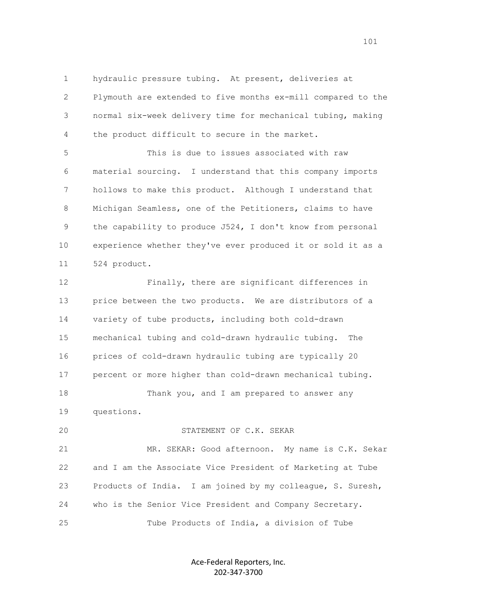1 hydraulic pressure tubing. At present, deliveries at 2 Plymouth are extended to five months ex-mill compared to the 3 normal six-week delivery time for mechanical tubing, making 4 the product difficult to secure in the market.

 5 This is due to issues associated with raw 6 material sourcing. I understand that this company imports 7 hollows to make this product. Although I understand that 8 Michigan Seamless, one of the Petitioners, claims to have 9 the capability to produce J524, I don't know from personal 10 experience whether they've ever produced it or sold it as a 11 524 product.

 12 Finally, there are significant differences in 13 price between the two products. We are distributors of a 14 variety of tube products, including both cold-drawn 15 mechanical tubing and cold-drawn hydraulic tubing. The 16 prices of cold-drawn hydraulic tubing are typically 20 17 percent or more higher than cold-drawn mechanical tubing. 18 Thank you, and I am prepared to answer any 19 questions.

 21 MR. SEKAR: Good afternoon. My name is C.K. Sekar 22 and I am the Associate Vice President of Marketing at Tube 23 Products of India. I am joined by my colleague, S. Suresh, 24 who is the Senior Vice President and Company Secretary. 25 Tube Products of India, a division of Tube

20 STATEMENT OF C.K. SEKAR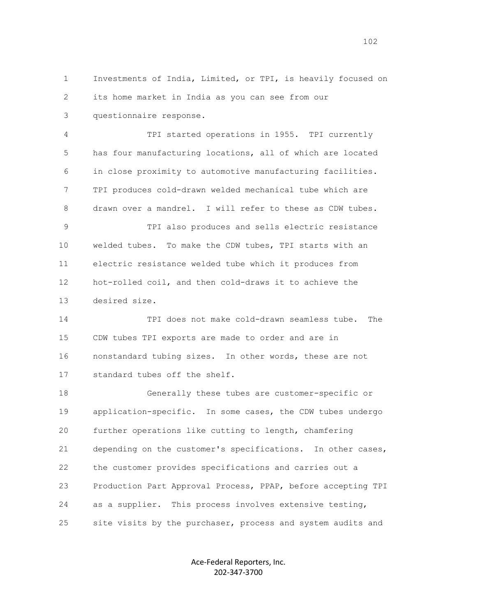1 Investments of India, Limited, or TPI, is heavily focused on 2 its home market in India as you can see from our 3 questionnaire response.

 4 TPI started operations in 1955. TPI currently 5 has four manufacturing locations, all of which are located 6 in close proximity to automotive manufacturing facilities. 7 TPI produces cold-drawn welded mechanical tube which are 8 drawn over a mandrel. I will refer to these as CDW tubes.

 9 TPI also produces and sells electric resistance 10 welded tubes. To make the CDW tubes, TPI starts with an 11 electric resistance welded tube which it produces from 12 hot-rolled coil, and then cold-draws it to achieve the 13 desired size.

 14 TPI does not make cold-drawn seamless tube. The 15 CDW tubes TPI exports are made to order and are in 16 nonstandard tubing sizes. In other words, these are not 17 standard tubes off the shelf.

 18 Generally these tubes are customer-specific or 19 application-specific. In some cases, the CDW tubes undergo 20 further operations like cutting to length, chamfering 21 depending on the customer's specifications. In other cases, 22 the customer provides specifications and carries out a 23 Production Part Approval Process, PPAP, before accepting TPI 24 as a supplier. This process involves extensive testing, 25 site visits by the purchaser, process and system audits and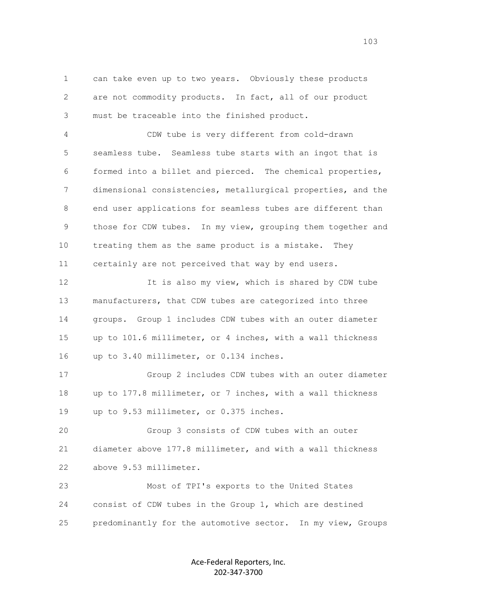1 can take even up to two years. Obviously these products 2 are not commodity products. In fact, all of our product 3 must be traceable into the finished product.

 4 CDW tube is very different from cold-drawn 5 seamless tube. Seamless tube starts with an ingot that is 6 formed into a billet and pierced. The chemical properties, 7 dimensional consistencies, metallurgical properties, and the 8 end user applications for seamless tubes are different than 9 those for CDW tubes. In my view, grouping them together and 10 treating them as the same product is a mistake. They 11 certainly are not perceived that way by end users.

 12 It is also my view, which is shared by CDW tube 13 manufacturers, that CDW tubes are categorized into three 14 groups. Group 1 includes CDW tubes with an outer diameter 15 up to 101.6 millimeter, or 4 inches, with a wall thickness 16 up to 3.40 millimeter, or 0.134 inches.

 17 Group 2 includes CDW tubes with an outer diameter 18 up to 177.8 millimeter, or 7 inches, with a wall thickness 19 up to 9.53 millimeter, or 0.375 inches.

 20 Group 3 consists of CDW tubes with an outer 21 diameter above 177.8 millimeter, and with a wall thickness 22 above 9.53 millimeter.

 23 Most of TPI's exports to the United States 24 consist of CDW tubes in the Group 1, which are destined 25 predominantly for the automotive sector. In my view, Groups

> Ace-Federal Reporters, Inc. 202-347-3700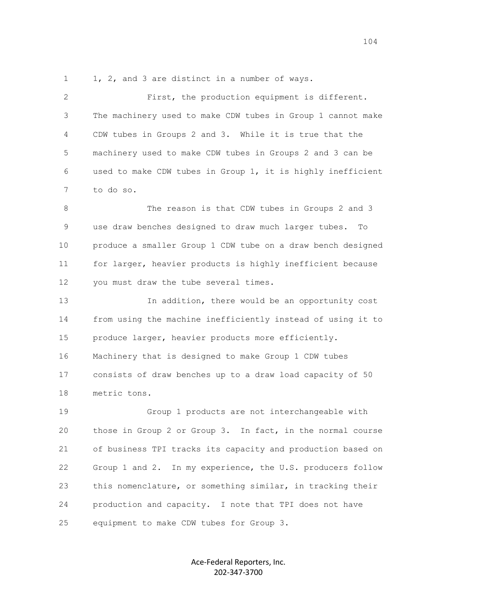1 1, 2, and 3 are distinct in a number of ways.

 2 First, the production equipment is different. 3 The machinery used to make CDW tubes in Group 1 cannot make 4 CDW tubes in Groups 2 and 3. While it is true that the 5 machinery used to make CDW tubes in Groups 2 and 3 can be 6 used to make CDW tubes in Group 1, it is highly inefficient 7 to do so.

 8 The reason is that CDW tubes in Groups 2 and 3 9 use draw benches designed to draw much larger tubes. To 10 produce a smaller Group 1 CDW tube on a draw bench designed 11 for larger, heavier products is highly inefficient because 12 you must draw the tube several times.

 13 In addition, there would be an opportunity cost 14 from using the machine inefficiently instead of using it to 15 produce larger, heavier products more efficiently. 16 Machinery that is designed to make Group 1 CDW tubes 17 consists of draw benches up to a draw load capacity of 50 18 metric tons.

 19 Group 1 products are not interchangeable with 20 those in Group 2 or Group 3. In fact, in the normal course 21 of business TPI tracks its capacity and production based on 22 Group 1 and 2. In my experience, the U.S. producers follow 23 this nomenclature, or something similar, in tracking their 24 production and capacity. I note that TPI does not have 25 equipment to make CDW tubes for Group 3.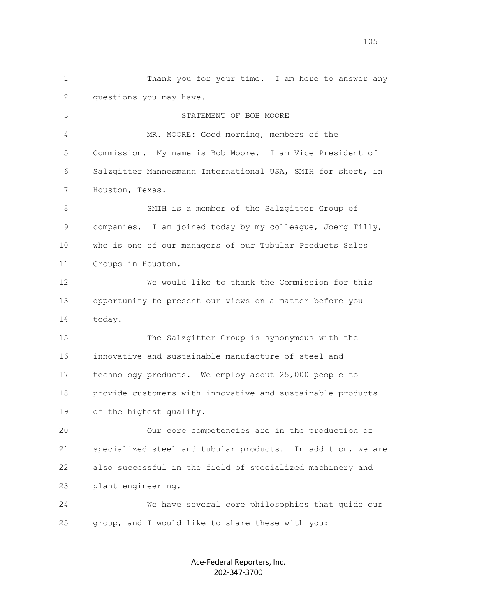1 Thank you for your time. I am here to answer any 2 questions you may have. 3 STATEMENT OF BOB MOORE 4 MR. MOORE: Good morning, members of the 5 Commission. My name is Bob Moore. I am Vice President of 6 Salzgitter Mannesmann International USA, SMIH for short, in 7 Houston, Texas. 8 SMIH is a member of the Salzgitter Group of 9 companies. I am joined today by my colleague, Joerg Tilly, 10 who is one of our managers of our Tubular Products Sales 11 Groups in Houston. 12 We would like to thank the Commission for this 13 opportunity to present our views on a matter before you 14 today. 15 The Salzgitter Group is synonymous with the 16 innovative and sustainable manufacture of steel and 17 technology products. We employ about 25,000 people to 18 provide customers with innovative and sustainable products 19 of the highest quality. 20 Our core competencies are in the production of 21 specialized steel and tubular products. In addition, we are 22 also successful in the field of specialized machinery and 23 plant engineering. 24 We have several core philosophies that guide our 25 group, and I would like to share these with you: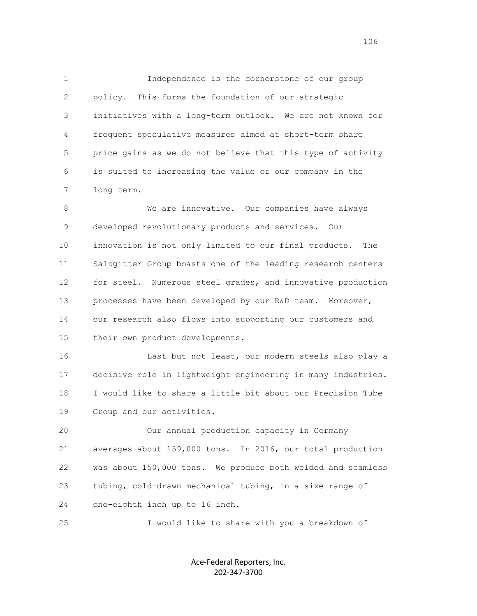1 Independence is the cornerstone of our group 2 policy. This forms the foundation of our strategic 3 initiatives with a long-term outlook. We are not known for 4 frequent speculative measures aimed at short-term share 5 price gains as we do not believe that this type of activity 6 is suited to increasing the value of our company in the 7 long term.

 8 We are innovative. Our companies have always 9 developed revolutionary products and services. Our 10 innovation is not only limited to our final products. The 11 Salzgitter Group boasts one of the leading research centers 12 for steel. Numerous steel grades, and innovative production 13 processes have been developed by our R&D team. Moreover, 14 our research also flows into supporting our customers and 15 their own product developments.

 16 Last but not least, our modern steels also play a 17 decisive role in lightweight engineering in many industries. 18 I would like to share a little bit about our Precision Tube 19 Group and our activities.

 20 Our annual production capacity in Germany 21 averages about 159,000 tons. In 2016, our total production 22 was about 150,000 tons. We produce both welded and seamless 23 tubing, cold-drawn mechanical tubing, in a size range of 24 one-eighth inch up to 16 inch.

25 I would like to share with you a breakdown of

Ace-Federal Reporters, Inc. 202-347-3700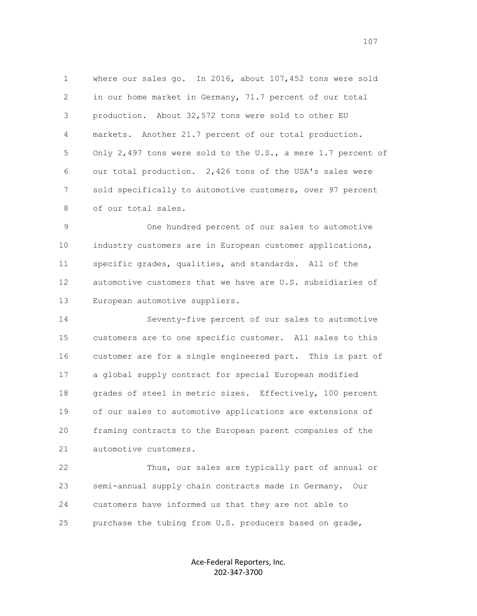1 where our sales go. In 2016, about 107,452 tons were sold 2 in our home market in Germany, 71.7 percent of our total 3 production. About 32,572 tons were sold to other EU 4 markets. Another 21.7 percent of our total production. 5 Only 2,497 tons were sold to the U.S., a mere 1.7 percent of 6 our total production. 2,426 tons of the USA's sales were 7 sold specifically to automotive customers, over 97 percent 8 of our total sales.

 9 One hundred percent of our sales to automotive 10 industry customers are in European customer applications, 11 specific grades, qualities, and standards. All of the 12 automotive customers that we have are U.S. subsidiaries of 13 European automotive suppliers.

 14 Seventy-five percent of our sales to automotive 15 customers are to one specific customer. All sales to this 16 customer are for a single engineered part. This is part of 17 a global supply contract for special European modified 18 grades of steel in metric sizes. Effectively, 100 percent 19 of our sales to automotive applications are extensions of 20 framing contracts to the European parent companies of the 21 automotive customers.

 22 Thus, our sales are typically part of annual or 23 semi-annual supply chain contracts made in Germany. Our 24 customers have informed us that they are not able to 25 purchase the tubing from U.S. producers based on grade,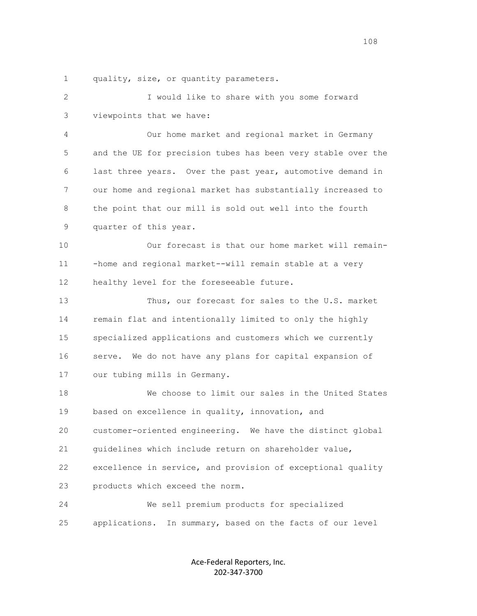1 quality, size, or quantity parameters.

 2 I would like to share with you some forward 3 viewpoints that we have: 4 Our home market and regional market in Germany 5 and the UE for precision tubes has been very stable over the 6 last three years. Over the past year, automotive demand in 7 our home and regional market has substantially increased to 8 the point that our mill is sold out well into the fourth 9 quarter of this year. 10 Our forecast is that our home market will remain- 11 -home and regional market--will remain stable at a very 12 healthy level for the foreseeable future. 13 Thus, our forecast for sales to the U.S. market 14 remain flat and intentionally limited to only the highly 15 specialized applications and customers which we currently 16 serve. We do not have any plans for capital expansion of 17 our tubing mills in Germany. 18 We choose to limit our sales in the United States 19 based on excellence in quality, innovation, and 20 customer-oriented engineering. We have the distinct global 21 guidelines which include return on shareholder value, 22 excellence in service, and provision of exceptional quality 23 products which exceed the norm. 24 We sell premium products for specialized 25 applications. In summary, based on the facts of our level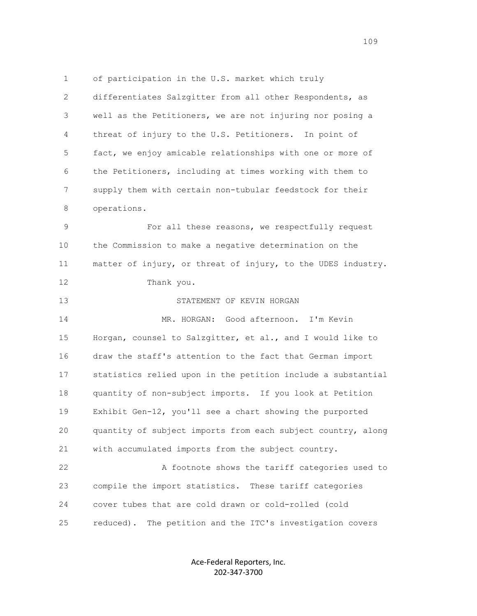1 of participation in the U.S. market which truly 2 differentiates Salzgitter from all other Respondents, as 3 well as the Petitioners, we are not injuring nor posing a 4 threat of injury to the U.S. Petitioners. In point of 5 fact, we enjoy amicable relationships with one or more of 6 the Petitioners, including at times working with them to 7 supply them with certain non-tubular feedstock for their 8 operations. 9 For all these reasons, we respectfully request 10 the Commission to make a negative determination on the 11 matter of injury, or threat of injury, to the UDES industry. 12 Thank you. 13 STATEMENT OF KEVIN HORGAN 14 MR. HORGAN: Good afternoon. I'm Kevin 15 Horgan, counsel to Salzgitter, et al., and I would like to 16 draw the staff's attention to the fact that German import 17 statistics relied upon in the petition include a substantial 18 quantity of non-subject imports. If you look at Petition 19 Exhibit Gen-12, you'll see a chart showing the purported 20 quantity of subject imports from each subject country, along 21 with accumulated imports from the subject country. 22 A footnote shows the tariff categories used to 23 compile the import statistics. These tariff categories 24 cover tubes that are cold drawn or cold-rolled (cold

25 reduced). The petition and the ITC's investigation covers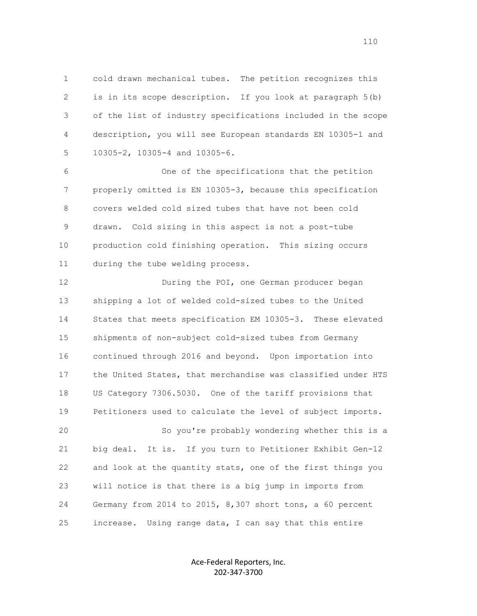1 cold drawn mechanical tubes. The petition recognizes this 2 is in its scope description. If you look at paragraph 5(b) 3 of the list of industry specifications included in the scope 4 description, you will see European standards EN 10305-1 and 5 10305-2, 10305-4 and 10305-6.

 6 One of the specifications that the petition 7 properly omitted is EN 10305-3, because this specification 8 covers welded cold sized tubes that have not been cold 9 drawn. Cold sizing in this aspect is not a post-tube 10 production cold finishing operation. This sizing occurs 11 during the tube welding process.

 12 During the POI, one German producer began 13 shipping a lot of welded cold-sized tubes to the United 14 States that meets specification EM 10305-3. These elevated 15 shipments of non-subject cold-sized tubes from Germany 16 continued through 2016 and beyond. Upon importation into 17 the United States, that merchandise was classified under HTS 18 US Category 7306.5030. One of the tariff provisions that 19 Petitioners used to calculate the level of subject imports. 20 So you're probably wondering whether this is a 21 big deal. It is. If you turn to Petitioner Exhibit Gen-12 22 and look at the quantity stats, one of the first things you 23 will notice is that there is a big jump in imports from 24 Germany from 2014 to 2015, 8,307 short tons, a 60 percent

> Ace-Federal Reporters, Inc. 202-347-3700

25 increase. Using range data, I can say that this entire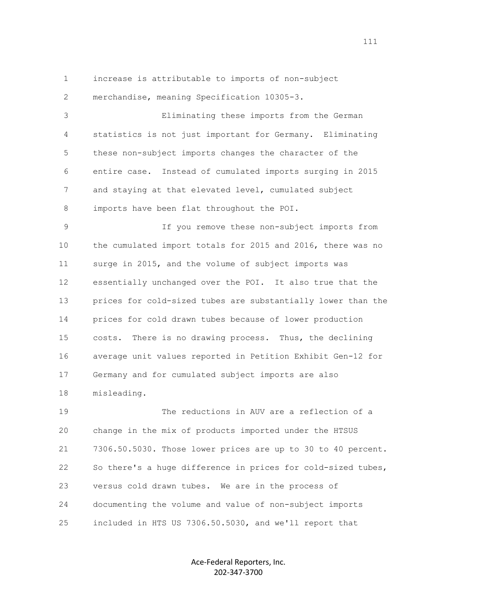1 increase is attributable to imports of non-subject 2 merchandise, meaning Specification 10305-3.

 3 Eliminating these imports from the German 4 statistics is not just important for Germany. Eliminating 5 these non-subject imports changes the character of the 6 entire case. Instead of cumulated imports surging in 2015 7 and staying at that elevated level, cumulated subject 8 imports have been flat throughout the POI.

 9 If you remove these non-subject imports from 10 the cumulated import totals for 2015 and 2016, there was no 11 surge in 2015, and the volume of subject imports was 12 essentially unchanged over the POI. It also true that the 13 prices for cold-sized tubes are substantially lower than the 14 prices for cold drawn tubes because of lower production 15 costs. There is no drawing process. Thus, the declining 16 average unit values reported in Petition Exhibit Gen-12 for 17 Germany and for cumulated subject imports are also 18 misleading.

 19 The reductions in AUV are a reflection of a 20 change in the mix of products imported under the HTSUS 21 7306.50.5030. Those lower prices are up to 30 to 40 percent. 22 So there's a huge difference in prices for cold-sized tubes, 23 versus cold drawn tubes. We are in the process of 24 documenting the volume and value of non-subject imports 25 included in HTS US 7306.50.5030, and we'll report that

> Ace-Federal Reporters, Inc. 202-347-3700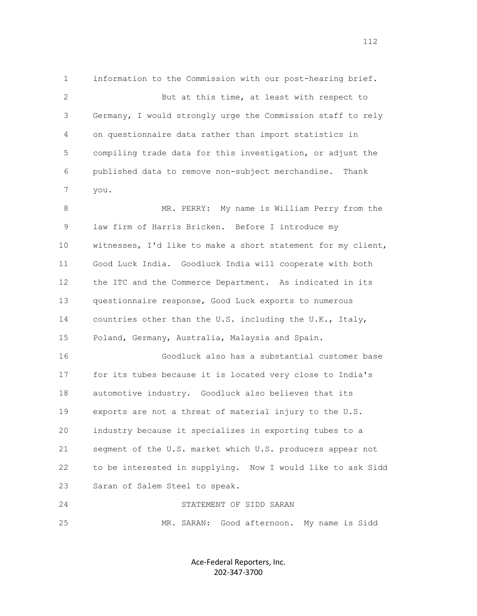1 information to the Commission with our post-hearing brief. 2 But at this time, at least with respect to 3 Germany, I would strongly urge the Commission staff to rely 4 on questionnaire data rather than import statistics in 5 compiling trade data for this investigation, or adjust the 6 published data to remove non-subject merchandise. Thank 7 you. 8 MR. PERRY: My name is William Perry from the 9 law firm of Harris Bricken. Before I introduce my 10 witnesses, I'd like to make a short statement for my client, 11 Good Luck India. Goodluck India will cooperate with both 12 the ITC and the Commerce Department. As indicated in its 13 questionnaire response, Good Luck exports to numerous 14 countries other than the U.S. including the U.K., Italy, 15 Poland, Germany, Australia, Malaysia and Spain. 16 Goodluck also has a substantial customer base 17 for its tubes because it is located very close to India's 18 automotive industry. Goodluck also believes that its 19 exports are not a threat of material injury to the U.S.

 20 industry because it specializes in exporting tubes to a 21 segment of the U.S. market which U.S. producers appear not 22 to be interested in supplying. Now I would like to ask Sidd 23 Saran of Salem Steel to speak.

 24 STATEMENT OF SIDD SARAN 25 MR. SARAN: Good afternoon. My name is Sidd

> Ace-Federal Reporters, Inc. 202-347-3700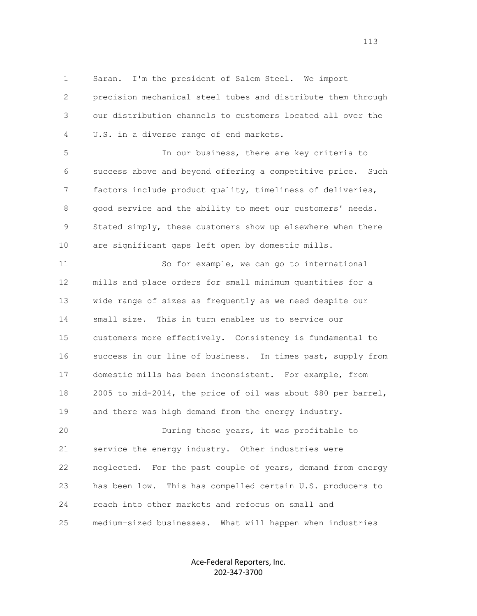1 Saran. I'm the president of Salem Steel. We import 2 precision mechanical steel tubes and distribute them through 3 our distribution channels to customers located all over the 4 U.S. in a diverse range of end markets.

 5 In our business, there are key criteria to 6 success above and beyond offering a competitive price. Such 7 factors include product quality, timeliness of deliveries, 8 good service and the ability to meet our customers' needs. 9 Stated simply, these customers show up elsewhere when there 10 are significant gaps left open by domestic mills.

 11 So for example, we can go to international 12 mills and place orders for small minimum quantities for a 13 wide range of sizes as frequently as we need despite our 14 small size. This in turn enables us to service our 15 customers more effectively. Consistency is fundamental to 16 success in our line of business. In times past, supply from 17 domestic mills has been inconsistent. For example, from 18 2005 to mid-2014, the price of oil was about \$80 per barrel, 19 and there was high demand from the energy industry. 20 During those years, it was profitable to

 21 service the energy industry. Other industries were 22 neglected. For the past couple of years, demand from energy 23 has been low. This has compelled certain U.S. producers to 24 reach into other markets and refocus on small and 25 medium-sized businesses. What will happen when industries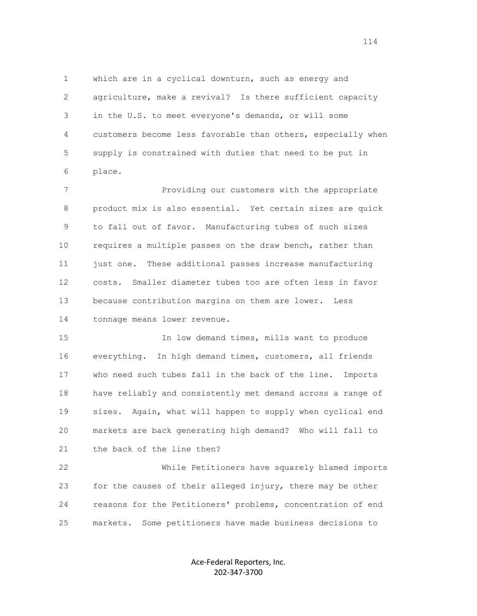1 which are in a cyclical downturn, such as energy and 2 agriculture, make a revival? Is there sufficient capacity 3 in the U.S. to meet everyone's demands, or will some 4 customers become less favorable than others, especially when 5 supply is constrained with duties that need to be put in 6 place.

 7 Providing our customers with the appropriate 8 product mix is also essential. Yet certain sizes are quick 9 to fall out of favor. Manufacturing tubes of such sizes 10 requires a multiple passes on the draw bench, rather than 11 just one. These additional passes increase manufacturing 12 costs. Smaller diameter tubes too are often less in favor 13 because contribution margins on them are lower. Less 14 tonnage means lower revenue.

 15 In low demand times, mills want to produce 16 everything. In high demand times, customers, all friends 17 who need such tubes fall in the back of the line. Imports 18 have reliably and consistently met demand across a range of 19 sizes. Again, what will happen to supply when cyclical end 20 markets are back generating high demand? Who will fall to 21 the back of the line then?

 22 While Petitioners have squarely blamed imports 23 for the causes of their alleged injury, there may be other 24 reasons for the Petitioners' problems, concentration of end 25 markets. Some petitioners have made business decisions to

> Ace-Federal Reporters, Inc. 202-347-3700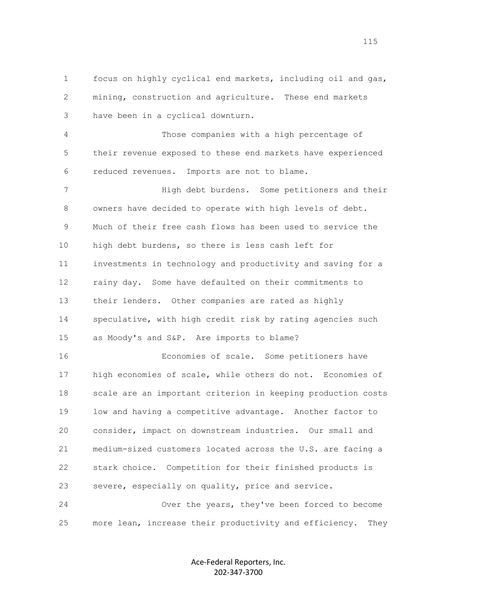1 focus on highly cyclical end markets, including oil and gas, 2 mining, construction and agriculture. These end markets 3 have been in a cyclical downturn.

 4 Those companies with a high percentage of 5 their revenue exposed to these end markets have experienced 6 reduced revenues. Imports are not to blame.

 7 High debt burdens. Some petitioners and their 8 owners have decided to operate with high levels of debt. 9 Much of their free cash flows has been used to service the 10 high debt burdens, so there is less cash left for 11 investments in technology and productivity and saving for a 12 rainy day. Some have defaulted on their commitments to 13 their lenders. Other companies are rated as highly 14 speculative, with high credit risk by rating agencies such 15 as Moody's and S&P. Are imports to blame?

 16 Economies of scale. Some petitioners have 17 high economies of scale, while others do not. Economies of 18 scale are an important criterion in keeping production costs 19 low and having a competitive advantage. Another factor to 20 consider, impact on downstream industries. Our small and 21 medium-sized customers located across the U.S. are facing a 22 stark choice. Competition for their finished products is 23 severe, especially on quality, price and service.

 24 Over the years, they've been forced to become 25 more lean, increase their productivity and efficiency. They

> Ace-Federal Reporters, Inc. 202-347-3700

115<br>115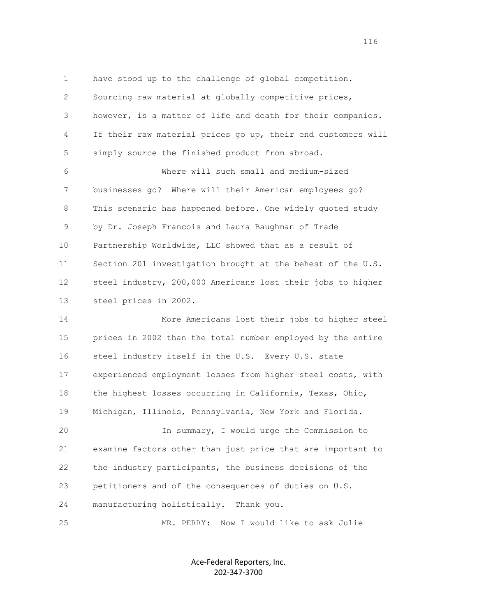1 have stood up to the challenge of global competition. 2 Sourcing raw material at globally competitive prices, 3 however, is a matter of life and death for their companies. 4 If their raw material prices go up, their end customers will 5 simply source the finished product from abroad. 6 Where will such small and medium-sized 7 businesses go? Where will their American employees go? 8 This scenario has happened before. One widely quoted study 9 by Dr. Joseph Francois and Laura Baughman of Trade 10 Partnership Worldwide, LLC showed that as a result of 11 Section 201 investigation brought at the behest of the U.S. 12 steel industry, 200,000 Americans lost their jobs to higher 13 steel prices in 2002. 14 More Americans lost their jobs to higher steel 15 prices in 2002 than the total number employed by the entire 16 steel industry itself in the U.S. Every U.S. state 17 experienced employment losses from higher steel costs, with 18 the highest losses occurring in California, Texas, Ohio, 19 Michigan, Illinois, Pennsylvania, New York and Florida. 20 In summary, I would urge the Commission to 21 examine factors other than just price that are important to 22 the industry participants, the business decisions of the 23 petitioners and of the consequences of duties on U.S. 24 manufacturing holistically. Thank you. 25 MR. PERRY: Now I would like to ask Julie

> Ace-Federal Reporters, Inc. 202-347-3700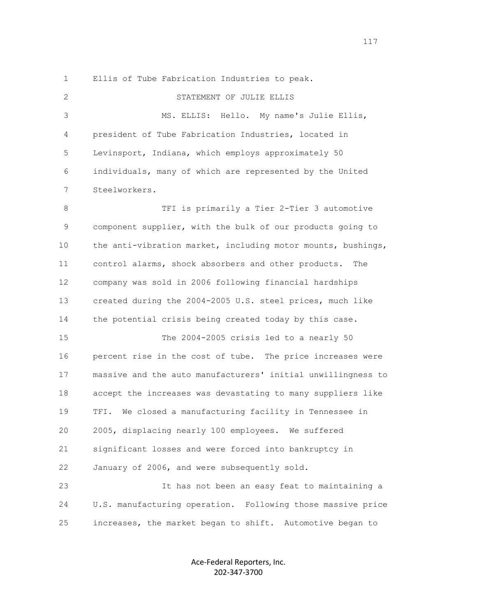|  |  |  |  | Ellis of Tube Fabrication Industries to peak. |  |  |  |
|--|--|--|--|-----------------------------------------------|--|--|--|
|--|--|--|--|-----------------------------------------------|--|--|--|

2 STATEMENT OF JULIE ELLIS

 3 MS. ELLIS: Hello. My name's Julie Ellis, 4 president of Tube Fabrication Industries, located in 5 Levinsport, Indiana, which employs approximately 50 6 individuals, many of which are represented by the United 7 Steelworkers.

 8 TFI is primarily a Tier 2-Tier 3 automotive 9 component supplier, with the bulk of our products going to 10 the anti-vibration market, including motor mounts, bushings, 11 control alarms, shock absorbers and other products. The 12 company was sold in 2006 following financial hardships 13 created during the 2004-2005 U.S. steel prices, much like 14 the potential crisis being created today by this case.

 15 The 2004-2005 crisis led to a nearly 50 16 percent rise in the cost of tube. The price increases were 17 massive and the auto manufacturers' initial unwillingness to 18 accept the increases was devastating to many suppliers like 19 TFI. We closed a manufacturing facility in Tennessee in 20 2005, displacing nearly 100 employees. We suffered 21 significant losses and were forced into bankruptcy in 22 January of 2006, and were subsequently sold.

 23 It has not been an easy feat to maintaining a 24 U.S. manufacturing operation. Following those massive price 25 increases, the market began to shift. Automotive began to

> Ace-Federal Reporters, Inc. 202-347-3700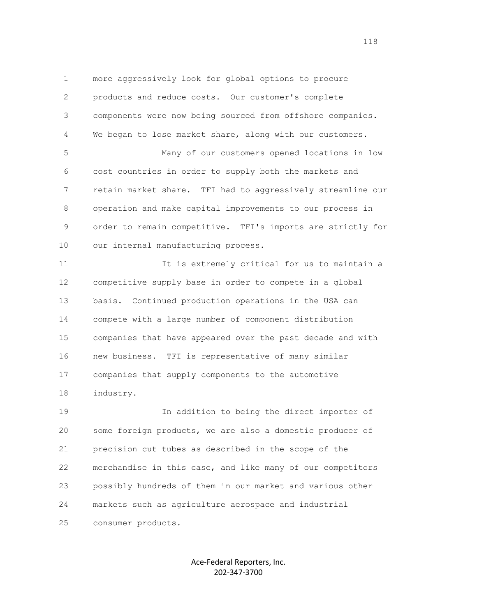1 more aggressively look for global options to procure 2 products and reduce costs. Our customer's complete 3 components were now being sourced from offshore companies. 4 We began to lose market share, along with our customers. 5 Many of our customers opened locations in low 6 cost countries in order to supply both the markets and 7 retain market share. TFI had to aggressively streamline our 8 operation and make capital improvements to our process in 9 order to remain competitive. TFI's imports are strictly for 10 our internal manufacturing process. 11 It is extremely critical for us to maintain a 12 competitive supply base in order to compete in a global 13 basis. Continued production operations in the USA can 14 compete with a large number of component distribution 15 companies that have appeared over the past decade and with 16 new business. TFI is representative of many similar 17 companies that supply components to the automotive 18 industry. 19 In addition to being the direct importer of 20 some foreign products, we are also a domestic producer of 21 precision cut tubes as described in the scope of the

 22 merchandise in this case, and like many of our competitors 23 possibly hundreds of them in our market and various other 24 markets such as agriculture aerospace and industrial

25 consumer products.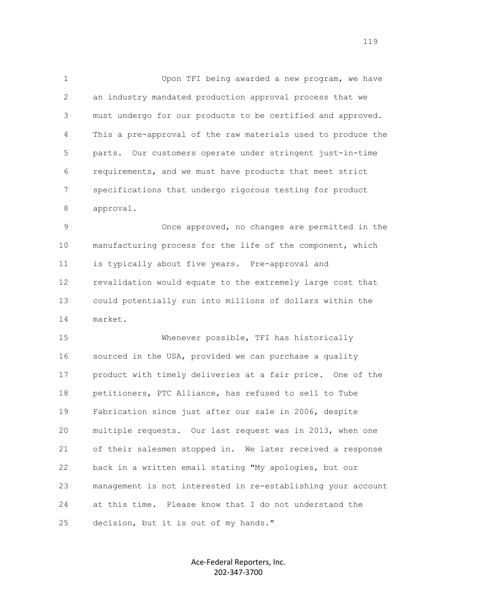1 Upon TFI being awarded a new program, we have 2 an industry mandated production approval process that we 3 must undergo for our products to be certified and approved. 4 This a pre-approval of the raw materials used to produce the 5 parts. Our customers operate under stringent just-in-time 6 requirements, and we must have products that meet strict 7 specifications that undergo rigorous testing for product 8 approval.

 9 Once approved, no changes are permitted in the 10 manufacturing process for the life of the component, which 11 is typically about five years. Pre-approval and 12 revalidation would equate to the extremely large cost that 13 could potentially run into millions of dollars within the 14 market.

 15 Whenever possible, TFI has historically 16 sourced in the USA, provided we can purchase a quality 17 product with timely deliveries at a fair price. One of the 18 petitioners, PTC Alliance, has refused to sell to Tube 19 Fabrication since just after our sale in 2006, despite 20 multiple requests. Our last request was in 2013, when one 21 of their salesmen stopped in. We later received a response 22 back in a written email stating "My apologies, but our 23 management is not interested in re-establishing your account 24 at this time. Please know that I do not understand the 25 decision, but it is out of my hands."

> Ace-Federal Reporters, Inc. 202-347-3700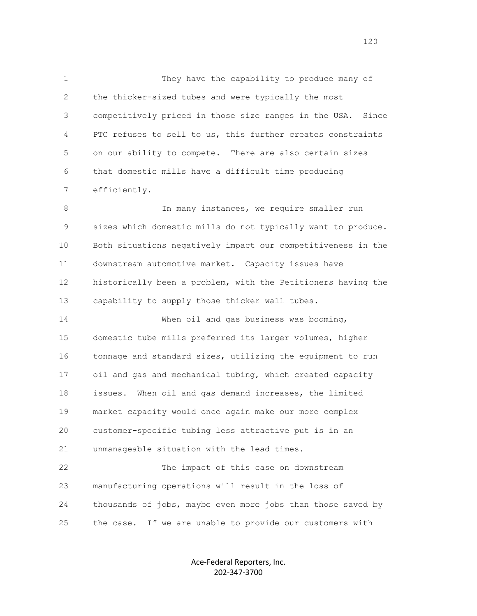1 They have the capability to produce many of 2 the thicker-sized tubes and were typically the most 3 competitively priced in those size ranges in the USA. Since 4 PTC refuses to sell to us, this further creates constraints 5 on our ability to compete. There are also certain sizes 6 that domestic mills have a difficult time producing 7 efficiently.

8 10 In many instances, we require smaller run 9 sizes which domestic mills do not typically want to produce. 10 Both situations negatively impact our competitiveness in the 11 downstream automotive market. Capacity issues have 12 historically been a problem, with the Petitioners having the 13 capability to supply those thicker wall tubes.

 14 When oil and gas business was booming, 15 domestic tube mills preferred its larger volumes, higher 16 tonnage and standard sizes, utilizing the equipment to run 17 oil and gas and mechanical tubing, which created capacity 18 issues. When oil and gas demand increases, the limited 19 market capacity would once again make our more complex 20 customer-specific tubing less attractive put is in an 21 unmanageable situation with the lead times.

 22 The impact of this case on downstream 23 manufacturing operations will result in the loss of 24 thousands of jobs, maybe even more jobs than those saved by 25 the case. If we are unable to provide our customers with

> Ace-Federal Reporters, Inc. 202-347-3700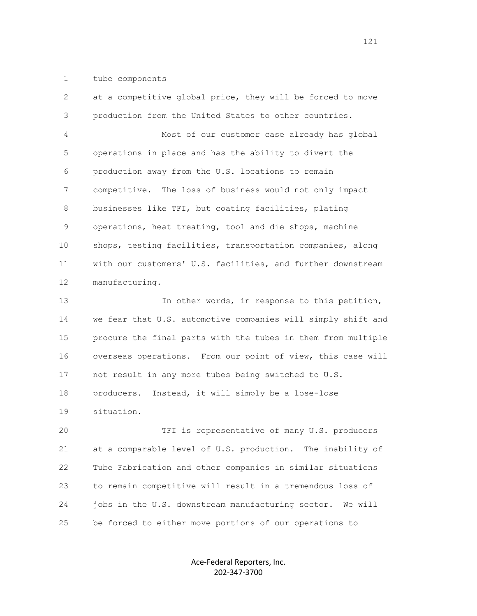## 1 tube components

 2 at a competitive global price, they will be forced to move 3 production from the United States to other countries. 4 Most of our customer case already has global 5 operations in place and has the ability to divert the 6 production away from the U.S. locations to remain 7 competitive. The loss of business would not only impact 8 businesses like TFI, but coating facilities, plating 9 operations, heat treating, tool and die shops, machine 10 shops, testing facilities, transportation companies, along 11 with our customers' U.S. facilities, and further downstream 12 manufacturing. 13 13 In other words, in response to this petition, 14 we fear that U.S. automotive companies will simply shift and 15 procure the final parts with the tubes in them from multiple 16 overseas operations. From our point of view, this case will 17 not result in any more tubes being switched to U.S. 18 producers. Instead, it will simply be a lose-lose 19 situation. 20 TFI is representative of many U.S. producers 21 at a comparable level of U.S. production. The inability of 22 Tube Fabrication and other companies in similar situations 23 to remain competitive will result in a tremendous loss of 24 jobs in the U.S. downstream manufacturing sector. We will

25 be forced to either move portions of our operations to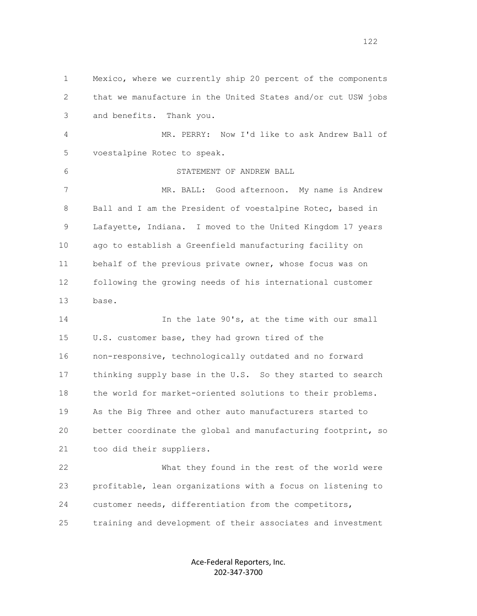1 Mexico, where we currently ship 20 percent of the components 2 that we manufacture in the United States and/or cut USW jobs 3 and benefits. Thank you. 4 MR. PERRY: Now I'd like to ask Andrew Ball of 5 voestalpine Rotec to speak. 6 STATEMENT OF ANDREW BALL 7 MR. BALL: Good afternoon. My name is Andrew 8 Ball and I am the President of voestalpine Rotec, based in 9 Lafayette, Indiana. I moved to the United Kingdom 17 years 10 ago to establish a Greenfield manufacturing facility on 11 behalf of the previous private owner, whose focus was on 12 following the growing needs of his international customer 13 base. 14 In the late 90's, at the time with our small 15 U.S. customer base, they had grown tired of the 16 non-responsive, technologically outdated and no forward 17 thinking supply base in the U.S. So they started to search 18 the world for market-oriented solutions to their problems. 19 As the Big Three and other auto manufacturers started to 20 better coordinate the global and manufacturing footprint, so 21 too did their suppliers. 22 What they found in the rest of the world were 23 profitable, lean organizations with a focus on listening to 24 customer needs, differentiation from the competitors,

25 training and development of their associates and investment

Ace-Federal Reporters, Inc. 202-347-3700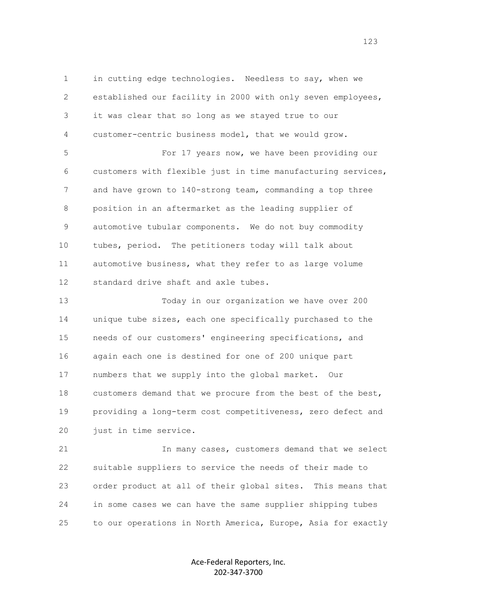1 in cutting edge technologies. Needless to say, when we 2 established our facility in 2000 with only seven employees, 3 it was clear that so long as we stayed true to our 4 customer-centric business model, that we would grow.

 5 For 17 years now, we have been providing our 6 customers with flexible just in time manufacturing services, 7 and have grown to 140-strong team, commanding a top three 8 position in an aftermarket as the leading supplier of 9 automotive tubular components. We do not buy commodity 10 tubes, period. The petitioners today will talk about 11 automotive business, what they refer to as large volume 12 standard drive shaft and axle tubes.

 13 Today in our organization we have over 200 14 unique tube sizes, each one specifically purchased to the 15 needs of our customers' engineering specifications, and 16 again each one is destined for one of 200 unique part 17 numbers that we supply into the global market. Our 18 customers demand that we procure from the best of the best, 19 providing a long-term cost competitiveness, zero defect and 20 just in time service.

 21 In many cases, customers demand that we select 22 suitable suppliers to service the needs of their made to 23 order product at all of their global sites. This means that 24 in some cases we can have the same supplier shipping tubes 25 to our operations in North America, Europe, Asia for exactly

> Ace-Federal Reporters, Inc. 202-347-3700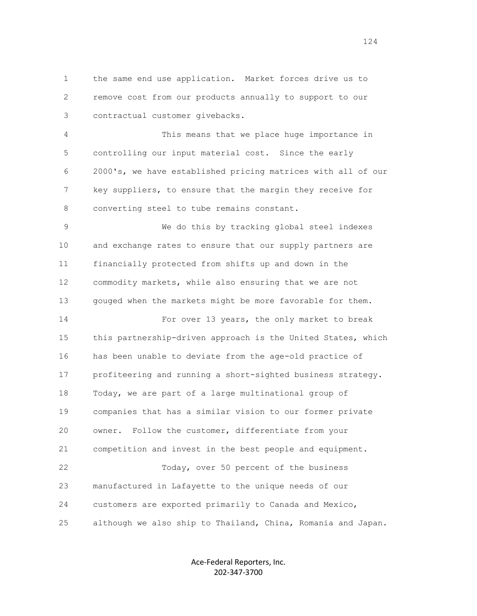1 the same end use application. Market forces drive us to 2 remove cost from our products annually to support to our 3 contractual customer givebacks.

 4 This means that we place huge importance in 5 controlling our input material cost. Since the early 6 2000's, we have established pricing matrices with all of our 7 key suppliers, to ensure that the margin they receive for 8 converting steel to tube remains constant.

 9 We do this by tracking global steel indexes 10 and exchange rates to ensure that our supply partners are 11 financially protected from shifts up and down in the 12 commodity markets, while also ensuring that we are not 13 gouged when the markets might be more favorable for them. 14 For over 13 years, the only market to break 15 this partnership-driven approach is the United States, which 16 has been unable to deviate from the age-old practice of 17 profiteering and running a short-sighted business strategy. 18 Today, we are part of a large multinational group of 19 companies that has a similar vision to our former private 20 owner. Follow the customer, differentiate from your 21 competition and invest in the best people and equipment. 22 Today, over 50 percent of the business 23 manufactured in Lafayette to the unique needs of our

25 although we also ship to Thailand, China, Romania and Japan.

24 customers are exported primarily to Canada and Mexico,

Ace-Federal Reporters, Inc. 202-347-3700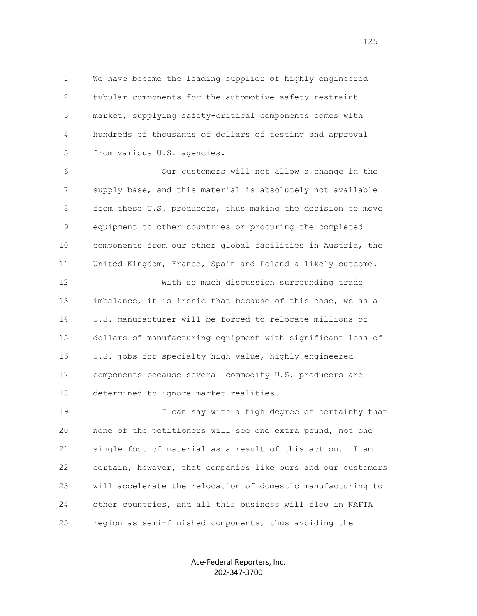1 We have become the leading supplier of highly engineered 2 tubular components for the automotive safety restraint 3 market, supplying safety-critical components comes with 4 hundreds of thousands of dollars of testing and approval 5 from various U.S. agencies.

 6 Our customers will not allow a change in the 7 supply base, and this material is absolutely not available 8 from these U.S. producers, thus making the decision to move 9 equipment to other countries or procuring the completed 10 components from our other global facilities in Austria, the 11 United Kingdom, France, Spain and Poland a likely outcome.

 12 With so much discussion surrounding trade 13 imbalance, it is ironic that because of this case, we as a 14 U.S. manufacturer will be forced to relocate millions of 15 dollars of manufacturing equipment with significant loss of 16 U.S. jobs for specialty high value, highly engineered 17 components because several commodity U.S. producers are 18 determined to ignore market realities.

 19 I can say with a high degree of certainty that 20 none of the petitioners will see one extra pound, not one 21 single foot of material as a result of this action. I am 22 certain, however, that companies like ours and our customers 23 will accelerate the relocation of domestic manufacturing to 24 other countries, and all this business will flow in NAFTA 25 region as semi-finished components, thus avoiding the

> Ace-Federal Reporters, Inc. 202-347-3700

n 125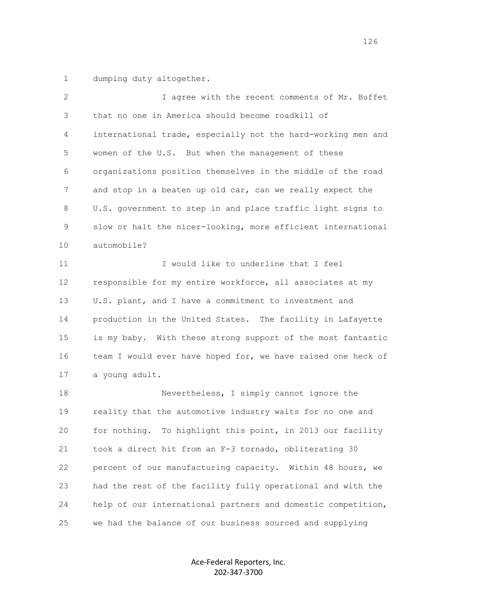1 dumping duty altogether.

| 2  | I agree with the recent comments of Mr. Buffet               |
|----|--------------------------------------------------------------|
| 3  | that no one in America should become roadkill of             |
| 4  | international trade, especially not the hard-working men and |
| 5  | women of the U.S. But when the management of these           |
| 6  | organizations position themselves in the middle of the road  |
| 7  | and stop in a beaten up old car, can we really expect the    |
| 8  | U.S. government to step in and place traffic light signs to  |
| 9  | slow or halt the nicer-looking, more efficient international |
| 10 | automobile?                                                  |
| 11 | I would like to underline that I feel                        |
| 12 | responsible for my entire workforce, all associates at my    |
| 13 | U.S. plant, and I have a commitment to investment and        |
| 14 | production in the United States. The facility in Lafayette   |
| 15 | is my baby. With these strong support of the most fantastic  |
| 16 | team I would ever have hoped for, we have raised one heck of |
| 17 | a young adult.                                               |
| 18 | Nevertheless, I simply cannot ignore the                     |
| 19 | reality that the automotive industry waits for no one and    |
| 20 | for nothing. To highlight this point, in 2013 our facility   |
| 21 | took a direct hit from an F-3 tornado, obliterating 30       |
| 22 | percent of our manufacturing capacity. Within 48 hours, we   |
| 23 | had the rest of the facility fully operational and with the  |
| 24 | help of our international partners and domestic competition, |
| 25 | we had the balance of our business sourced and supplying     |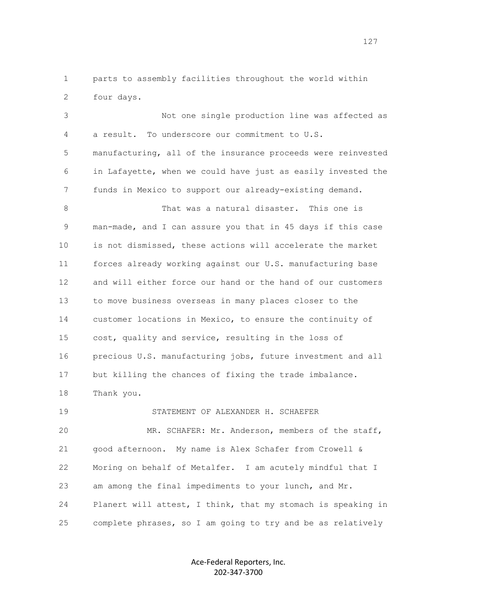1 parts to assembly facilities throughout the world within 2 four days.

 3 Not one single production line was affected as 4 a result. To underscore our commitment to U.S. 5 manufacturing, all of the insurance proceeds were reinvested 6 in Lafayette, when we could have just as easily invested the 7 funds in Mexico to support our already-existing demand. 8 That was a natural disaster. This one is 9 man-made, and I can assure you that in 45 days if this case 10 is not dismissed, these actions will accelerate the market 11 forces already working against our U.S. manufacturing base 12 and will either force our hand or the hand of our customers 13 to move business overseas in many places closer to the 14 customer locations in Mexico, to ensure the continuity of 15 cost, quality and service, resulting in the loss of 16 precious U.S. manufacturing jobs, future investment and all 17 but killing the chances of fixing the trade imbalance. 18 Thank you. 19 STATEMENT OF ALEXANDER H. SCHAEFER 20 MR. SCHAFER: Mr. Anderson, members of the staff, 21 good afternoon. My name is Alex Schafer from Crowell & 22 Moring on behalf of Metalfer. I am acutely mindful that I 23 am among the final impediments to your lunch, and Mr.

 24 Planert will attest, I think, that my stomach is speaking in 25 complete phrases, so I am going to try and be as relatively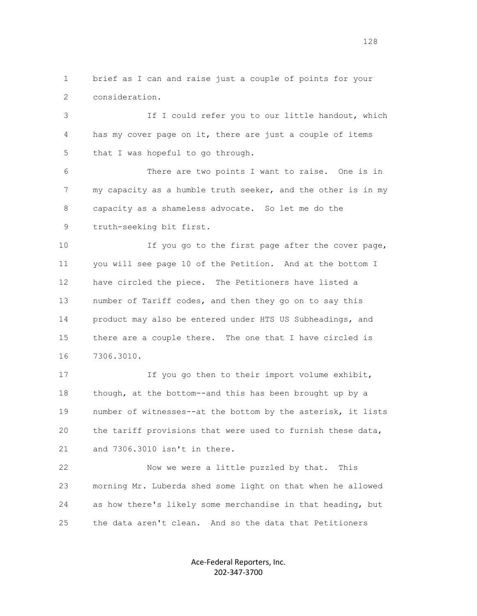1 brief as I can and raise just a couple of points for your 2 consideration.

 3 If I could refer you to our little handout, which 4 has my cover page on it, there are just a couple of items 5 that I was hopeful to go through.

 6 There are two points I want to raise. One is in 7 my capacity as a humble truth seeker, and the other is in my 8 capacity as a shameless advocate. So let me do the 9 truth-seeking bit first.

 10 If you go to the first page after the cover page, 11 you will see page 10 of the Petition. And at the bottom I 12 have circled the piece. The Petitioners have listed a 13 number of Tariff codes, and then they go on to say this 14 product may also be entered under HTS US Subheadings, and 15 there are a couple there. The one that I have circled is 16 7306.3010.

 17 If you go then to their import volume exhibit, 18 though, at the bottom--and this has been brought up by a 19 number of witnesses--at the bottom by the asterisk, it lists 20 the tariff provisions that were used to furnish these data, 21 and 7306.3010 isn't in there.

 22 Now we were a little puzzled by that. This 23 morning Mr. Luberda shed some light on that when he allowed 24 as how there's likely some merchandise in that heading, but 25 the data aren't clean. And so the data that Petitioners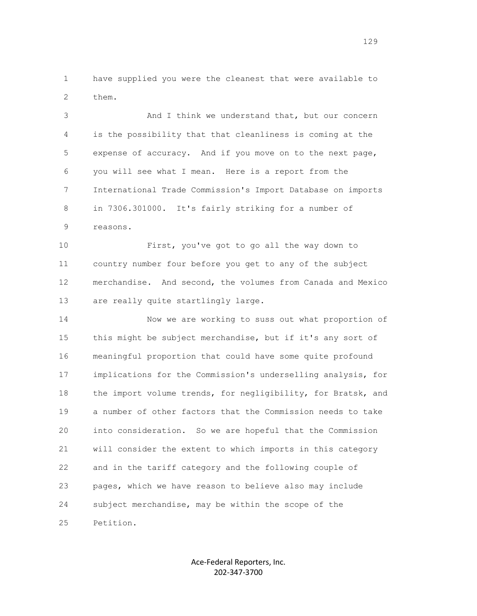1 have supplied you were the cleanest that were available to 2 them.

 3 And I think we understand that, but our concern 4 is the possibility that that cleanliness is coming at the 5 expense of accuracy. And if you move on to the next page, 6 you will see what I mean. Here is a report from the 7 International Trade Commission's Import Database on imports 8 in 7306.301000. It's fairly striking for a number of 9 reasons.

 10 First, you've got to go all the way down to 11 country number four before you get to any of the subject 12 merchandise. And second, the volumes from Canada and Mexico 13 are really quite startlingly large.

 14 Now we are working to suss out what proportion of 15 this might be subject merchandise, but if it's any sort of 16 meaningful proportion that could have some quite profound 17 implications for the Commission's underselling analysis, for 18 the import volume trends, for negligibility, for Bratsk, and 19 a number of other factors that the Commission needs to take 20 into consideration. So we are hopeful that the Commission 21 will consider the extent to which imports in this category 22 and in the tariff category and the following couple of 23 pages, which we have reason to believe also may include 24 subject merchandise, may be within the scope of the 25 Petition.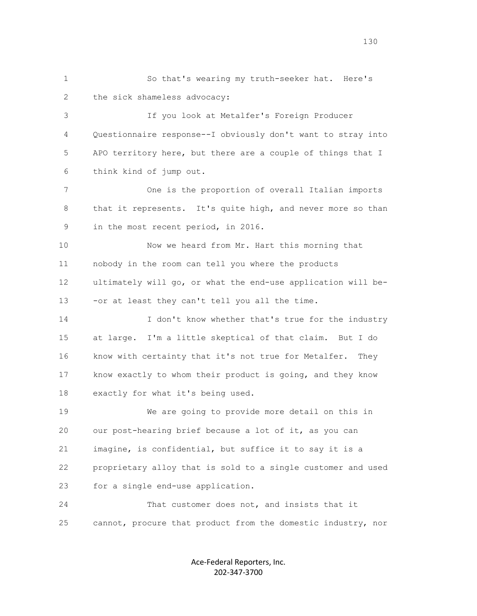1 So that's wearing my truth-seeker hat. Here's 2 the sick shameless advocacy: 3 If you look at Metalfer's Foreign Producer 4 Questionnaire response--I obviously don't want to stray into 5 APO territory here, but there are a couple of things that I 6 think kind of jump out. 7 One is the proportion of overall Italian imports 8 that it represents. It's quite high, and never more so than 9 in the most recent period, in 2016. 10 Now we heard from Mr. Hart this morning that 11 nobody in the room can tell you where the products 12 ultimately will go, or what the end-use application will be- 13 -or at least they can't tell you all the time. 14 I don't know whether that's true for the industry 15 at large. I'm a little skeptical of that claim. But I do 16 know with certainty that it's not true for Metalfer. They 17 know exactly to whom their product is going, and they know 18 exactly for what it's being used. 19 We are going to provide more detail on this in 20 our post-hearing brief because a lot of it, as you can 21 imagine, is confidential, but suffice it to say it is a 22 proprietary alloy that is sold to a single customer and used 23 for a single end-use application. 24 That customer does not, and insists that it 25 cannot, procure that product from the domestic industry, nor

> Ace-Federal Reporters, Inc. 202-347-3700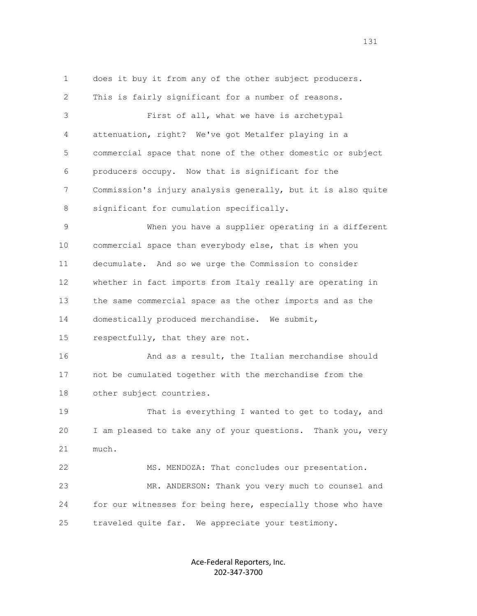1 does it buy it from any of the other subject producers. 2 This is fairly significant for a number of reasons. 3 First of all, what we have is archetypal 4 attenuation, right? We've got Metalfer playing in a 5 commercial space that none of the other domestic or subject 6 producers occupy. Now that is significant for the 7 Commission's injury analysis generally, but it is also quite 8 significant for cumulation specifically. 9 When you have a supplier operating in a different 10 commercial space than everybody else, that is when you 11 decumulate. And so we urge the Commission to consider 12 whether in fact imports from Italy really are operating in 13 the same commercial space as the other imports and as the 14 domestically produced merchandise. We submit, 15 respectfully, that they are not. 16 And as a result, the Italian merchandise should 17 not be cumulated together with the merchandise from the 18 other subject countries. 19 That is everything I wanted to get to today, and 20 I am pleased to take any of your questions. Thank you, very 21 much. 22 MS. MENDOZA: That concludes our presentation. 23 MR. ANDERSON: Thank you very much to counsel and 24 for our witnesses for being here, especially those who have 25 traveled quite far. We appreciate your testimony.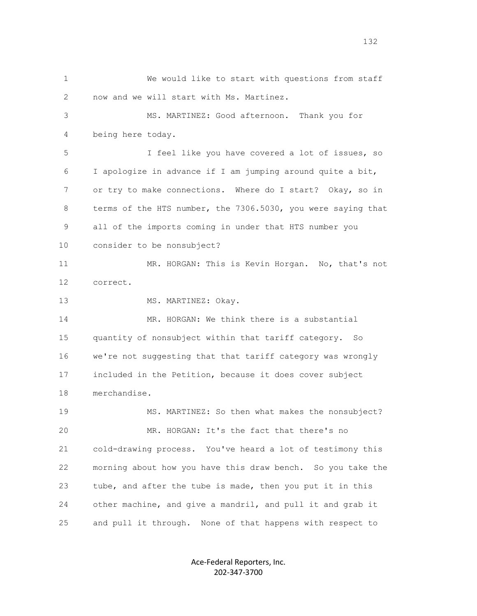1 We would like to start with questions from staff 2 now and we will start with Ms. Martinez. 3 MS. MARTINEZ: Good afternoon. Thank you for 4 being here today. 5 I feel like you have covered a lot of issues, so 6 I apologize in advance if I am jumping around quite a bit, 7 or try to make connections. Where do I start? Okay, so in 8 terms of the HTS number, the 7306.5030, you were saying that 9 all of the imports coming in under that HTS number you 10 consider to be nonsubject? 11 MR. HORGAN: This is Kevin Horgan. No, that's not 12 correct. 13 MS. MARTINEZ: Okay. 14 MR. HORGAN: We think there is a substantial 15 quantity of nonsubject within that tariff category. So 16 we're not suggesting that that tariff category was wrongly 17 included in the Petition, because it does cover subject 18 merchandise. 19 MS. MARTINEZ: So then what makes the nonsubject? 20 MR. HORGAN: It's the fact that there's no 21 cold-drawing process. You've heard a lot of testimony this 22 morning about how you have this draw bench. So you take the 23 tube, and after the tube is made, then you put it in this 24 other machine, and give a mandril, and pull it and grab it 25 and pull it through. None of that happens with respect to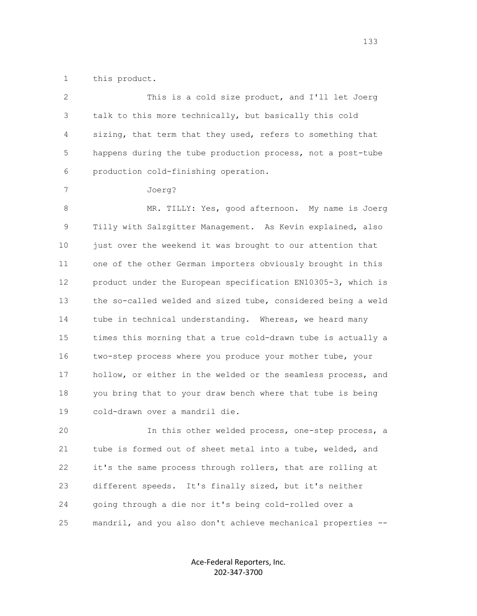1 this product.

 2 This is a cold size product, and I'll let Joerg 3 talk to this more technically, but basically this cold 4 sizing, that term that they used, refers to something that 5 happens during the tube production process, not a post-tube 6 production cold-finishing operation.

7 Joerg?

 8 MR. TILLY: Yes, good afternoon. My name is Joerg 9 Tilly with Salzgitter Management. As Kevin explained, also 10 just over the weekend it was brought to our attention that 11 one of the other German importers obviously brought in this 12 product under the European specification EN10305-3, which is 13 the so-called welded and sized tube, considered being a weld 14 tube in technical understanding. Whereas, we heard many 15 times this morning that a true cold-drawn tube is actually a 16 two-step process where you produce your mother tube, your 17 hollow, or either in the welded or the seamless process, and 18 you bring that to your draw bench where that tube is being 19 cold-drawn over a mandril die.

 20 In this other welded process, one-step process, a 21 tube is formed out of sheet metal into a tube, welded, and 22 it's the same process through rollers, that are rolling at 23 different speeds. It's finally sized, but it's neither 24 going through a die nor it's being cold-rolled over a 25 mandril, and you also don't achieve mechanical properties --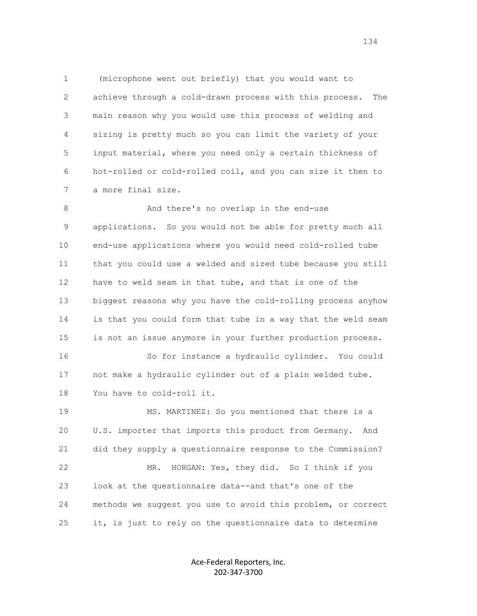1 (microphone went out briefly) that you would want to 2 achieve through a cold-drawn process with this process. The 3 main reason why you would use this process of welding and 4 sizing is pretty much so you can limit the variety of your 5 input material, where you need only a certain thickness of 6 hot-rolled or cold-rolled coil, and you can size it then to 7 a more final size.

8 And there's no overlap in the end-use 9 applications. So you would not be able for pretty much all 10 end-use applications where you would need cold-rolled tube 11 that you could use a welded and sized tube because you still 12 have to weld seam in that tube, and that is one of the 13 biggest reasons why you have the cold-rolling process anyhow 14 is that you could form that tube in a way that the weld seam 15 is not an issue anymore in your further production process.

 16 So for instance a hydraulic cylinder. You could 17 not make a hydraulic cylinder out of a plain welded tube. 18 You have to cold-roll it.

 19 MS. MARTINEZ: So you mentioned that there is a 20 U.S. importer that imports this product from Germany. And 21 did they supply a questionnaire response to the Commission? 22 MR. HORGAN: Yes, they did. So I think if you 23 look at the questionnaire data--and that's one of the 24 methods we suggest you use to avoid this problem, or correct 25 it, is just to rely on the questionnaire data to determine

> Ace-Federal Reporters, Inc. 202-347-3700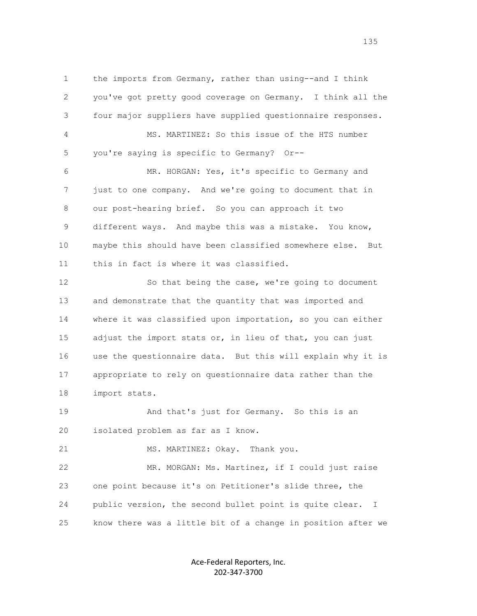1 the imports from Germany, rather than using--and I think 2 you've got pretty good coverage on Germany. I think all the 3 four major suppliers have supplied questionnaire responses. 4 MS. MARTINEZ: So this issue of the HTS number 5 you're saying is specific to Germany? Or-- 6 MR. HORGAN: Yes, it's specific to Germany and 7 just to one company. And we're going to document that in 8 our post-hearing brief. So you can approach it two 9 different ways. And maybe this was a mistake. You know, 10 maybe this should have been classified somewhere else. But

 12 So that being the case, we're going to document 13 and demonstrate that the quantity that was imported and 14 where it was classified upon importation, so you can either 15 adjust the import stats or, in lieu of that, you can just 16 use the questionnaire data. But this will explain why it is 17 appropriate to rely on questionnaire data rather than the 18 import stats.

 19 And that's just for Germany. So this is an 20 isolated problem as far as I know.

21 MS. MARTINEZ: Okay. Thank you.

11 this in fact is where it was classified.

 22 MR. MORGAN: Ms. Martinez, if I could just raise 23 one point because it's on Petitioner's slide three, the 24 public version, the second bullet point is quite clear. I 25 know there was a little bit of a change in position after we

> Ace-Federal Reporters, Inc. 202-347-3700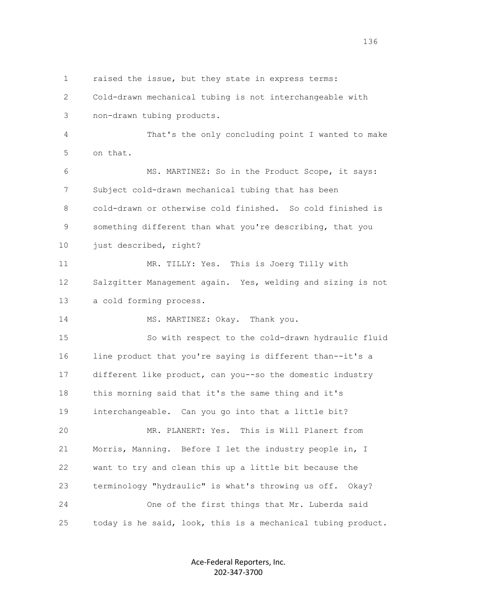1 raised the issue, but they state in express terms:

 2 Cold-drawn mechanical tubing is not interchangeable with 3 non-drawn tubing products.

 4 That's the only concluding point I wanted to make 5 on that.

 6 MS. MARTINEZ: So in the Product Scope, it says: 7 Subject cold-drawn mechanical tubing that has been 8 cold-drawn or otherwise cold finished. So cold finished is 9 something different than what you're describing, that you 10 just described, right?

 11 MR. TILLY: Yes. This is Joerg Tilly with 12 Salzgitter Management again. Yes, welding and sizing is not 13 a cold forming process.

14 MS. MARTINEZ: Okay. Thank you.

 15 So with respect to the cold-drawn hydraulic fluid 16 line product that you're saying is different than--it's a 17 different like product, can you--so the domestic industry 18 this morning said that it's the same thing and it's 19 interchangeable. Can you go into that a little bit? 20 MR. PLANERT: Yes. This is Will Planert from 21 Morris, Manning. Before I let the industry people in, I 22 want to try and clean this up a little bit because the 23 terminology "hydraulic" is what's throwing us off. Okay? 24 One of the first things that Mr. Luberda said

25 today is he said, look, this is a mechanical tubing product.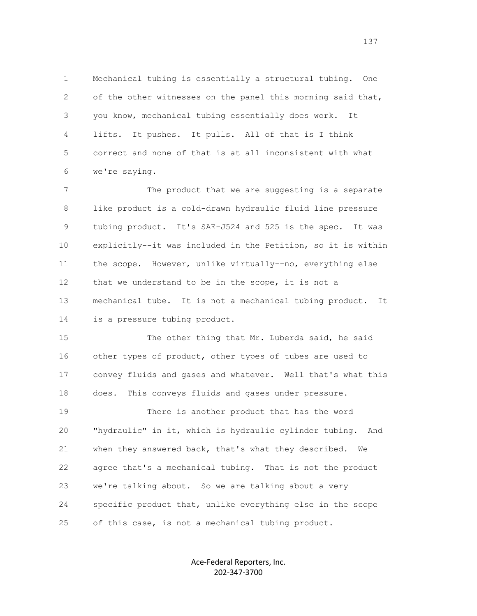1 Mechanical tubing is essentially a structural tubing. One 2 of the other witnesses on the panel this morning said that, 3 you know, mechanical tubing essentially does work. It 4 lifts. It pushes. It pulls. All of that is I think 5 correct and none of that is at all inconsistent with what 6 we're saying.

7 The product that we are suggesting is a separate 8 like product is a cold-drawn hydraulic fluid line pressure 9 tubing product. It's SAE-J524 and 525 is the spec. It was 10 explicitly--it was included in the Petition, so it is within 11 the scope. However, unlike virtually--no, everything else 12 that we understand to be in the scope, it is not a 13 mechanical tube. It is not a mechanical tubing product. It 14 is a pressure tubing product.

 15 The other thing that Mr. Luberda said, he said 16 other types of product, other types of tubes are used to 17 convey fluids and gases and whatever. Well that's what this 18 does. This conveys fluids and gases under pressure. 19 There is another product that has the word

 20 "hydraulic" in it, which is hydraulic cylinder tubing. And 21 when they answered back, that's what they described. We 22 agree that's a mechanical tubing. That is not the product 23 we're talking about. So we are talking about a very 24 specific product that, unlike everything else in the scope 25 of this case, is not a mechanical tubing product.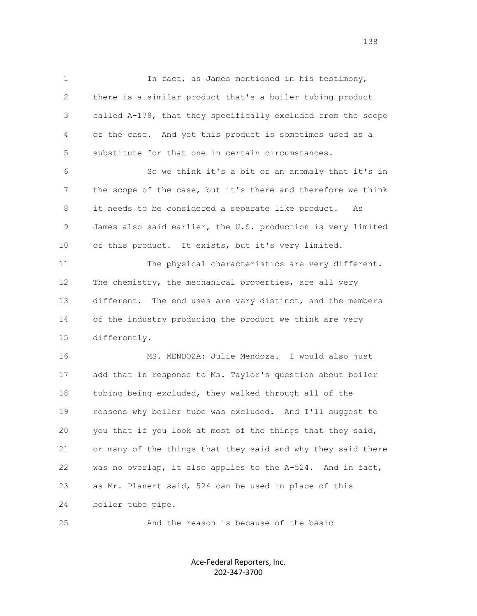1 In fact, as James mentioned in his testimony, 2 there is a similar product that's a boiler tubing product 3 called A-179, that they specifically excluded from the scope 4 of the case. And yet this product is sometimes used as a 5 substitute for that one in certain circumstances.

 6 So we think it's a bit of an anomaly that it's in 7 the scope of the case, but it's there and therefore we think 8 it needs to be considered a separate like product. As 9 James also said earlier, the U.S. production is very limited 10 of this product. It exists, but it's very limited.

 11 The physical characteristics are very different. 12 The chemistry, the mechanical properties, are all very 13 different. The end uses are very distinct, and the members 14 of the industry producing the product we think are very 15 differently.

 16 MS. MENDOZA: Julie Mendoza. I would also just 17 add that in response to Ms. Taylor's question about boiler 18 tubing being excluded, they walked through all of the 19 reasons why boiler tube was excluded. And I'll suggest to 20 you that if you look at most of the things that they said, 21 or many of the things that they said and why they said there 22 was no overlap, it also applies to the A-524. And in fact, 23 as Mr. Planert said, 524 can be used in place of this 24 boiler tube pipe.

25 And the reason is because of the basic

Ace-Federal Reporters, Inc. 202-347-3700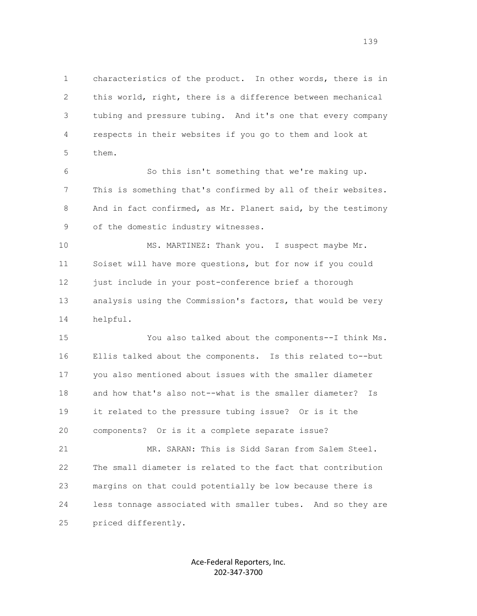1 characteristics of the product. In other words, there is in 2 this world, right, there is a difference between mechanical 3 tubing and pressure tubing. And it's one that every company 4 respects in their websites if you go to them and look at 5 them.

 6 So this isn't something that we're making up. 7 This is something that's confirmed by all of their websites. 8 And in fact confirmed, as Mr. Planert said, by the testimony 9 of the domestic industry witnesses.

10 MS. MARTINEZ: Thank you. I suspect maybe Mr. 11 Soiset will have more questions, but for now if you could 12 just include in your post-conference brief a thorough 13 analysis using the Commission's factors, that would be very 14 helpful.

 15 You also talked about the components--I think Ms. 16 Ellis talked about the components. Is this related to--but 17 you also mentioned about issues with the smaller diameter 18 and how that's also not--what is the smaller diameter? Is 19 it related to the pressure tubing issue? Or is it the 20 components? Or is it a complete separate issue?

 21 MR. SARAN: This is Sidd Saran from Salem Steel. 22 The small diameter is related to the fact that contribution 23 margins on that could potentially be low because there is 24 less tonnage associated with smaller tubes. And so they are 25 priced differently.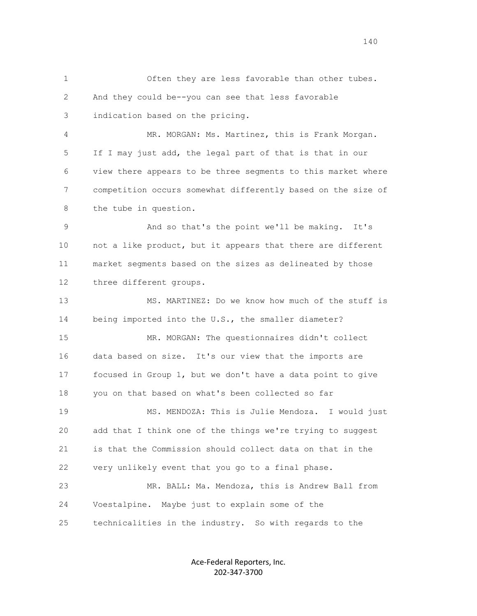1 Often they are less favorable than other tubes. 2 And they could be--you can see that less favorable 3 indication based on the pricing. 4 MR. MORGAN: Ms. Martinez, this is Frank Morgan. 5 If I may just add, the legal part of that is that in our 6 view there appears to be three segments to this market where 7 competition occurs somewhat differently based on the size of 8 the tube in question. 9 And so that's the point we'll be making. It's 10 not a like product, but it appears that there are different 11 market segments based on the sizes as delineated by those 12 three different groups. 13 MS. MARTINEZ: Do we know how much of the stuff is 14 being imported into the U.S., the smaller diameter? 15 MR. MORGAN: The questionnaires didn't collect 16 data based on size. It's our view that the imports are 17 focused in Group 1, but we don't have a data point to give 18 you on that based on what's been collected so far 19 MS. MENDOZA: This is Julie Mendoza. I would just 20 add that I think one of the things we're trying to suggest 21 is that the Commission should collect data on that in the 22 very unlikely event that you go to a final phase. 23 MR. BALL: Ma. Mendoza, this is Andrew Ball from 24 Voestalpine. Maybe just to explain some of the 25 technicalities in the industry. So with regards to the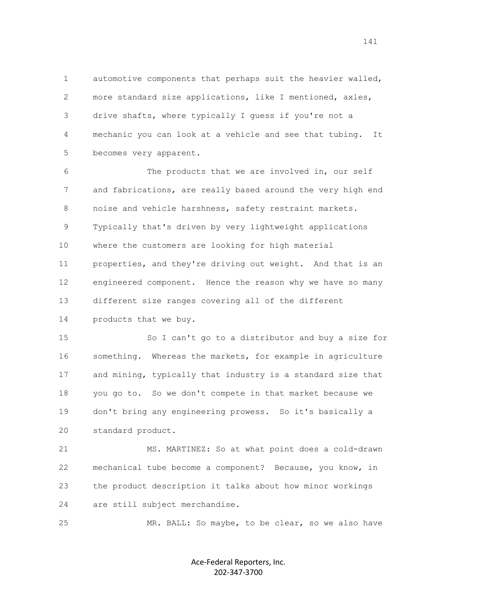1 automotive components that perhaps suit the heavier walled, 2 more standard size applications, like I mentioned, axles, 3 drive shafts, where typically I guess if you're not a 4 mechanic you can look at a vehicle and see that tubing. It 5 becomes very apparent.

 6 The products that we are involved in, our self 7 and fabrications, are really based around the very high end 8 noise and vehicle harshness, safety restraint markets. 9 Typically that's driven by very lightweight applications 10 where the customers are looking for high material 11 properties, and they're driving out weight. And that is an 12 engineered component. Hence the reason why we have so many 13 different size ranges covering all of the different

14 products that we buy.

 15 So I can't go to a distributor and buy a size for 16 something. Whereas the markets, for example in agriculture 17 and mining, typically that industry is a standard size that 18 you go to. So we don't compete in that market because we 19 don't bring any engineering prowess. So it's basically a 20 standard product.

 21 MS. MARTINEZ: So at what point does a cold-drawn 22 mechanical tube become a component? Because, you know, in 23 the product description it talks about how minor workings 24 are still subject merchandise.

25 MR. BALL: So maybe, to be clear, so we also have

Ace-Federal Reporters, Inc. 202-347-3700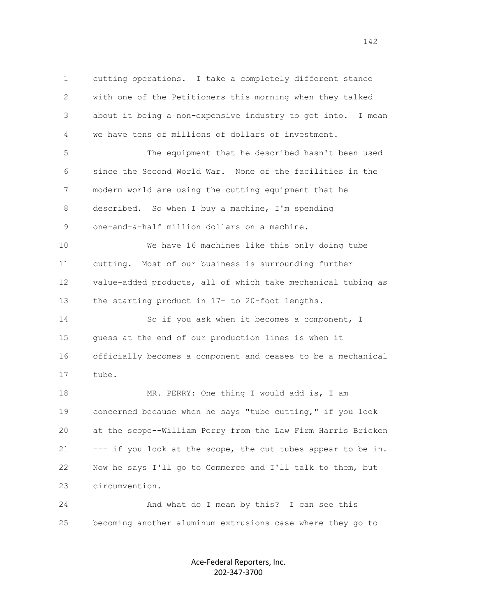1 cutting operations. I take a completely different stance 2 with one of the Petitioners this morning when they talked 3 about it being a non-expensive industry to get into. I mean 4 we have tens of millions of dollars of investment. 5 The equipment that he described hasn't been used 6 since the Second World War. None of the facilities in the 7 modern world are using the cutting equipment that he 8 described. So when I buy a machine, I'm spending 9 one-and-a-half million dollars on a machine. 10 We have 16 machines like this only doing tube 11 cutting. Most of our business is surrounding further 12 value-added products, all of which take mechanical tubing as 13 the starting product in 17- to 20-foot lengths. 14 So if you ask when it becomes a component, I 15 guess at the end of our production lines is when it 16 officially becomes a component and ceases to be a mechanical 17 tube. 18 MR. PERRY: One thing I would add is, I am 19 concerned because when he says "tube cutting," if you look 20 at the scope--William Perry from the Law Firm Harris Bricken 21 --- if you look at the scope, the cut tubes appear to be in. 22 Now he says I'll go to Commerce and I'll talk to them, but 23 circumvention. 24 And what do I mean by this? I can see this

> Ace-Federal Reporters, Inc. 202-347-3700

25 becoming another aluminum extrusions case where they go to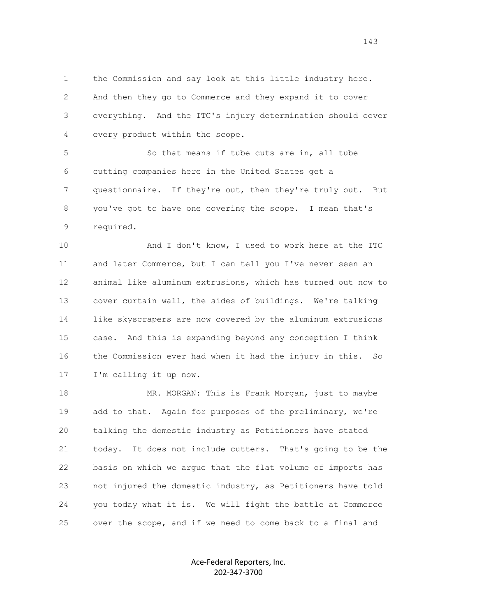1 the Commission and say look at this little industry here. 2 And then they go to Commerce and they expand it to cover 3 everything. And the ITC's injury determination should cover 4 every product within the scope.

 5 So that means if tube cuts are in, all tube 6 cutting companies here in the United States get a 7 questionnaire. If they're out, then they're truly out. But 8 you've got to have one covering the scope. I mean that's 9 required.

 10 And I don't know, I used to work here at the ITC 11 and later Commerce, but I can tell you I've never seen an 12 animal like aluminum extrusions, which has turned out now to 13 cover curtain wall, the sides of buildings. We're talking 14 like skyscrapers are now covered by the aluminum extrusions 15 case. And this is expanding beyond any conception I think 16 the Commission ever had when it had the injury in this. So 17 I'm calling it up now.

18 MR. MORGAN: This is Frank Morgan, just to maybe 19 add to that. Again for purposes of the preliminary, we're 20 talking the domestic industry as Petitioners have stated 21 today. It does not include cutters. That's going to be the 22 basis on which we argue that the flat volume of imports has 23 not injured the domestic industry, as Petitioners have told 24 you today what it is. We will fight the battle at Commerce 25 over the scope, and if we need to come back to a final and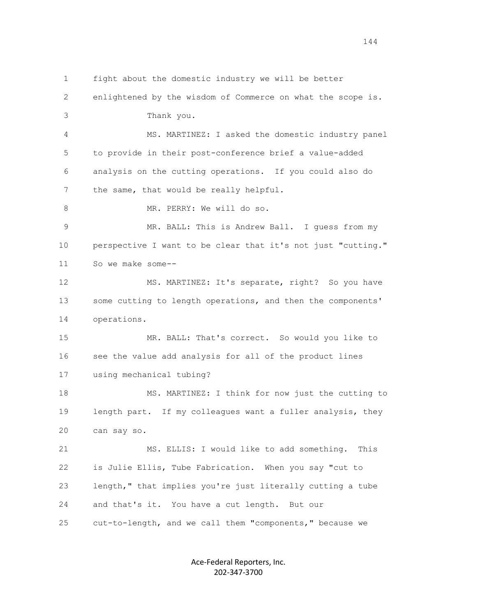1 fight about the domestic industry we will be better 2 enlightened by the wisdom of Commerce on what the scope is. 3 Thank you. 4 MS. MARTINEZ: I asked the domestic industry panel 5 to provide in their post-conference brief a value-added 6 analysis on the cutting operations. If you could also do 7 the same, that would be really helpful. 8 MR. PERRY: We will do so. 9 MR. BALL: This is Andrew Ball. I guess from my 10 perspective I want to be clear that it's not just "cutting." 11 So we make some-- 12 MS. MARTINEZ: It's separate, right? So you have 13 some cutting to length operations, and then the components' 14 operations. 15 MR. BALL: That's correct. So would you like to 16 see the value add analysis for all of the product lines 17 using mechanical tubing? 18 MS. MARTINEZ: I think for now just the cutting to 19 length part. If my colleagues want a fuller analysis, they 20 can say so. 21 MS. ELLIS: I would like to add something. This 22 is Julie Ellis, Tube Fabrication. When you say "cut to 23 length," that implies you're just literally cutting a tube 24 and that's it. You have a cut length. But our 25 cut-to-length, and we call them "components," because we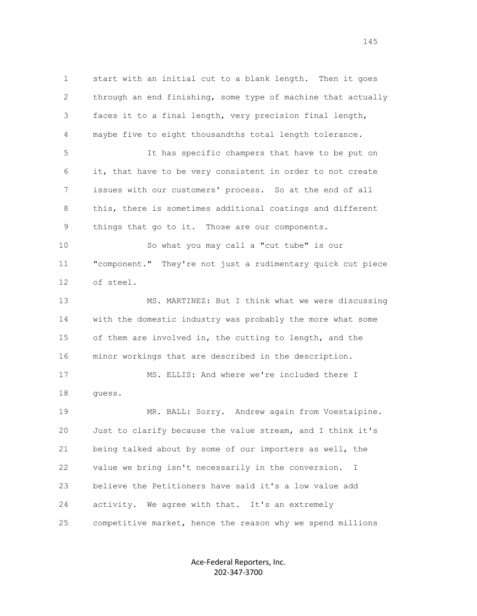1 start with an initial cut to a blank length. Then it goes 2 through an end finishing, some type of machine that actually 3 faces it to a final length, very precision final length, 4 maybe five to eight thousandths total length tolerance. 5 It has specific champers that have to be put on 6 it, that have to be very consistent in order to not create 7 issues with our customers' process. So at the end of all 8 this, there is sometimes additional coatings and different 9 things that go to it. Those are our components. 10 So what you may call a "cut tube" is our 11 "component." They're not just a rudimentary quick cut piece 12 of steel. 13 MS. MARTINEZ: But I think what we were discussing 14 with the domestic industry was probably the more what some 15 of them are involved in, the cutting to length, and the 16 minor workings that are described in the description. 17 MS. ELLIS: And where we're included there I 18 guess. 19 MR. BALL: Sorry. Andrew again from Voestaipine. 20 Just to clarify because the value stream, and I think it's 21 being talked about by some of our importers as well, the 22 value we bring isn't necessarily in the conversion. I 23 believe the Petitioners have said it's a low value add 24 activity. We agree with that. It's an extremely 25 competitive market, hence the reason why we spend millions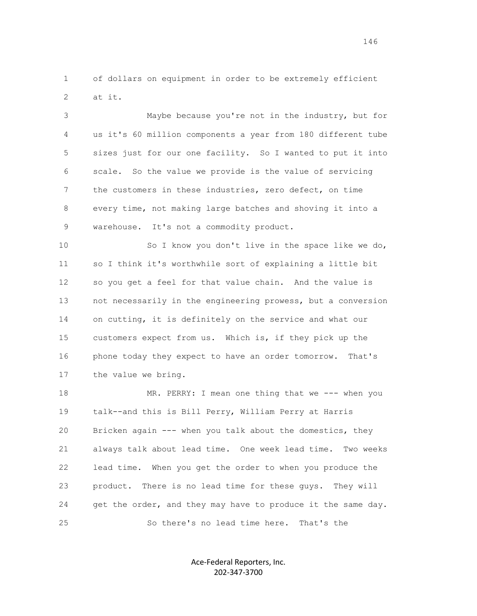1 of dollars on equipment in order to be extremely efficient 2 at it.

 3 Maybe because you're not in the industry, but for 4 us it's 60 million components a year from 180 different tube 5 sizes just for our one facility. So I wanted to put it into 6 scale. So the value we provide is the value of servicing 7 the customers in these industries, zero defect, on time 8 every time, not making large batches and shoving it into a 9 warehouse. It's not a commodity product.

 10 So I know you don't live in the space like we do, 11 so I think it's worthwhile sort of explaining a little bit 12 so you get a feel for that value chain. And the value is 13 not necessarily in the engineering prowess, but a conversion 14 on cutting, it is definitely on the service and what our 15 customers expect from us. Which is, if they pick up the 16 phone today they expect to have an order tomorrow. That's 17 the value we bring.

 18 MR. PERRY: I mean one thing that we --- when you 19 talk--and this is Bill Perry, William Perry at Harris 20 Bricken again --- when you talk about the domestics, they 21 always talk about lead time. One week lead time. Two weeks 22 lead time. When you get the order to when you produce the 23 product. There is no lead time for these guys. They will 24 get the order, and they may have to produce it the same day. 25 So there's no lead time here. That's the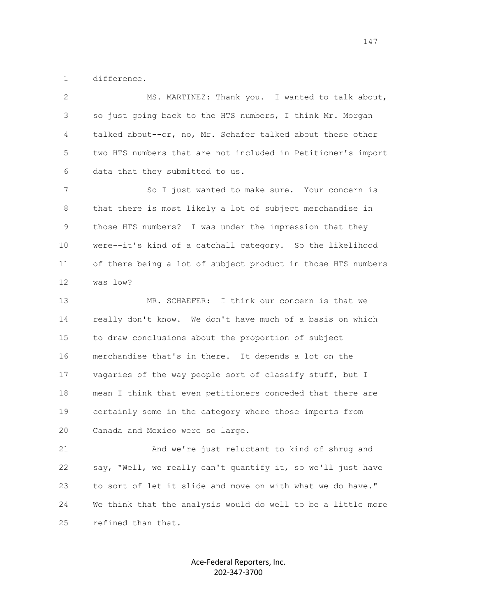1 difference.

 2 MS. MARTINEZ: Thank you. I wanted to talk about, 3 so just going back to the HTS numbers, I think Mr. Morgan 4 talked about--or, no, Mr. Schafer talked about these other 5 two HTS numbers that are not included in Petitioner's import 6 data that they submitted to us.

7 So I just wanted to make sure. Your concern is 8 that there is most likely a lot of subject merchandise in 9 those HTS numbers? I was under the impression that they 10 were--it's kind of a catchall category. So the likelihood 11 of there being a lot of subject product in those HTS numbers 12 was low?

 13 MR. SCHAEFER: I think our concern is that we 14 really don't know. We don't have much of a basis on which 15 to draw conclusions about the proportion of subject 16 merchandise that's in there. It depends a lot on the 17 vagaries of the way people sort of classify stuff, but I 18 mean I think that even petitioners conceded that there are 19 certainly some in the category where those imports from 20 Canada and Mexico were so large.

 21 And we're just reluctant to kind of shrug and 22 say, "Well, we really can't quantify it, so we'll just have 23 to sort of let it slide and move on with what we do have." 24 We think that the analysis would do well to be a little more 25 refined than that.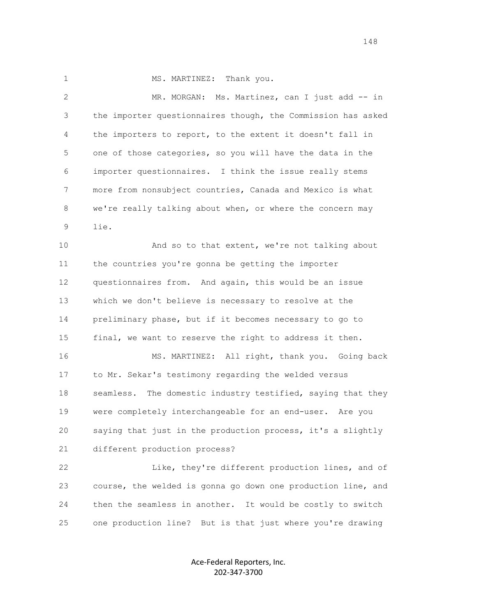1 MS. MARTINEZ: Thank you.

2 MR. MORGAN: Ms. Martinez, can I just add -- in 3 the importer questionnaires though, the Commission has asked 4 the importers to report, to the extent it doesn't fall in 5 one of those categories, so you will have the data in the 6 importer questionnaires. I think the issue really stems 7 more from nonsubject countries, Canada and Mexico is what 8 we're really talking about when, or where the concern may 9 lie.

10 And so to that extent, we're not talking about 11 the countries you're gonna be getting the importer 12 questionnaires from. And again, this would be an issue 13 which we don't believe is necessary to resolve at the 14 preliminary phase, but if it becomes necessary to go to 15 final, we want to reserve the right to address it then.

 16 MS. MARTINEZ: All right, thank you. Going back 17 to Mr. Sekar's testimony regarding the welded versus 18 seamless. The domestic industry testified, saying that they 19 were completely interchangeable for an end-user. Are you 20 saying that just in the production process, it's a slightly 21 different production process?

 22 Like, they're different production lines, and of 23 course, the welded is gonna go down one production line, and 24 then the seamless in another. It would be costly to switch 25 one production line? But is that just where you're drawing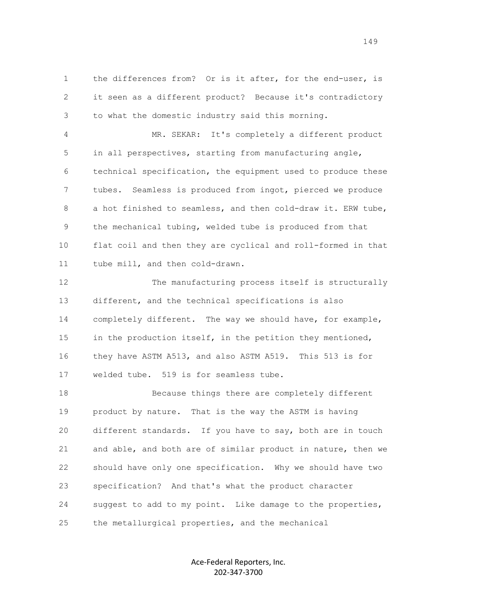1 the differences from? Or is it after, for the end-user, is 2 it seen as a different product? Because it's contradictory 3 to what the domestic industry said this morning.

 4 MR. SEKAR: It's completely a different product 5 in all perspectives, starting from manufacturing angle, 6 technical specification, the equipment used to produce these 7 tubes. Seamless is produced from ingot, pierced we produce 8 a hot finished to seamless, and then cold-draw it. ERW tube, 9 the mechanical tubing, welded tube is produced from that 10 flat coil and then they are cyclical and roll-formed in that 11 tube mill, and then cold-drawn.

12 The manufacturing process itself is structurally 13 different, and the technical specifications is also 14 completely different. The way we should have, for example, 15 in the production itself, in the petition they mentioned, 16 they have ASTM A513, and also ASTM A519. This 513 is for 17 welded tube. 519 is for seamless tube.

 18 Because things there are completely different 19 product by nature. That is the way the ASTM is having 20 different standards. If you have to say, both are in touch 21 and able, and both are of similar product in nature, then we 22 should have only one specification. Why we should have two 23 specification? And that's what the product character 24 suggest to add to my point. Like damage to the properties, 25 the metallurgical properties, and the mechanical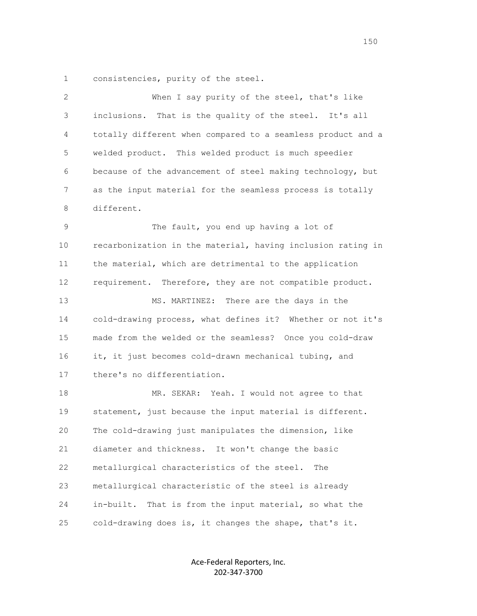1 consistencies, purity of the steel.

| When I say purity of the steel, that's like                 |
|-------------------------------------------------------------|
| inclusions. That is the quality of the steel. It's all      |
| totally different when compared to a seamless product and a |
| welded product. This welded product is much speedier        |
| because of the advancement of steel making technology, but  |
| as the input material for the seamless process is totally   |
| different.                                                  |
| The fault, you end up having a lot of                       |
| recarbonization in the material, having inclusion rating in |
| the material, which are detrimental to the application      |
| requirement. Therefore, they are not compatible product.    |
| MS. MARTINEZ: There are the days in the                     |
| cold-drawing process, what defines it? Whether or not it's  |
| made from the welded or the seamless? Once you cold-draw    |
| it, it just becomes cold-drawn mechanical tubing, and       |
| there's no differentiation.                                 |
| MR. SEKAR: Yeah. I would not agree to that                  |
| statement, just because the input material is different.    |
| The cold-drawing just manipulates the dimension, like       |
| diameter and thickness. It won't change the basic           |
| metallurgical characteristics of the steel.<br>The          |
| metallurgical characteristic of the steel is already        |
| in-built.<br>That is from the input material, so what the   |
| cold-drawing does is, it changes the shape, that's it.      |
|                                                             |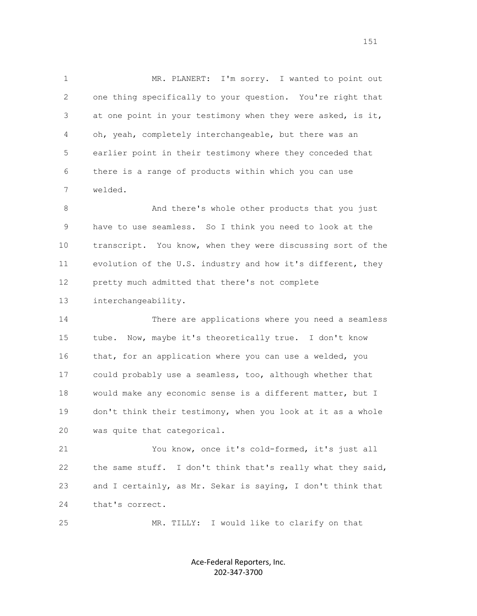1 MR. PLANERT: I'm sorry. I wanted to point out 2 one thing specifically to your question. You're right that 3 at one point in your testimony when they were asked, is it, 4 oh, yeah, completely interchangeable, but there was an 5 earlier point in their testimony where they conceded that 6 there is a range of products within which you can use 7 welded.

 8 And there's whole other products that you just 9 have to use seamless. So I think you need to look at the 10 transcript. You know, when they were discussing sort of the 11 evolution of the U.S. industry and how it's different, they 12 pretty much admitted that there's not complete

13 interchangeability.

 14 There are applications where you need a seamless 15 tube. Now, maybe it's theoretically true. I don't know 16 that, for an application where you can use a welded, you 17 could probably use a seamless, too, although whether that 18 would make any economic sense is a different matter, but I 19 don't think their testimony, when you look at it as a whole 20 was quite that categorical.

 21 You know, once it's cold-formed, it's just all 22 the same stuff. I don't think that's really what they said, 23 and I certainly, as Mr. Sekar is saying, I don't think that 24 that's correct.

25 MR. TILLY: I would like to clarify on that

Ace-Federal Reporters, Inc. 202-347-3700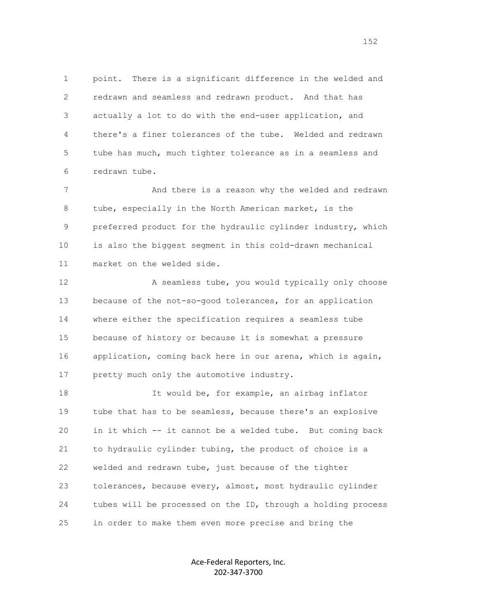1 point. There is a significant difference in the welded and 2 redrawn and seamless and redrawn product. And that has 3 actually a lot to do with the end-user application, and 4 there's a finer tolerances of the tube. Welded and redrawn 5 tube has much, much tighter tolerance as in a seamless and 6 redrawn tube.

 7 And there is a reason why the welded and redrawn 8 tube, especially in the North American market, is the 9 preferred product for the hydraulic cylinder industry, which 10 is also the biggest segment in this cold-drawn mechanical 11 market on the welded side.

12 A seamless tube, you would typically only choose 13 because of the not-so-good tolerances, for an application 14 where either the specification requires a seamless tube 15 because of history or because it is somewhat a pressure 16 application, coming back here in our arena, which is again, 17 pretty much only the automotive industry.

 18 It would be, for example, an airbag inflator 19 tube that has to be seamless, because there's an explosive 20 in it which -- it cannot be a welded tube. But coming back 21 to hydraulic cylinder tubing, the product of choice is a 22 welded and redrawn tube, just because of the tighter 23 tolerances, because every, almost, most hydraulic cylinder 24 tubes will be processed on the ID, through a holding process 25 in order to make them even more precise and bring the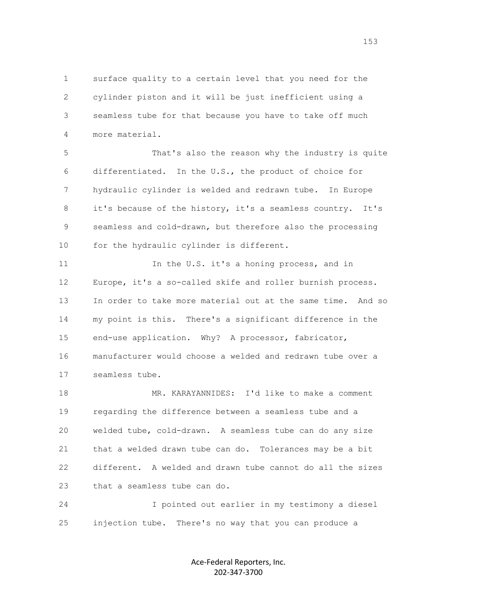1 surface quality to a certain level that you need for the 2 cylinder piston and it will be just inefficient using a 3 seamless tube for that because you have to take off much 4 more material.

 5 That's also the reason why the industry is quite 6 differentiated. In the U.S., the product of choice for 7 hydraulic cylinder is welded and redrawn tube. In Europe 8 it's because of the history, it's a seamless country. It's 9 seamless and cold-drawn, but therefore also the processing 10 for the hydraulic cylinder is different.

11 11 In the U.S. it's a honing process, and in 12 Europe, it's a so-called skife and roller burnish process. 13 In order to take more material out at the same time. And so 14 my point is this. There's a significant difference in the 15 end-use application. Why? A processor, fabricator, 16 manufacturer would choose a welded and redrawn tube over a 17 seamless tube.

 18 MR. KARAYANNIDES: I'd like to make a comment 19 regarding the difference between a seamless tube and a 20 welded tube, cold-drawn. A seamless tube can do any size 21 that a welded drawn tube can do. Tolerances may be a bit 22 different. A welded and drawn tube cannot do all the sizes 23 that a seamless tube can do.

 24 I pointed out earlier in my testimony a diesel 25 injection tube. There's no way that you can produce a

> Ace-Federal Reporters, Inc. 202-347-3700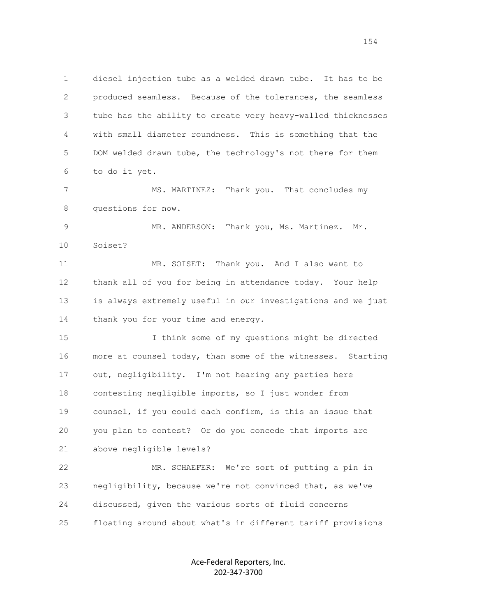1 diesel injection tube as a welded drawn tube. It has to be 2 produced seamless. Because of the tolerances, the seamless 3 tube has the ability to create very heavy-walled thicknesses 4 with small diameter roundness. This is something that the 5 DOM welded drawn tube, the technology's not there for them 6 to do it yet. 7 MS. MARTINEZ: Thank you. That concludes my 8 questions for now. 9 MR. ANDERSON: Thank you, Ms. Martinez. Mr. 10 Soiset? 11 MR. SOISET: Thank you. And I also want to 12 thank all of you for being in attendance today. Your help 13 is always extremely useful in our investigations and we just 14 thank you for your time and energy. 15 I think some of my questions might be directed 16 more at counsel today, than some of the witnesses. Starting 17 out, negligibility. I'm not hearing any parties here 18 contesting negligible imports, so I just wonder from 19 counsel, if you could each confirm, is this an issue that 20 you plan to contest? Or do you concede that imports are 21 above negligible levels? 22 MR. SCHAEFER: We're sort of putting a pin in 23 negligibility, because we're not convinced that, as we've 24 discussed, given the various sorts of fluid concerns 25 floating around about what's in different tariff provisions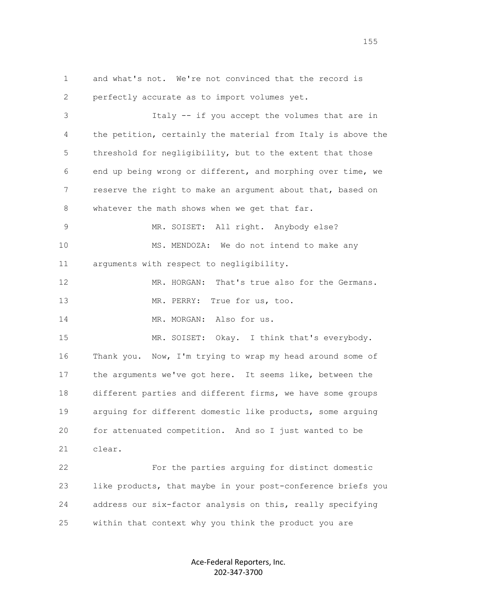1 and what's not. We're not convinced that the record is 2 perfectly accurate as to import volumes yet. 3 Italy -- if you accept the volumes that are in 4 the petition, certainly the material from Italy is above the 5 threshold for negligibility, but to the extent that those 6 end up being wrong or different, and morphing over time, we 7 reserve the right to make an argument about that, based on 8 whatever the math shows when we get that far. 9 MR. SOISET: All right. Anybody else? 10 MS. MENDOZA: We do not intend to make any 11 arguments with respect to negligibility. 12 MR. HORGAN: That's true also for the Germans. 13 MR. PERRY: True for us, too. 14 MR. MORGAN: Also for us. 15 MR. SOISET: Okay. I think that's everybody. 16 Thank you. Now, I'm trying to wrap my head around some of 17 the arguments we've got here. It seems like, between the 18 different parties and different firms, we have some groups 19 arguing for different domestic like products, some arguing 20 for attenuated competition. And so I just wanted to be 21 clear. 22 For the parties arguing for distinct domestic 23 like products, that maybe in your post-conference briefs you 24 address our six-factor analysis on this, really specifying 25 within that context why you think the product you are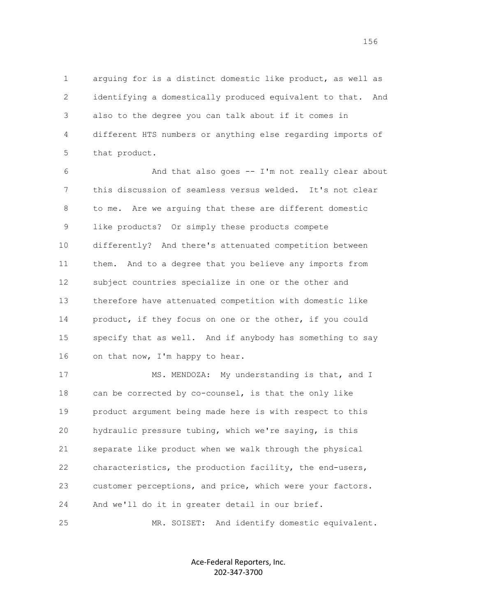1 arguing for is a distinct domestic like product, as well as 2 identifying a domestically produced equivalent to that. And 3 also to the degree you can talk about if it comes in 4 different HTS numbers or anything else regarding imports of 5 that product.

 6 And that also goes -- I'm not really clear about 7 this discussion of seamless versus welded. It's not clear 8 to me. Are we arguing that these are different domestic 9 like products? Or simply these products compete 10 differently? And there's attenuated competition between 11 them. And to a degree that you believe any imports from 12 subject countries specialize in one or the other and 13 therefore have attenuated competition with domestic like 14 product, if they focus on one or the other, if you could 15 specify that as well. And if anybody has something to say 16 on that now, I'm happy to hear.

17 MS. MENDOZA: My understanding is that, and I 18 can be corrected by co-counsel, is that the only like 19 product argument being made here is with respect to this 20 hydraulic pressure tubing, which we're saying, is this 21 separate like product when we walk through the physical 22 characteristics, the production facility, the end-users, 23 customer perceptions, and price, which were your factors. 24 And we'll do it in greater detail in our brief.

25 MR. SOISET: And identify domestic equivalent.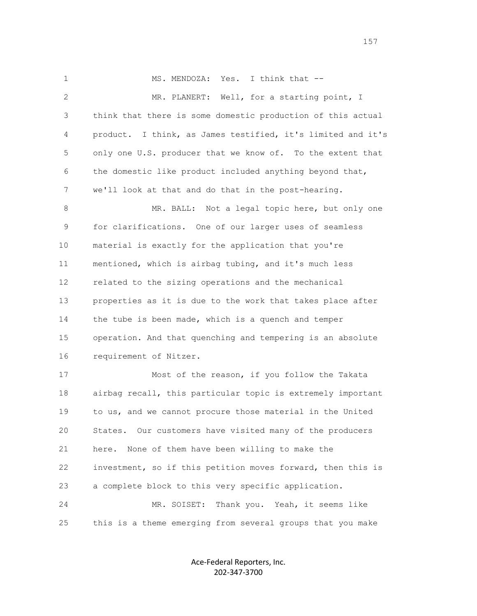1 MS. MENDOZA: Yes. I think that -- 2 MR. PLANERT: Well, for a starting point, I 3 think that there is some domestic production of this actual 4 product. I think, as James testified, it's limited and it's 5 only one U.S. producer that we know of. To the extent that 6 the domestic like product included anything beyond that, 7 we'll look at that and do that in the post-hearing. 8 MR. BALL: Not a legal topic here, but only one 9 for clarifications. One of our larger uses of seamless 10 material is exactly for the application that you're 11 mentioned, which is airbag tubing, and it's much less 12 related to the sizing operations and the mechanical 13 properties as it is due to the work that takes place after 14 the tube is been made, which is a quench and temper 15 operation. And that quenching and tempering is an absolute 16 requirement of Nitzer. 17 Most of the reason, if you follow the Takata 18 airbag recall, this particular topic is extremely important 19 to us, and we cannot procure those material in the United 20 States. Our customers have visited many of the producers 21 here. None of them have been willing to make the 22 investment, so if this petition moves forward, then this is 23 a complete block to this very specific application. 24 MR. SOISET: Thank you. Yeah, it seems like

> Ace-Federal Reporters, Inc. 202-347-3700

25 this is a theme emerging from several groups that you make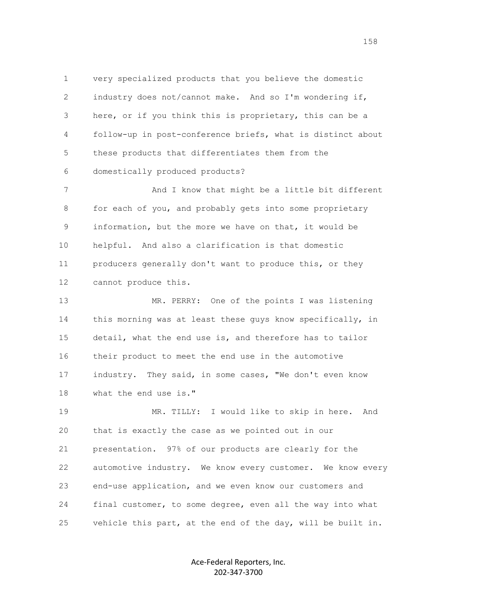1 very specialized products that you believe the domestic 2 industry does not/cannot make. And so I'm wondering if, 3 here, or if you think this is proprietary, this can be a 4 follow-up in post-conference briefs, what is distinct about 5 these products that differentiates them from the 6 domestically produced products?

 7 And I know that might be a little bit different 8 for each of you, and probably gets into some proprietary 9 information, but the more we have on that, it would be 10 helpful. And also a clarification is that domestic 11 producers generally don't want to produce this, or they 12 cannot produce this.

 13 MR. PERRY: One of the points I was listening 14 this morning was at least these guys know specifically, in 15 detail, what the end use is, and therefore has to tailor 16 their product to meet the end use in the automotive 17 industry. They said, in some cases, "We don't even know 18 what the end use is."

 19 MR. TILLY: I would like to skip in here. And 20 that is exactly the case as we pointed out in our 21 presentation. 97% of our products are clearly for the 22 automotive industry. We know every customer. We know every 23 end-use application, and we even know our customers and 24 final customer, to some degree, even all the way into what 25 vehicle this part, at the end of the day, will be built in.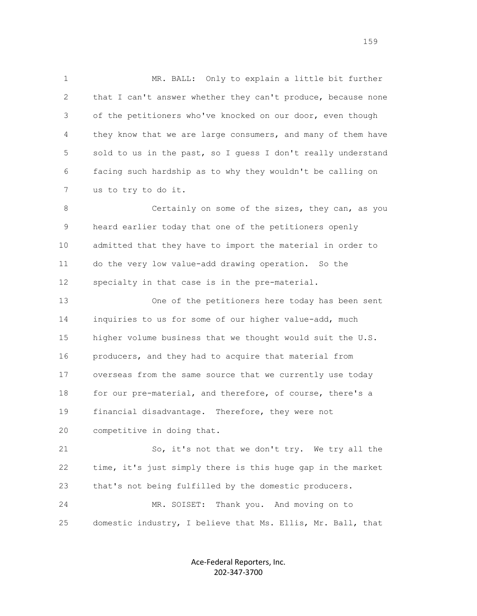1 MR. BALL: Only to explain a little bit further 2 that I can't answer whether they can't produce, because none 3 of the petitioners who've knocked on our door, even though 4 they know that we are large consumers, and many of them have 5 sold to us in the past, so I quess I don't really understand 6 facing such hardship as to why they wouldn't be calling on 7 us to try to do it.

8 **8** Certainly on some of the sizes, they can, as you 9 heard earlier today that one of the petitioners openly 10 admitted that they have to import the material in order to 11 do the very low value-add drawing operation. So the 12 specialty in that case is in the pre-material.

 13 One of the petitioners here today has been sent 14 inquiries to us for some of our higher value-add, much 15 higher volume business that we thought would suit the U.S. 16 producers, and they had to acquire that material from 17 overseas from the same source that we currently use today 18 for our pre-material, and therefore, of course, there's a 19 financial disadvantage. Therefore, they were not 20 competitive in doing that.

 21 So, it's not that we don't try. We try all the 22 time, it's just simply there is this huge gap in the market 23 that's not being fulfilled by the domestic producers. 24 MR. SOISET: Thank you. And moving on to

25 domestic industry, I believe that Ms. Ellis, Mr. Ball, that

Ace-Federal Reporters, Inc. 202-347-3700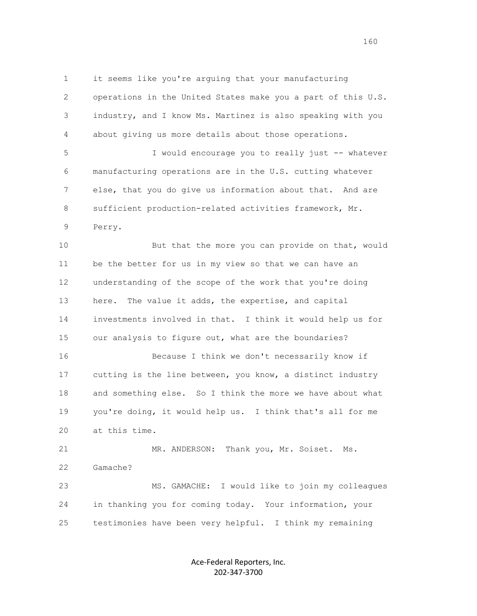1 it seems like you're arguing that your manufacturing 2 operations in the United States make you a part of this U.S. 3 industry, and I know Ms. Martinez is also speaking with you 4 about giving us more details about those operations.

 5 I would encourage you to really just -- whatever 6 manufacturing operations are in the U.S. cutting whatever 7 else, that you do give us information about that. And are 8 sufficient production-related activities framework, Mr. 9 Perry.

10 But that the more you can provide on that, would 11 be the better for us in my view so that we can have an 12 understanding of the scope of the work that you're doing 13 here. The value it adds, the expertise, and capital 14 investments involved in that. I think it would help us for 15 our analysis to figure out, what are the boundaries? 16 Because I think we don't necessarily know if

 17 cutting is the line between, you know, a distinct industry 18 and something else. So I think the more we have about what 19 you're doing, it would help us. I think that's all for me 20 at this time.

 21 MR. ANDERSON: Thank you, Mr. Soiset. Ms. 22 Gamache? 23 MS. GAMACHE: I would like to join my colleagues 24 in thanking you for coming today. Your information, your

25 testimonies have been very helpful. I think my remaining

Ace-Federal Reporters, Inc. 202-347-3700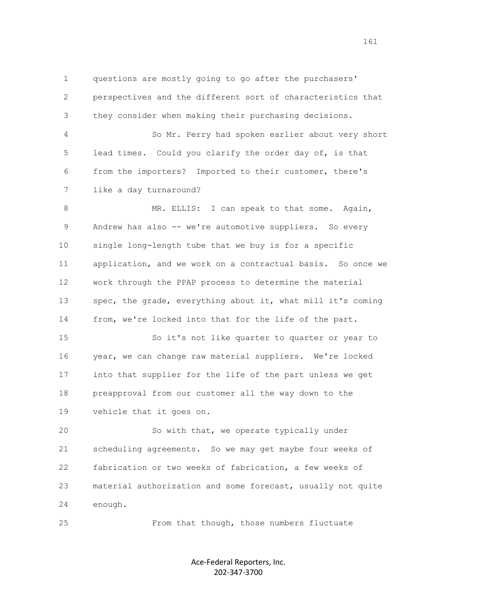1 questions are mostly going to go after the purchasers' 2 perspectives and the different sort of characteristics that 3 they consider when making their purchasing decisions. 4 So Mr. Perry had spoken earlier about very short 5 lead times. Could you clarify the order day of, is that

 6 from the importers? Imported to their customer, there's 7 like a day turnaround?

8 MR. ELLIS: I can speak to that some. Again, 9 Andrew has also -- we're automotive suppliers. So every 10 single long-length tube that we buy is for a specific 11 application, and we work on a contractual basis. So once we 12 work through the PPAP process to determine the material 13 spec, the grade, everything about it, what mill it's coming 14 from, we're locked into that for the life of the part.

 15 So it's not like quarter to quarter or year to 16 year, we can change raw material suppliers. We're locked 17 into that supplier for the life of the part unless we get 18 preapproval from our customer all the way down to the 19 vehicle that it goes on.

 20 So with that, we operate typically under 21 scheduling agreements. So we may get maybe four weeks of 22 fabrication or two weeks of fabrication, a few weeks of 23 material authorization and some forecast, usually not quite 24 enough.

25 From that though, those numbers fluctuate

Ace-Federal Reporters, Inc. 202-347-3700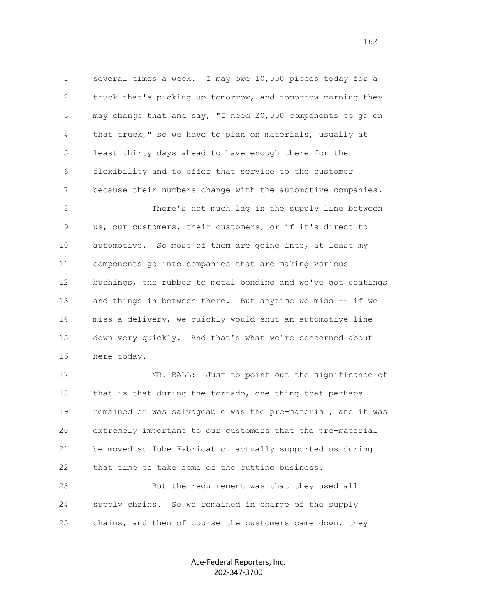1 several times a week. I may owe 10,000 pieces today for a 2 truck that's picking up tomorrow, and tomorrow morning they 3 may change that and say, "I need 20,000 components to go on 4 that truck," so we have to plan on materials, usually at 5 least thirty days ahead to have enough there for the 6 flexibility and to offer that service to the customer 7 because their numbers change with the automotive companies.

 8 There's not much lag in the supply line between 9 us, our customers, their customers, or if it's direct to 10 automotive. So most of them are going into, at least my 11 components go into companies that are making various 12 bushings, the rubber to metal bonding and we've got coatings 13 and things in between there. But anytime we miss -- if we 14 miss a delivery, we quickly would shut an automotive line 15 down very quickly. And that's what we're concerned about 16 here today.

 17 MR. BALL: Just to point out the significance of 18 that is that during the tornado, one thing that perhaps 19 remained or was salvageable was the pre-material, and it was 20 extremely important to our customers that the pre-material 21 be moved so Tube Fabrication actually supported us during 22 that time to take some of the cutting business.

 23 But the requirement was that they used all 24 supply chains. So we remained in charge of the supply 25 chains, and then of course the customers came down, they

> Ace-Federal Reporters, Inc. 202-347-3700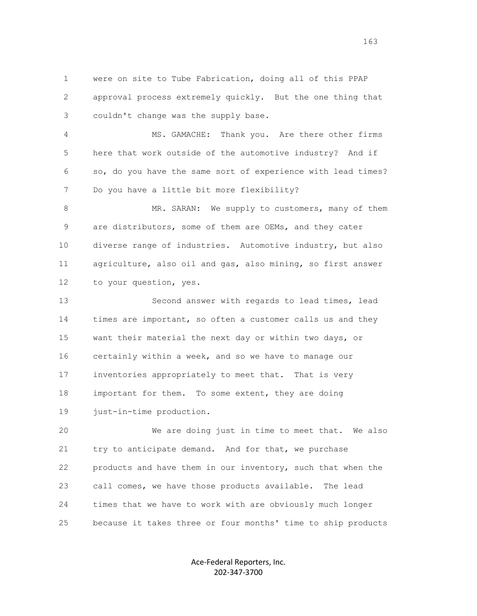1 were on site to Tube Fabrication, doing all of this PPAP 2 approval process extremely quickly. But the one thing that 3 couldn't change was the supply base.

 4 MS. GAMACHE: Thank you. Are there other firms 5 here that work outside of the automotive industry? And if 6 so, do you have the same sort of experience with lead times? 7 Do you have a little bit more flexibility?

8 MR. SARAN: We supply to customers, many of them 9 are distributors, some of them are OEMs, and they cater 10 diverse range of industries. Automotive industry, but also 11 agriculture, also oil and gas, also mining, so first answer 12 to your question, yes.

 13 Second answer with regards to lead times, lead 14 times are important, so often a customer calls us and they 15 want their material the next day or within two days, or 16 certainly within a week, and so we have to manage our 17 inventories appropriately to meet that. That is very 18 important for them. To some extent, they are doing 19 just-in-time production.

 20 We are doing just in time to meet that. We also 21 try to anticipate demand. And for that, we purchase 22 products and have them in our inventory, such that when the 23 call comes, we have those products available. The lead 24 times that we have to work with are obviously much longer 25 because it takes three or four months' time to ship products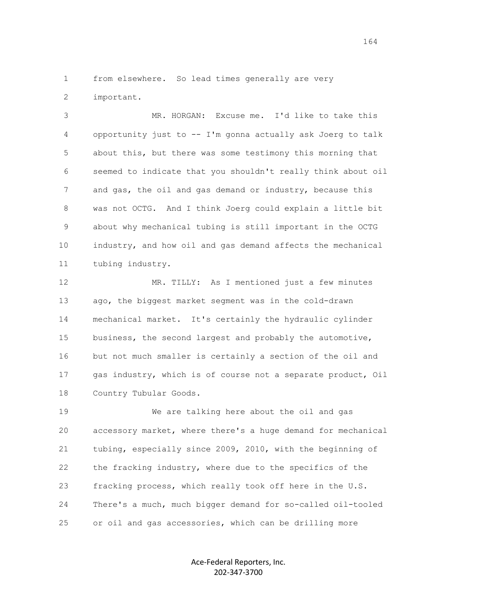1 from elsewhere. So lead times generally are very

2 important.

 3 MR. HORGAN: Excuse me. I'd like to take this 4 opportunity just to -- I'm gonna actually ask Joerg to talk 5 about this, but there was some testimony this morning that 6 seemed to indicate that you shouldn't really think about oil 7 and gas, the oil and gas demand or industry, because this 8 was not OCTG. And I think Joerg could explain a little bit 9 about why mechanical tubing is still important in the OCTG 10 industry, and how oil and gas demand affects the mechanical 11 tubing industry.

 12 MR. TILLY: As I mentioned just a few minutes 13 ago, the biggest market segment was in the cold-drawn 14 mechanical market. It's certainly the hydraulic cylinder 15 business, the second largest and probably the automotive, 16 but not much smaller is certainly a section of the oil and 17 gas industry, which is of course not a separate product, Oil 18 Country Tubular Goods.

 19 We are talking here about the oil and gas 20 accessory market, where there's a huge demand for mechanical 21 tubing, especially since 2009, 2010, with the beginning of 22 the fracking industry, where due to the specifics of the 23 fracking process, which really took off here in the U.S. 24 There's a much, much bigger demand for so-called oil-tooled 25 or oil and gas accessories, which can be drilling more

> Ace-Federal Reporters, Inc. 202-347-3700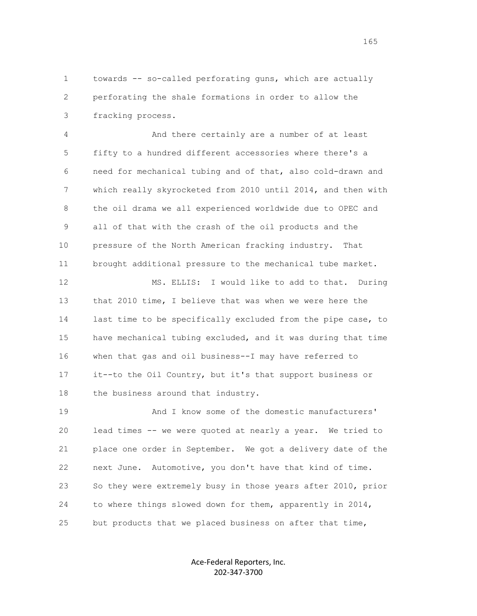1 towards -- so-called perforating guns, which are actually 2 perforating the shale formations in order to allow the 3 fracking process.

 4 And there certainly are a number of at least 5 fifty to a hundred different accessories where there's a 6 need for mechanical tubing and of that, also cold-drawn and 7 which really skyrocketed from 2010 until 2014, and then with 8 the oil drama we all experienced worldwide due to OPEC and 9 all of that with the crash of the oil products and the 10 pressure of the North American fracking industry. That 11 brought additional pressure to the mechanical tube market.

 12 MS. ELLIS: I would like to add to that. During 13 that 2010 time, I believe that was when we were here the 14 last time to be specifically excluded from the pipe case, to 15 have mechanical tubing excluded, and it was during that time 16 when that gas and oil business--I may have referred to 17 it--to the Oil Country, but it's that support business or 18 the business around that industry.

 19 And I know some of the domestic manufacturers' 20 lead times -- we were quoted at nearly a year. We tried to 21 place one order in September. We got a delivery date of the 22 next June. Automotive, you don't have that kind of time. 23 So they were extremely busy in those years after 2010, prior 24 to where things slowed down for them, apparently in 2014, 25 but products that we placed business on after that time,

> Ace-Federal Reporters, Inc. 202-347-3700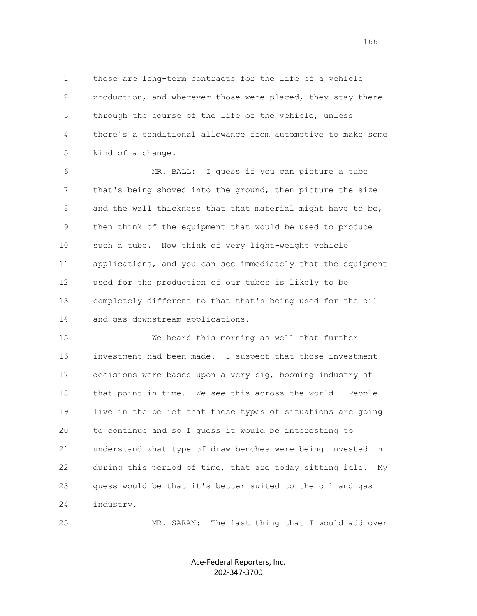1 those are long-term contracts for the life of a vehicle 2 production, and wherever those were placed, they stay there 3 through the course of the life of the vehicle, unless 4 there's a conditional allowance from automotive to make some 5 kind of a change.

 6 MR. BALL: I guess if you can picture a tube 7 that's being shoved into the ground, then picture the size 8 and the wall thickness that that material might have to be, 9 then think of the equipment that would be used to produce 10 such a tube. Now think of very light-weight vehicle 11 applications, and you can see immediately that the equipment 12 used for the production of our tubes is likely to be 13 completely different to that that's being used for the oil 14 and gas downstream applications.

 15 We heard this morning as well that further 16 investment had been made. I suspect that those investment 17 decisions were based upon a very big, booming industry at 18 that point in time. We see this across the world. People 19 live in the belief that these types of situations are going 20 to continue and so I guess it would be interesting to 21 understand what type of draw benches were being invested in 22 during this period of time, that are today sitting idle. My 23 guess would be that it's better suited to the oil and gas 24 industry.

25 MR. SARAN: The last thing that I would add over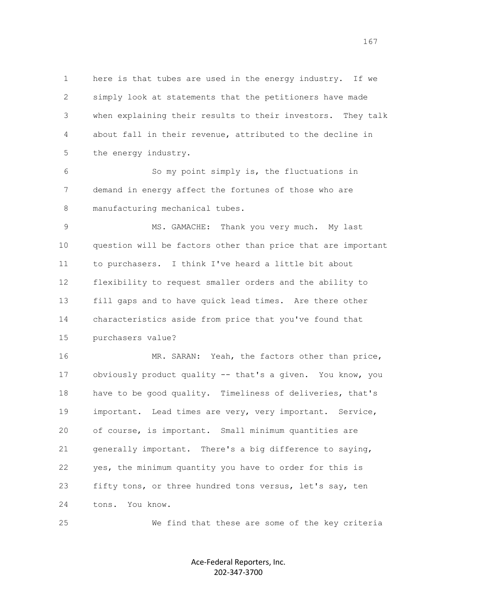1 here is that tubes are used in the energy industry. If we 2 simply look at statements that the petitioners have made 3 when explaining their results to their investors. They talk 4 about fall in their revenue, attributed to the decline in 5 the energy industry.

 6 So my point simply is, the fluctuations in 7 demand in energy affect the fortunes of those who are 8 manufacturing mechanical tubes.

9 MS. GAMACHE: Thank you very much. My last 10 question will be factors other than price that are important 11 to purchasers. I think I've heard a little bit about 12 flexibility to request smaller orders and the ability to 13 fill gaps and to have quick lead times. Are there other 14 characteristics aside from price that you've found that 15 purchasers value?

16 MR. SARAN: Yeah, the factors other than price, 17 obviously product quality -- that's a given. You know, you 18 have to be good quality. Timeliness of deliveries, that's 19 important. Lead times are very, very important. Service, 20 of course, is important. Small minimum quantities are 21 generally important. There's a big difference to saying, 22 yes, the minimum quantity you have to order for this is 23 fifty tons, or three hundred tons versus, let's say, ten 24 tons. You know.

25 We find that these are some of the key criteria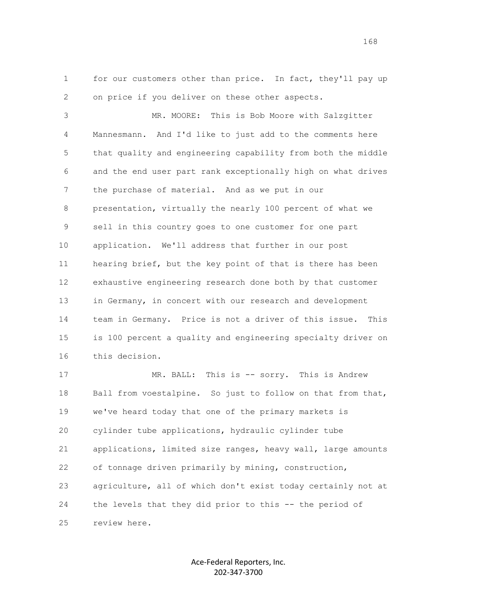1 for our customers other than price. In fact, they'll pay up 2 on price if you deliver on these other aspects.

 3 MR. MOORE: This is Bob Moore with Salzgitter 4 Mannesmann. And I'd like to just add to the comments here 5 that quality and engineering capability from both the middle 6 and the end user part rank exceptionally high on what drives 7 the purchase of material. And as we put in our 8 presentation, virtually the nearly 100 percent of what we 9 sell in this country goes to one customer for one part 10 application. We'll address that further in our post 11 hearing brief, but the key point of that is there has been 12 exhaustive engineering research done both by that customer 13 in Germany, in concert with our research and development 14 team in Germany. Price is not a driver of this issue. This 15 is 100 percent a quality and engineering specialty driver on 16 this decision.

 17 MR. BALL: This is -- sorry. This is Andrew 18 Ball from voestalpine. So just to follow on that from that, 19 we've heard today that one of the primary markets is 20 cylinder tube applications, hydraulic cylinder tube 21 applications, limited size ranges, heavy wall, large amounts 22 of tonnage driven primarily by mining, construction, 23 agriculture, all of which don't exist today certainly not at 24 the levels that they did prior to this -- the period of 25 review here.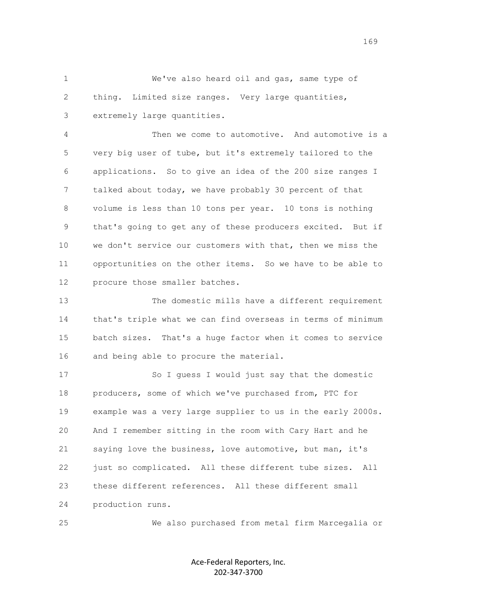1 We've also heard oil and gas, same type of 2 thing. Limited size ranges. Very large quantities, 3 extremely large quantities.

 4 Then we come to automotive. And automotive is a 5 very big user of tube, but it's extremely tailored to the 6 applications. So to give an idea of the 200 size ranges I 7 talked about today, we have probably 30 percent of that 8 volume is less than 10 tons per year. 10 tons is nothing 9 that's going to get any of these producers excited. But if 10 we don't service our customers with that, then we miss the 11 opportunities on the other items. So we have to be able to 12 procure those smaller batches.

 13 The domestic mills have a different requirement 14 that's triple what we can find overseas in terms of minimum 15 batch sizes. That's a huge factor when it comes to service 16 and being able to procure the material.

 17 So I guess I would just say that the domestic 18 producers, some of which we've purchased from, PTC for 19 example was a very large supplier to us in the early 2000s. 20 And I remember sitting in the room with Cary Hart and he 21 saying love the business, love automotive, but man, it's 22 just so complicated. All these different tube sizes. All 23 these different references. All these different small 24 production runs.

25 We also purchased from metal firm Marcegalia or

Ace-Federal Reporters, Inc. 202-347-3700

169<br>169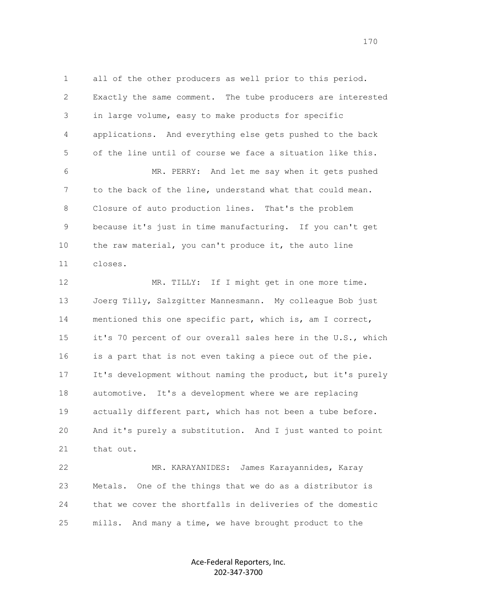1 all of the other producers as well prior to this period. 2 Exactly the same comment. The tube producers are interested 3 in large volume, easy to make products for specific 4 applications. And everything else gets pushed to the back 5 of the line until of course we face a situation like this. 6 MR. PERRY: And let me say when it gets pushed 7 to the back of the line, understand what that could mean. 8 Closure of auto production lines. That's the problem 9 because it's just in time manufacturing. If you can't get 10 the raw material, you can't produce it, the auto line 11 closes. 12 MR. TILLY: If I might get in one more time. 13 Joerg Tilly, Salzgitter Mannesmann. My colleague Bob just 14 mentioned this one specific part, which is, am I correct, 15 it's 70 percent of our overall sales here in the U.S., which 16 is a part that is not even taking a piece out of the pie. 17 It's development without naming the product, but it's purely 18 automotive. It's a development where we are replacing 19 actually different part, which has not been a tube before.

 20 And it's purely a substitution. And I just wanted to point 21 that out.

 22 MR. KARAYANIDES: James Karayannides, Karay 23 Metals. One of the things that we do as a distributor is 24 that we cover the shortfalls in deliveries of the domestic 25 mills. And many a time, we have brought product to the

> Ace-Federal Reporters, Inc. 202-347-3700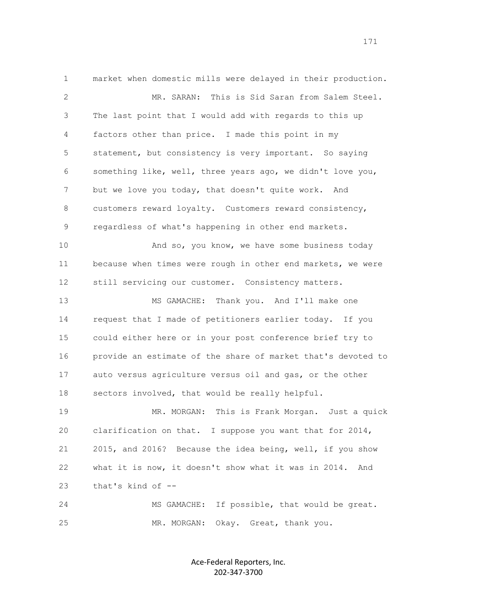1 market when domestic mills were delayed in their production. 2 MR. SARAN: This is Sid Saran from Salem Steel. 3 The last point that I would add with regards to this up 4 factors other than price. I made this point in my 5 statement, but consistency is very important. So saying 6 something like, well, three years ago, we didn't love you, 7 but we love you today, that doesn't quite work. And 8 customers reward loyalty. Customers reward consistency, 9 regardless of what's happening in other end markets. 10 And so, you know, we have some business today 11 because when times were rough in other end markets, we were 12 still servicing our customer. Consistency matters. 13 MS GAMACHE: Thank you. And I'll make one 14 request that I made of petitioners earlier today. If you 15 could either here or in your post conference brief try to 16 provide an estimate of the share of market that's devoted to 17 auto versus agriculture versus oil and gas, or the other 18 sectors involved, that would be really helpful. 19 MR. MORGAN: This is Frank Morgan. Just a quick 20 clarification on that. I suppose you want that for 2014, 21 2015, and 2016? Because the idea being, well, if you show 22 what it is now, it doesn't show what it was in 2014. And 23 that's kind of -- 24 MS GAMACHE: If possible, that would be great. 25 MR. MORGAN: Okay. Great, thank you.

> Ace-Federal Reporters, Inc. 202-347-3700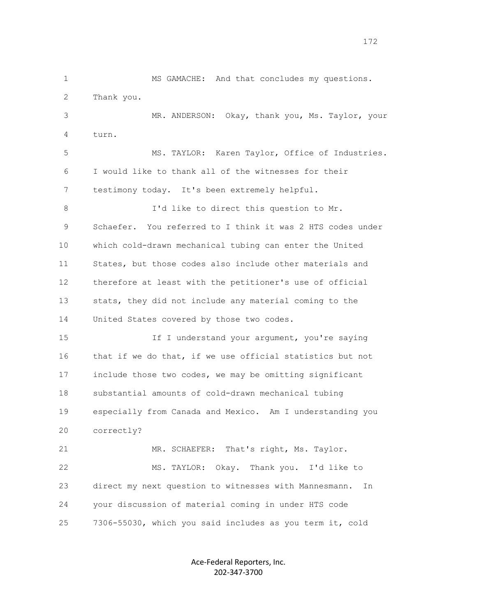1 MS GAMACHE: And that concludes my questions. 2 Thank you. 3 MR. ANDERSON: Okay, thank you, Ms. Taylor, your 4 turn. 5 MS. TAYLOR: Karen Taylor, Office of Industries. 6 I would like to thank all of the witnesses for their 7 testimony today. It's been extremely helpful. 8 I'd like to direct this question to Mr. 9 Schaefer. You referred to I think it was 2 HTS codes under 10 which cold-drawn mechanical tubing can enter the United 11 States, but those codes also include other materials and 12 therefore at least with the petitioner's use of official 13 stats, they did not include any material coming to the 14 United States covered by those two codes. 15 If I understand your argument, you're saying 16 that if we do that, if we use official statistics but not 17 include those two codes, we may be omitting significant 18 substantial amounts of cold-drawn mechanical tubing 19 especially from Canada and Mexico. Am I understanding you 20 correctly? 21 MR. SCHAEFER: That's right, Ms. Taylor. 22 MS. TAYLOR: Okay. Thank you. I'd like to 23 direct my next question to witnesses with Mannesmann. In 24 your discussion of material coming in under HTS code 25 7306-55030, which you said includes as you term it, cold

> Ace-Federal Reporters, Inc. 202-347-3700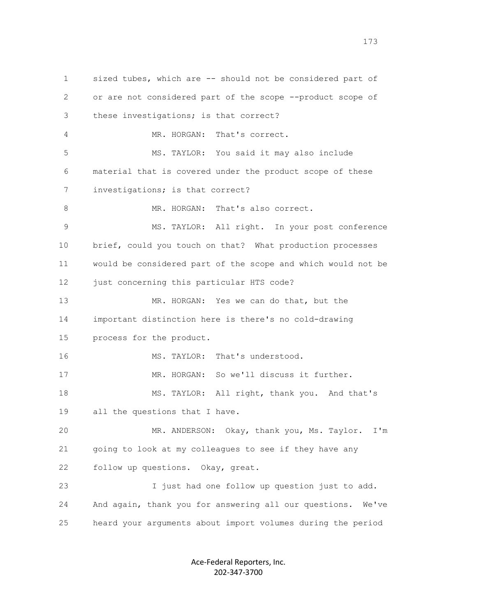1 sized tubes, which are -- should not be considered part of 2 or are not considered part of the scope --product scope of 3 these investigations; is that correct? 4 MR. HORGAN: That's correct. 5 MS. TAYLOR: You said it may also include 6 material that is covered under the product scope of these 7 investigations; is that correct? 8 MR. HORGAN: That's also correct. 9 MS. TAYLOR: All right. In your post conference 10 brief, could you touch on that? What production processes 11 would be considered part of the scope and which would not be 12 just concerning this particular HTS code? 13 MR. HORGAN: Yes we can do that, but the 14 important distinction here is there's no cold-drawing 15 process for the product. 16 MS. TAYLOR: That's understood. 17 MR. HORGAN: So we'll discuss it further. 18 MS. TAYLOR: All right, thank you. And that's 19 all the questions that I have. 20 MR. ANDERSON: Okay, thank you, Ms. Taylor. I'm 21 going to look at my colleagues to see if they have any 22 follow up questions. Okay, great. 23 I just had one follow up question just to add. 24 And again, thank you for answering all our questions. We've 25 heard your arguments about import volumes during the period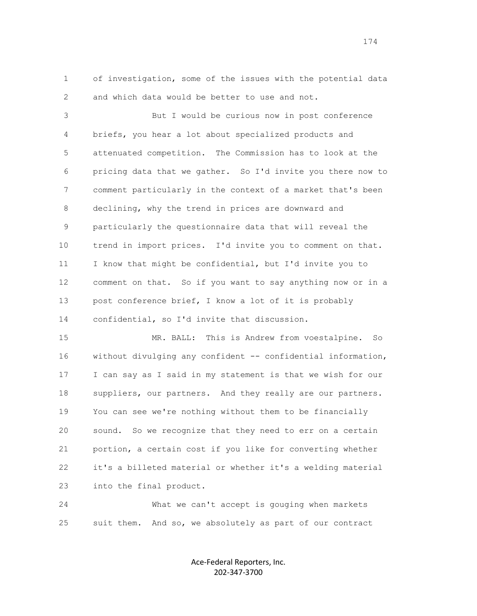1 of investigation, some of the issues with the potential data 2 and which data would be better to use and not.

 3 But I would be curious now in post conference 4 briefs, you hear a lot about specialized products and 5 attenuated competition. The Commission has to look at the 6 pricing data that we gather. So I'd invite you there now to 7 comment particularly in the context of a market that's been 8 declining, why the trend in prices are downward and 9 particularly the questionnaire data that will reveal the 10 trend in import prices. I'd invite you to comment on that. 11 I know that might be confidential, but I'd invite you to 12 comment on that. So if you want to say anything now or in a 13 post conference brief, I know a lot of it is probably 14 confidential, so I'd invite that discussion.

 15 MR. BALL: This is Andrew from voestalpine. So 16 without divulging any confident -- confidential information, 17 I can say as I said in my statement is that we wish for our 18 suppliers, our partners. And they really are our partners. 19 You can see we're nothing without them to be financially 20 sound. So we recognize that they need to err on a certain 21 portion, a certain cost if you like for converting whether 22 it's a billeted material or whether it's a welding material 23 into the final product.

 24 What we can't accept is gouging when markets 25 suit them. And so, we absolutely as part of our contract

> Ace-Federal Reporters, Inc. 202-347-3700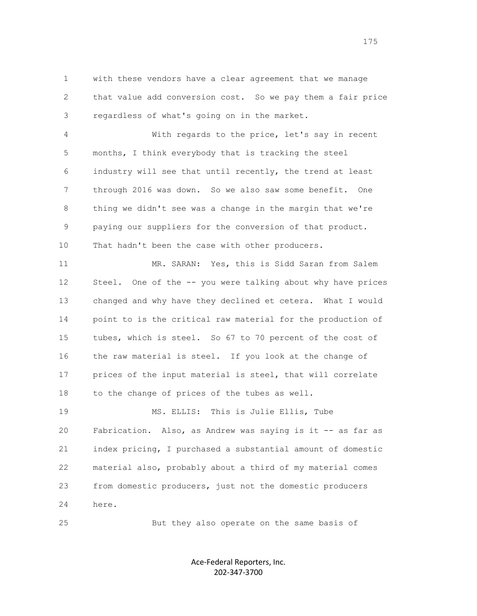1 with these vendors have a clear agreement that we manage 2 that value add conversion cost. So we pay them a fair price 3 regardless of what's going on in the market.

 4 With regards to the price, let's say in recent 5 months, I think everybody that is tracking the steel 6 industry will see that until recently, the trend at least 7 through 2016 was down. So we also saw some benefit. One 8 thing we didn't see was a change in the margin that we're 9 paying our suppliers for the conversion of that product. 10 That hadn't been the case with other producers.

 11 MR. SARAN: Yes, this is Sidd Saran from Salem 12 Steel. One of the -- you were talking about why have prices 13 changed and why have they declined et cetera. What I would 14 point to is the critical raw material for the production of 15 tubes, which is steel. So 67 to 70 percent of the cost of 16 the raw material is steel. If you look at the change of 17 prices of the input material is steel, that will correlate 18 to the change of prices of the tubes as well.

 19 MS. ELLIS: This is Julie Ellis, Tube 20 Fabrication. Also, as Andrew was saying is it -- as far as 21 index pricing, I purchased a substantial amount of domestic 22 material also, probably about a third of my material comes 23 from domestic producers, just not the domestic producers 24 here.

25 But they also operate on the same basis of

Ace-Federal Reporters, Inc. 202-347-3700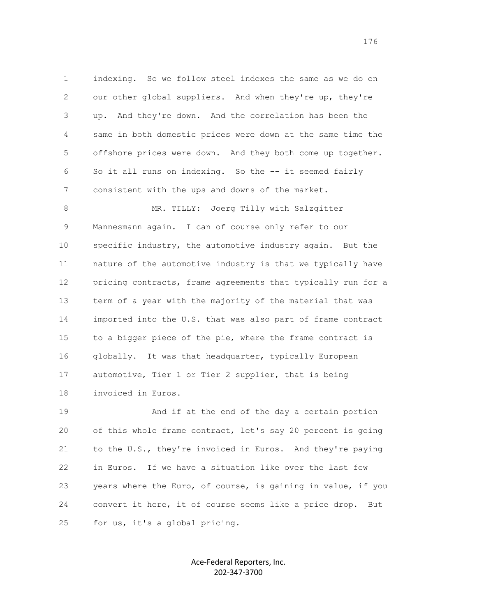1 indexing. So we follow steel indexes the same as we do on 2 our other global suppliers. And when they're up, they're 3 up. And they're down. And the correlation has been the 4 same in both domestic prices were down at the same time the 5 offshore prices were down. And they both come up together. 6 So it all runs on indexing. So the -- it seemed fairly 7 consistent with the ups and downs of the market.

8 MR. TILLY: Joerg Tilly with Salzgitter 9 Mannesmann again. I can of course only refer to our 10 specific industry, the automotive industry again. But the 11 nature of the automotive industry is that we typically have 12 pricing contracts, frame agreements that typically run for a 13 term of a year with the majority of the material that was 14 imported into the U.S. that was also part of frame contract 15 to a bigger piece of the pie, where the frame contract is 16 globally. It was that headquarter, typically European 17 automotive, Tier 1 or Tier 2 supplier, that is being 18 invoiced in Euros.

 19 And if at the end of the day a certain portion 20 of this whole frame contract, let's say 20 percent is going 21 to the U.S., they're invoiced in Euros. And they're paying 22 in Euros. If we have a situation like over the last few 23 years where the Euro, of course, is gaining in value, if you 24 convert it here, it of course seems like a price drop. But 25 for us, it's a global pricing.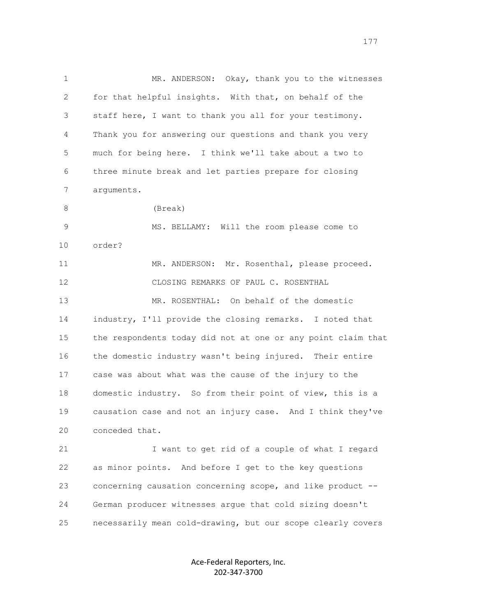1 MR. ANDERSON: Okay, thank you to the witnesses 2 for that helpful insights. With that, on behalf of the 3 staff here, I want to thank you all for your testimony. 4 Thank you for answering our questions and thank you very 5 much for being here. I think we'll take about a two to 6 three minute break and let parties prepare for closing 7 arguments. 8 (Break) 9 MS. BELLAMY: Will the room please come to 10 order? 11 MR. ANDERSON: Mr. Rosenthal, please proceed. 12 CLOSING REMARKS OF PAUL C. ROSENTHAL 13 MR. ROSENTHAL: On behalf of the domestic 14 industry, I'll provide the closing remarks. I noted that 15 the respondents today did not at one or any point claim that 16 the domestic industry wasn't being injured. Their entire 17 case was about what was the cause of the injury to the 18 domestic industry. So from their point of view, this is a 19 causation case and not an injury case. And I think they've 20 conceded that. 21 I want to get rid of a couple of what I regard 22 as minor points. And before I get to the key questions 23 concerning causation concerning scope, and like product --

25 necessarily mean cold-drawing, but our scope clearly covers

24 German producer witnesses argue that cold sizing doesn't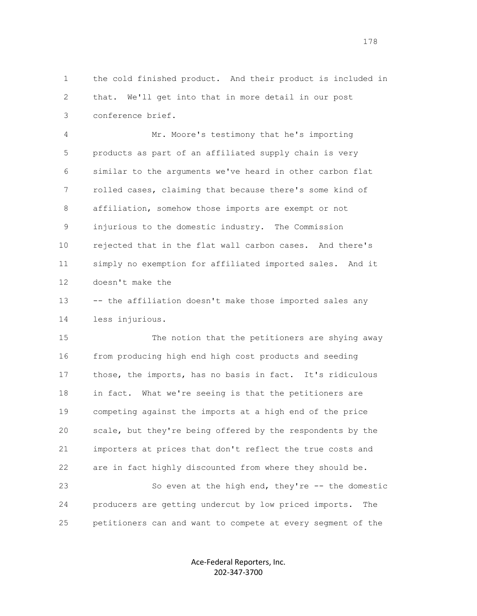1 the cold finished product. And their product is included in 2 that. We'll get into that in more detail in our post 3 conference brief.

 4 Mr. Moore's testimony that he's importing 5 products as part of an affiliated supply chain is very 6 similar to the arguments we've heard in other carbon flat 7 rolled cases, claiming that because there's some kind of 8 affiliation, somehow those imports are exempt or not 9 injurious to the domestic industry. The Commission 10 rejected that in the flat wall carbon cases. And there's 11 simply no exemption for affiliated imported sales. And it 12 doesn't make the

 13 -- the affiliation doesn't make those imported sales any 14 less injurious.

 15 The notion that the petitioners are shying away 16 from producing high end high cost products and seeding 17 those, the imports, has no basis in fact. It's ridiculous 18 in fact. What we're seeing is that the petitioners are 19 competing against the imports at a high end of the price 20 scale, but they're being offered by the respondents by the 21 importers at prices that don't reflect the true costs and 22 are in fact highly discounted from where they should be. 23 So even at the high end, they're -- the domestic 24 producers are getting undercut by low priced imports. The 25 petitioners can and want to compete at every segment of the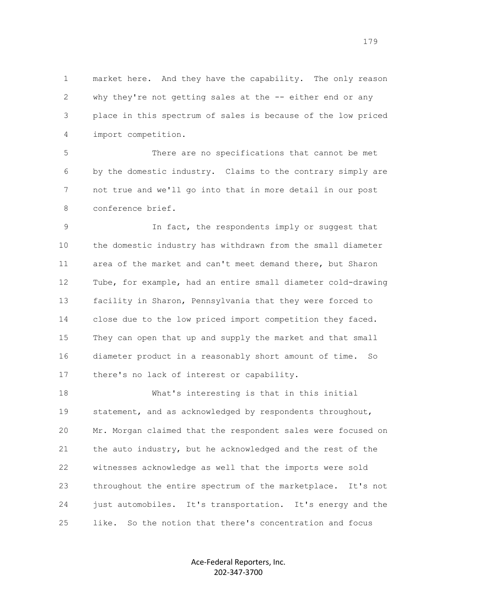1 market here. And they have the capability. The only reason 2 why they're not getting sales at the -- either end or any 3 place in this spectrum of sales is because of the low priced 4 import competition.

 5 There are no specifications that cannot be met 6 by the domestic industry. Claims to the contrary simply are 7 not true and we'll go into that in more detail in our post 8 conference brief.

 9 In fact, the respondents imply or suggest that 10 the domestic industry has withdrawn from the small diameter 11 area of the market and can't meet demand there, but Sharon 12 Tube, for example, had an entire small diameter cold-drawing 13 facility in Sharon, Pennsylvania that they were forced to 14 close due to the low priced import competition they faced. 15 They can open that up and supply the market and that small 16 diameter product in a reasonably short amount of time. So 17 there's no lack of interest or capability.

 18 What's interesting is that in this initial 19 statement, and as acknowledged by respondents throughout, 20 Mr. Morgan claimed that the respondent sales were focused on 21 the auto industry, but he acknowledged and the rest of the 22 witnesses acknowledge as well that the imports were sold 23 throughout the entire spectrum of the marketplace. It's not 24 just automobiles. It's transportation. It's energy and the 25 like. So the notion that there's concentration and focus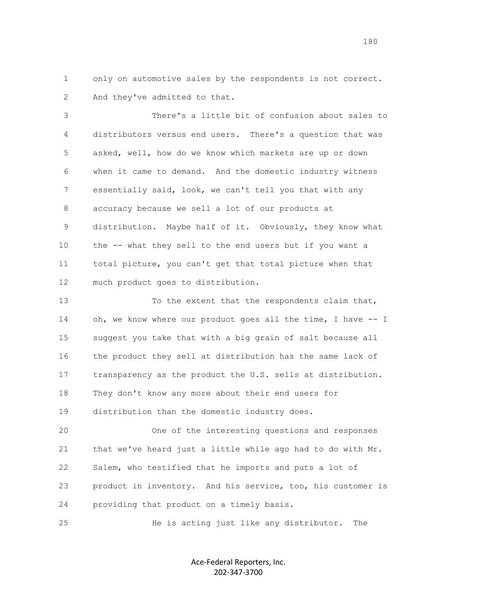1 only on automotive sales by the respondents is not correct. 2 And they've admitted to that.

 3 There's a little bit of confusion about sales to 4 distributors versus end users. There's a question that was 5 asked, well, how do we know which markets are up or down 6 when it came to demand. And the domestic industry witness 7 essentially said, look, we can't tell you that with any 8 accuracy because we sell a lot of our products at 9 distribution. Maybe half of it. Obviously, they know what 10 the -- what they sell to the end users but if you want a 11 total picture, you can't get that total picture when that 12 much product goes to distribution.

 13 To the extent that the respondents claim that, 14 oh, we know where our product goes all the time, I have -- I 15 suggest you take that with a big grain of salt because all 16 the product they sell at distribution has the same lack of 17 transparency as the product the U.S. sells at distribution. 18 They don't know any more about their end users for 19 distribution than the domestic industry does.

 20 One of the interesting questions and responses 21 that we've heard just a little while ago had to do with Mr. 22 Salem, who testified that he imports and puts a lot of 23 product in inventory. And his service, too, his customer is 24 providing that product on a timely basis.

25 He is acting just like any distributor. The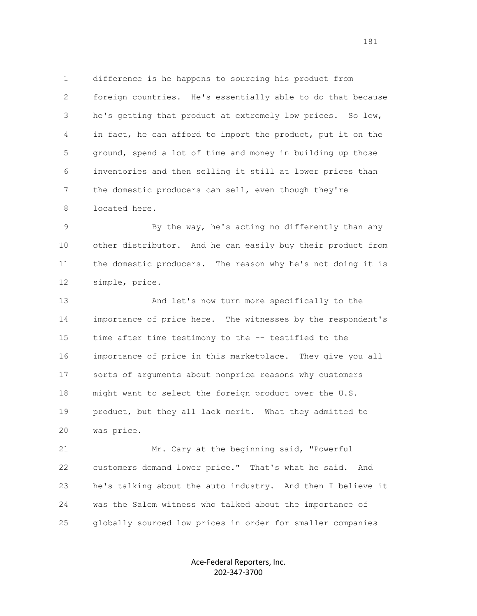1 difference is he happens to sourcing his product from 2 foreign countries. He's essentially able to do that because 3 he's getting that product at extremely low prices. So low, 4 in fact, he can afford to import the product, put it on the 5 ground, spend a lot of time and money in building up those 6 inventories and then selling it still at lower prices than 7 the domestic producers can sell, even though they're 8 located here.

9 By the way, he's acting no differently than any 10 other distributor. And he can easily buy their product from 11 the domestic producers. The reason why he's not doing it is 12 simple, price.

 13 And let's now turn more specifically to the 14 importance of price here. The witnesses by the respondent's 15 time after time testimony to the -- testified to the 16 importance of price in this marketplace. They give you all 17 sorts of arguments about nonprice reasons why customers 18 might want to select the foreign product over the U.S. 19 product, but they all lack merit. What they admitted to 20 was price.

 21 Mr. Cary at the beginning said, "Powerful 22 customers demand lower price." That's what he said. And 23 he's talking about the auto industry. And then I believe it 24 was the Salem witness who talked about the importance of 25 globally sourced low prices in order for smaller companies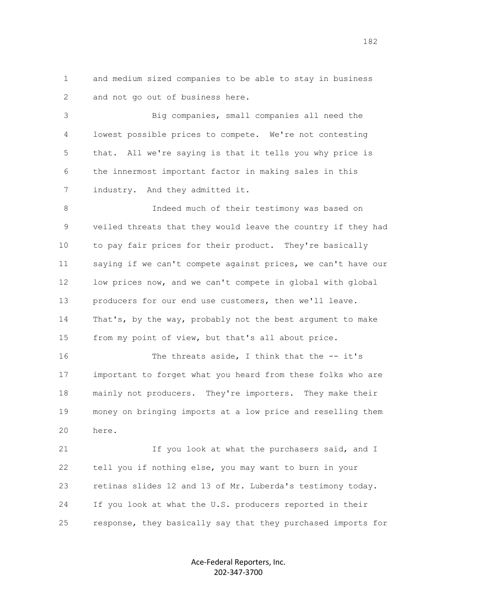1 and medium sized companies to be able to stay in business 2 and not go out of business here.

 3 Big companies, small companies all need the 4 lowest possible prices to compete. We're not contesting 5 that. All we're saying is that it tells you why price is 6 the innermost important factor in making sales in this 7 industry. And they admitted it.

 8 Indeed much of their testimony was based on 9 veiled threats that they would leave the country if they had 10 to pay fair prices for their product. They're basically 11 saying if we can't compete against prices, we can't have our 12 low prices now, and we can't compete in global with global 13 producers for our end use customers, then we'll leave. 14 That's, by the way, probably not the best argument to make 15 from my point of view, but that's all about price.

16 The threats aside, I think that the -- it's 17 important to forget what you heard from these folks who are 18 mainly not producers. They're importers. They make their 19 money on bringing imports at a low price and reselling them 20 here.

21 15 You look at what the purchasers said, and I 22 tell you if nothing else, you may want to burn in your 23 retinas slides 12 and 13 of Mr. Luberda's testimony today. 24 If you look at what the U.S. producers reported in their 25 response, they basically say that they purchased imports for

> Ace-Federal Reporters, Inc. 202-347-3700

182<sup>2</sup>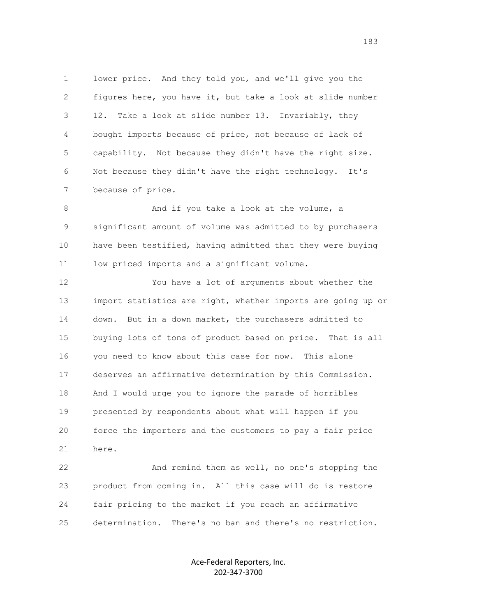1 lower price. And they told you, and we'll give you the 2 figures here, you have it, but take a look at slide number 3 12. Take a look at slide number 13. Invariably, they 4 bought imports because of price, not because of lack of 5 capability. Not because they didn't have the right size. 6 Not because they didn't have the right technology. It's 7 because of price.

8 And if you take a look at the volume, a 9 significant amount of volume was admitted to by purchasers 10 have been testified, having admitted that they were buying 11 low priced imports and a significant volume.

 12 You have a lot of arguments about whether the 13 import statistics are right, whether imports are going up or 14 down. But in a down market, the purchasers admitted to 15 buying lots of tons of product based on price. That is all 16 you need to know about this case for now. This alone 17 deserves an affirmative determination by this Commission. 18 And I would urge you to ignore the parade of horribles 19 presented by respondents about what will happen if you 20 force the importers and the customers to pay a fair price 21 here.

 22 And remind them as well, no one's stopping the 23 product from coming in. All this case will do is restore 24 fair pricing to the market if you reach an affirmative 25 determination. There's no ban and there's no restriction.

> Ace-Federal Reporters, Inc. 202-347-3700

183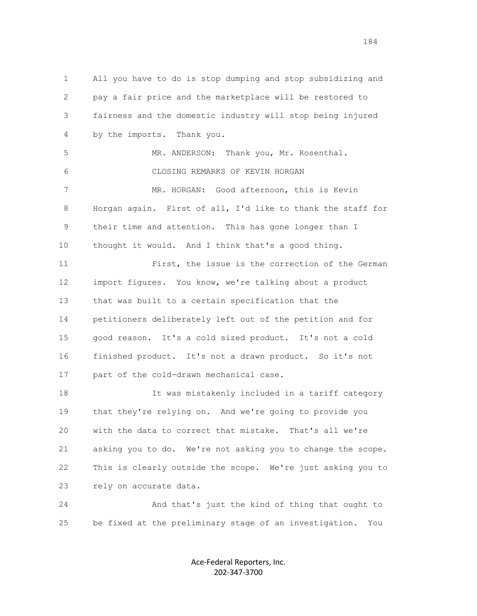1 All you have to do is stop dumping and stop subsidizing and 2 pay a fair price and the marketplace will be restored to 3 fairness and the domestic industry will stop being injured 4 by the imports. Thank you. 5 MR. ANDERSON: Thank you, Mr. Rosenthal. 6 CLOSING REMARKS OF KEVIN HORGAN 7 MR. HORGAN: Good afternoon, this is Kevin 8 Horgan again. First of all, I'd like to thank the staff for 9 their time and attention. This has gone longer than I 10 thought it would. And I think that's a good thing. 11 First, the issue is the correction of the German 12 import figures. You know, we're talking about a product 13 that was built to a certain specification that the 14 petitioners deliberately left out of the petition and for 15 good reason. It's a cold sized product. It's not a cold 16 finished product. It's not a drawn product. So it's not 17 part of the cold-drawn mechanical case. 18 It was mistakenly included in a tariff category 19 that they're relying on. And we're going to provide you 20 with the data to correct that mistake. That's all we're 21 asking you to do. We're not asking you to change the scope. 22 This is clearly outside the scope. We're just asking you to 23 rely on accurate data. 24 And that's just the kind of thing that ought to 25 be fixed at the preliminary stage of an investigation. You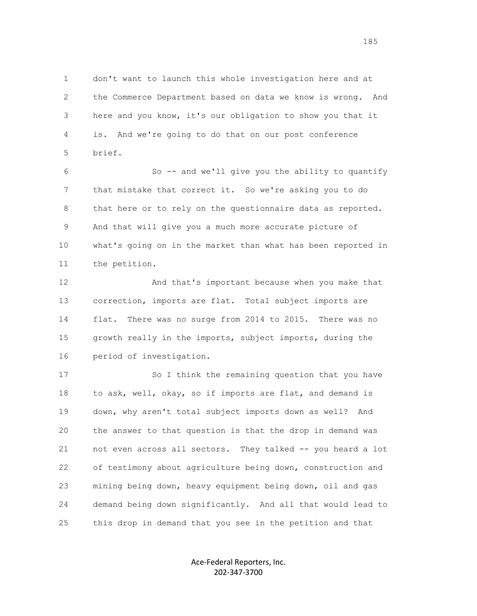1 don't want to launch this whole investigation here and at 2 the Commerce Department based on data we know is wrong. And 3 here and you know, it's our obligation to show you that it 4 is. And we're going to do that on our post conference 5 brief.

 6 So -- and we'll give you the ability to quantify 7 that mistake that correct it. So we're asking you to do 8 that here or to rely on the questionnaire data as reported. 9 And that will give you a much more accurate picture of 10 what's going on in the market than what has been reported in 11 the petition.

12 And that's important because when you make that 13 correction, imports are flat. Total subject imports are 14 flat. There was no surge from 2014 to 2015. There was no 15 growth really in the imports, subject imports, during the 16 period of investigation.

17 So I think the remaining question that you have 18 to ask, well, okay, so if imports are flat, and demand is 19 down, why aren't total subject imports down as well? And 20 the answer to that question is that the drop in demand was 21 not even across all sectors. They talked -- you heard a lot 22 of testimony about agriculture being down, construction and 23 mining being down, heavy equipment being down, oil and gas 24 demand being down significantly. And all that would lead to 25 this drop in demand that you see in the petition and that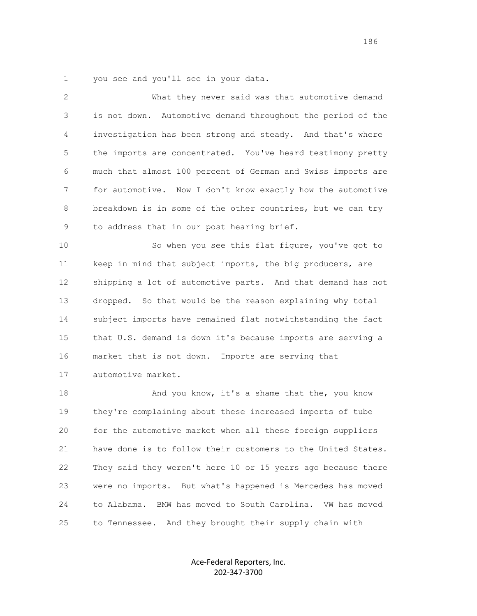1 you see and you'll see in your data.

| $\mathbf{2}$ | What they never said was that automotive demand              |
|--------------|--------------------------------------------------------------|
| 3            | is not down. Automotive demand throughout the period of the  |
| 4            | investigation has been strong and steady. And that's where   |
| 5            | the imports are concentrated. You've heard testimony pretty  |
| 6            | much that almost 100 percent of German and Swiss imports are |
| 7            | for automotive. Now I don't know exactly how the automotive  |
| 8            | breakdown is in some of the other countries, but we can try  |
| 9            | to address that in our post hearing brief.                   |
| 10           | So when you see this flat figure, you've got to              |
| 11           | keep in mind that subject imports, the big producers, are    |
| 12           | shipping a lot of automotive parts. And that demand has not  |
| 13           | dropped. So that would be the reason explaining why total    |
| 14           | subject imports have remained flat notwithstanding the fact  |
| 15           | that U.S. demand is down it's because imports are serving a  |
| 16           | market that is not down. Imports are serving that            |
| 17           | automotive market.                                           |
| 18           | And you know, it's a shame that the, you know                |
| 19           | they're complaining about these increased imports of tube    |
| 20           | for the automotive market when all these foreign suppliers   |
| 21           | have done is to follow their customers to the United States. |
| 22           | They said they weren't here 10 or 15 years ago because there |
| 23           | were no imports. But what's happened is Mercedes has moved   |
| 24           | BMW has moved to South Carolina. VW has moved<br>to Alabama. |
| 25           | to Tennessee. And they brought their supply chain with       |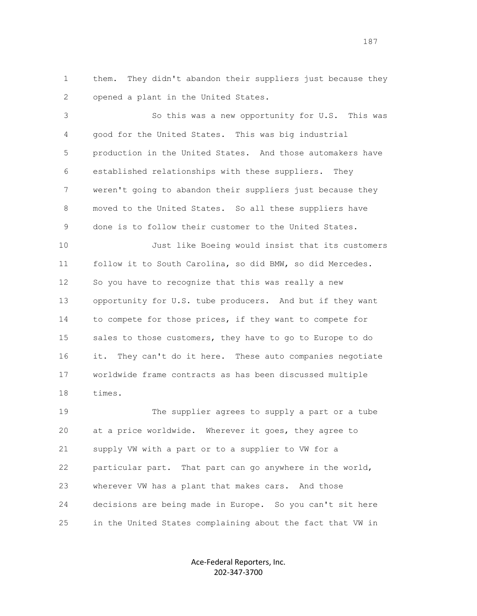1 them. They didn't abandon their suppliers just because they 2 opened a plant in the United States.

 3 So this was a new opportunity for U.S. This was 4 good for the United States. This was big industrial 5 production in the United States. And those automakers have 6 established relationships with these suppliers. They 7 weren't going to abandon their suppliers just because they 8 moved to the United States. So all these suppliers have 9 done is to follow their customer to the United States.

 10 Just like Boeing would insist that its customers 11 follow it to South Carolina, so did BMW, so did Mercedes. 12 So you have to recognize that this was really a new 13 opportunity for U.S. tube producers. And but if they want 14 to compete for those prices, if they want to compete for 15 sales to those customers, they have to go to Europe to do 16 it. They can't do it here. These auto companies negotiate 17 worldwide frame contracts as has been discussed multiple 18 times.

 19 The supplier agrees to supply a part or a tube 20 at a price worldwide. Wherever it goes, they agree to 21 supply VW with a part or to a supplier to VW for a 22 particular part. That part can go anywhere in the world, 23 wherever VW has a plant that makes cars. And those 24 decisions are being made in Europe. So you can't sit here 25 in the United States complaining about the fact that VW in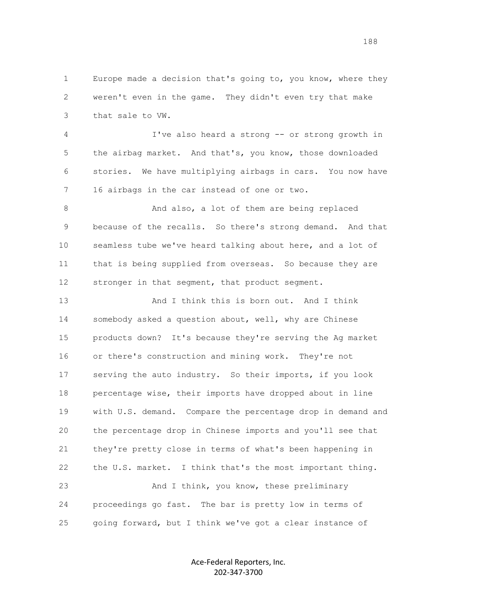1 Europe made a decision that's going to, you know, where they 2 weren't even in the game. They didn't even try that make 3 that sale to VW.

 4 I've also heard a strong -- or strong growth in 5 the airbag market. And that's, you know, those downloaded 6 stories. We have multiplying airbags in cars. You now have 7 16 airbags in the car instead of one or two.

8 And also, a lot of them are being replaced 9 because of the recalls. So there's strong demand. And that 10 seamless tube we've heard talking about here, and a lot of 11 that is being supplied from overseas. So because they are 12 stronger in that segment, that product segment.

 13 And I think this is born out. And I think 14 somebody asked a question about, well, why are Chinese 15 products down? It's because they're serving the Ag market 16 or there's construction and mining work. They're not 17 serving the auto industry. So their imports, if you look 18 percentage wise, their imports have dropped about in line 19 with U.S. demand. Compare the percentage drop in demand and 20 the percentage drop in Chinese imports and you'll see that 21 they're pretty close in terms of what's been happening in 22 the U.S. market. I think that's the most important thing. 23 And I think, you know, these preliminary 24 proceedings go fast. The bar is pretty low in terms of

25 going forward, but I think we've got a clear instance of

Ace-Federal Reporters, Inc. 202-347-3700

188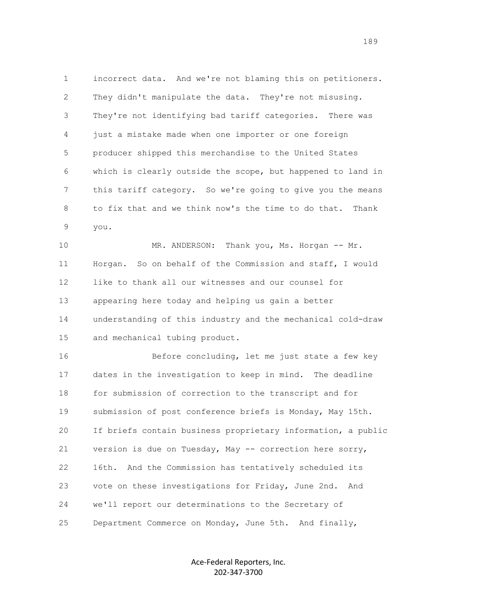1 incorrect data. And we're not blaming this on petitioners. 2 They didn't manipulate the data. They're not misusing. 3 They're not identifying bad tariff categories. There was 4 just a mistake made when one importer or one foreign 5 producer shipped this merchandise to the United States 6 which is clearly outside the scope, but happened to land in 7 this tariff category. So we're going to give you the means 8 to fix that and we think now's the time to do that. Thank 9 you.

 10 MR. ANDERSON: Thank you, Ms. Horgan -- Mr. 11 Horgan. So on behalf of the Commission and staff, I would 12 like to thank all our witnesses and our counsel for 13 appearing here today and helping us gain a better 14 understanding of this industry and the mechanical cold-draw 15 and mechanical tubing product.

 16 Before concluding, let me just state a few key 17 dates in the investigation to keep in mind. The deadline 18 for submission of correction to the transcript and for 19 submission of post conference briefs is Monday, May 15th. 20 If briefs contain business proprietary information, a public 21 version is due on Tuesday, May -- correction here sorry, 22 16th. And the Commission has tentatively scheduled its 23 vote on these investigations for Friday, June 2nd. And 24 we'll report our determinations to the Secretary of 25 Department Commerce on Monday, June 5th. And finally,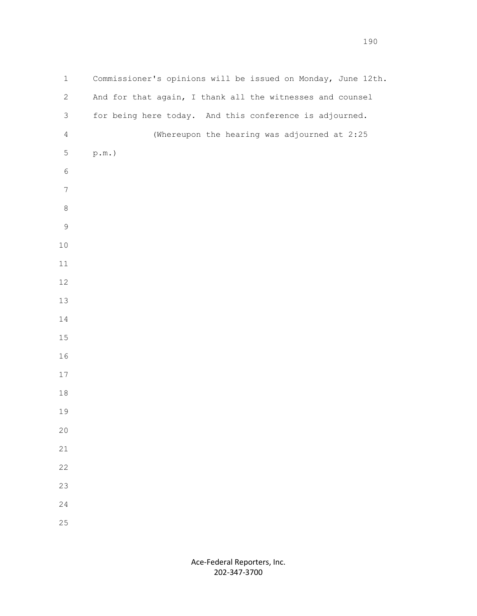1 Commissioner's opinions will be issued on Monday, June 12th. 2 And for that again, I thank all the witnesses and counsel 3 for being here today. And this conference is adjourned. 4 (Whereupon the hearing was adjourned at 2:25 5 p.m.)